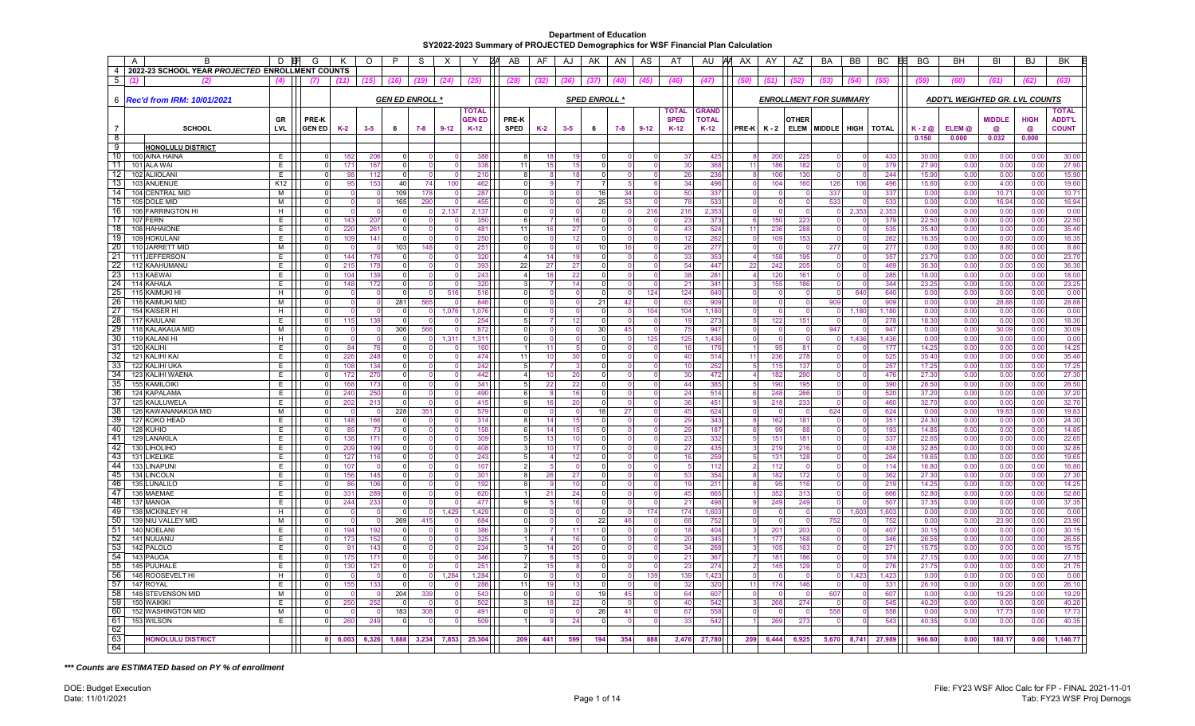|                 | $\overline{A}$<br>В                             | D          | G             | Κ       | $\circ$  | P        | S                      | X        | Y               | ZΑ<br>AB    | AF                      | AJ       | AK                   | AN      | AS       | AT           | AU           | AA AX     | AY       | AZ          | BA                            | BB    | BC              | BG               | BH                             | BI                | BJ          | BK             |
|-----------------|-------------------------------------------------|------------|---------------|---------|----------|----------|------------------------|----------|-----------------|-------------|-------------------------|----------|----------------------|---------|----------|--------------|--------------|-----------|----------|-------------|-------------------------------|-------|-----------------|------------------|--------------------------------|-------------------|-------------|----------------|
| $\overline{4}$  | 2022-23 SCHOOL YEAR PROJECTED ENROLLMENT COUNTS |            |               |         |          |          |                        |          |                 |             |                         |          |                      |         |          |              |              |           |          |             |                               |       |                 |                  |                                |                   |             |                |
| 5               | 12                                              | (4)        |               |         |          |          |                        | (24)     | (25)            |             | (32)                    | (36)     | (37)                 |         | (45)     | (46)         | (47)         |           |          |             |                               | (54)  | (55)            | (59)             |                                | (61)              | (62         | (63)           |
|                 |                                                 |            |               |         |          |          |                        |          |                 |             |                         |          |                      |         |          |              |              |           |          |             |                               |       |                 |                  |                                |                   |             |                |
|                 | 6 <b>Rec'd from IRM: 10/01/2021</b>             |            |               |         |          |          | <b>GEN ED ENROLL *</b> |          |                 |             |                         |          | <b>SPED ENROLL *</b> |         |          |              |              |           |          |             | <b>ENROLLMENT FOR SUMMARY</b> |       |                 |                  | ADDT'L WEIGHTED GR. LVL COUNTS |                   |             |                |
|                 |                                                 |            |               |         |          |          |                        |          |                 |             |                         |          |                      |         |          |              |              |           |          |             |                               |       |                 |                  |                                |                   |             |                |
|                 |                                                 |            |               |         |          |          |                        |          | TOTAL           |             |                         |          |                      |         |          | <b>TOTAL</b> | <b>GRAND</b> |           |          |             |                               |       |                 |                  |                                |                   |             | <b>TOTAL</b>   |
|                 |                                                 | GR         | <b>PRE-K</b>  |         |          |          |                        |          | <b>GEN ED</b>   | PRE-K       |                         |          |                      |         |          | <b>SPED</b>  | <b>TOTAL</b> |           |          | OTHER       |                               |       |                 |                  |                                | <b>MIDDLE</b>     | <b>HIGH</b> | <b>ADDT'L</b>  |
|                 | <b>SCHOOL</b>                                   | <b>LVL</b> | <b>GEN ED</b> | $K-2$   | $3 - 5$  | 6        | $7 - 8$                | $9 - 12$ | $K-12$          | <b>SPED</b> | $K-2$                   | $3 - 5$  | 6                    | $7 - 8$ | $9 - 12$ | $K-12$       | $K-12$       | PRE-K K-2 |          | <b>ELEM</b> | MIDDLE HIGH                   |       | <b>TOTAL</b>    | $K - 2$ $\omega$ | ELEM@                          | a                 | ര           | <b>COUNT</b>   |
| - 8             |                                                 |            |               |         |          |          |                        |          |                 |             |                         |          |                      |         |          |              |              |           |          |             |                               |       |                 | 0.150            | 0.000                          | 0.032             | 0.000       |                |
| -9              | <b>HONOLULU DISTRICT</b>                        |            |               |         |          |          |                        |          |                 |             |                         |          |                      |         |          |              |              |           |          |             |                               |       |                 |                  |                                |                   |             |                |
| 10              | 100 AINA HAINA                                  | E.         | $\Omega$      | 182     | 206      |          |                        |          | 388             |             |                         | 18<br>19 |                      |         |          | 37           | 425          |           | 200      | 225         |                               |       | 433             | 30.00            | 0.00                           | 0.00              | 0.00        | 30.00          |
| 11              | 101 ALA WAI                                     | E.         | $\Omega$      | 171     | 167      |          |                        |          | 338             | 11          |                         | 15<br>15 |                      |         |          | 30           | 368          | 11        | 186      | 182         |                               |       | 379             | 27.90            | 0.00                           | 0.00              | 0.00        | 27.90          |
| -12             | 102 ALIIOLANI                                   | E          | $\Omega$      | 98      | 112      |          |                        |          | 210             |             | 8                       | 18       |                      |         |          | 26           | 236          |           | 106      | 130         |                               |       | 244             | 15.90            | 0.00                           | 0.00              | 0.00        | 15.90          |
| 13              | 103 ANUENUE                                     | K12        | $\mathbf 0$   | 95      | 153      | 40       | 74                     | 100      | 462             |             | $\Omega$                |          |                      |         |          | 34           | 496          |           | 104      | 160         | 126                           | 106   | 496             | 15.60            | 0.00                           | 4.00              | 0.00        | 19.60          |
| 14              | 104 CENTRAL MID                                 | м          | $\Omega$      |         |          | 109      | 178                    |          | 287             |             | $\Omega$                |          | 16                   | 34      |          | 50           | 337          |           | $\Omega$ | $\Omega$    | 337                           |       | 337             | 0.00             | 0.00                           | 10.7 <sup>2</sup> | 0.00        | 10.71          |
| 15              | 105 DOLE MID                                    | M          | $\Omega$      |         |          | 165      | 290                    |          | 455             |             | 0                       |          | 25                   | -53     |          | 78           | 533          |           | $\Omega$ |             | 533                           |       | 533             | 0.00             | 0.00                           | 16.94             | 0.00        | 16.94          |
| 16              | 106 FARRINGTON HI                               | H          | $\Omega$      |         |          |          |                        | 2.137    | 2.13            |             | $\Omega$                |          |                      |         | 216      | 216          | 2.353        |           | $\Omega$ | $\Omega$    |                               | 2.353 | 2.353           | 0.00             | 0.00                           | 0.00              | 0.00        | 0.00           |
| 17              | 107 FERN                                        | E.         | $\circ$       | 143     | 207      |          |                        |          | 350             |             | 6                       | 16       |                      |         |          | 23           | 373          |           | 150      | 223         |                               |       | 379             | 22.50            | 0.00                           | 0.00              | 0.00        | 22.50          |
| 18              | 108 HAHAIONE                                    | E          | $\circ$       | 220     | 261      |          |                        |          | 481             | 11          |                         | 16<br>27 |                      |         |          | 43           | 524          | 11        | 236      | 288         |                               |       | 535             | 35.40            | 0.00                           | 0.00              | 0.00        | 35.40          |
| 19              | 109 HOKULANI                                    | Е          | $\Omega$      | 109     | 141      |          |                        |          | 250             |             | 0                       | 12       |                      |         |          | 12           | 262          |           | 109      | 153         |                               |       | 262             | 16.35            | 0.00                           | 0.00              | 0.00        | 16.35          |
| 20              | 110 JARRETT MID                                 | м          | $\Omega$      |         |          | 103      | 148                    |          | 25 <sup>1</sup> |             | $\Omega$                | $\Omega$ | 10                   | 16      |          | 26           | 277          | $\Omega$  | $\Omega$ | - 0         | 277                           |       | 277             | 0.00             | 0.00                           | 8.80              | 0.00        | 8.80           |
| 21              | 111 JEFFERSON                                   | F.         | $\Omega$      | 144     | 176      |          |                        |          | 320             |             | $\overline{\mathbf{A}}$ | 14<br>19 |                      |         |          | 33           | 353          |           | 158      | 195         |                               |       | 357             | 23.70            | 0.00                           | 0.00              | 0.00        | 23.70          |
| 22              |                                                 | E.         | $\circ$       | 215     | 178      |          |                        |          | 393             | 22          |                         | 27       | $\Omega$             |         |          | 54           | 447          | 22        | 242      | 205         |                               |       | 469             | 36.30            | 0.00                           | 0.00              |             | 36.30          |
| 23              | 112 KAAHUMANU                                   |            | $\Omega$      |         | 139      |          |                        |          |                 |             |                         | 27<br>16 |                      |         |          | 38           |              |           |          |             |                               |       |                 | 18.00            |                                |                   | 0.00        |                |
| -24             | 113 KAEWAI                                      | E          |               | 104     |          | $\Omega$ |                        |          | 243             |             | $\overline{a}$          | 22       |                      |         | $\Omega$ |              | 281          | વ         | 120      | 161         |                               |       | 285             |                  | 0.00                           | 0.00              | 0.00        | 18.00<br>23.25 |
|                 | 114 KAHALA                                      | E.         | 0             | 148     | 172      |          |                        |          | 320             |             | 3                       | 14       | $\Omega$             |         |          | 21           | 341          |           | 155      | 186         |                               |       | 344             | 23.25            | 0.00                           | 0.00              | 0.00        |                |
| 25              | 115 KAIMUKI HI                                  | H          | $\Omega$      |         |          |          |                        | 516      | 516             |             | U                       |          |                      |         | 124      | 124          | 640          |           | $\Omega$ |             |                               | 640   | 640             | 0.00             | 0.00                           | 0.00              | 0.00        | 0.00           |
| -26             | 116 KAIMUKI MID                                 | м          | $\Omega$      |         | $\Omega$ | 281      | 565                    |          | 846             |             | O                       |          | 21                   | 42      |          | 63           | 909          | $\Omega$  | $\Omega$ |             | 909                           |       | 909             | 0.00             | 0.00                           | 28.88             | 0.00        | 28.88          |
| 27              | 154 KAISER H                                    | H          | $\Omega$      |         |          |          |                        | 1,076    | 1,076           |             | $\Omega$                |          |                      |         | 104      | 104          | 1,180        |           | -0       |             |                               | 1,180 | 1,180           | 0.00             | 0.00                           | 0.00              | 0.00        | 0.00           |
| -28             | 117 KAIULANI                                    | E          | 0             | 115     | 139      |          |                        |          | 254             |             | 5                       | 12       |                      |         |          | 19           | 273          |           | 122      | 151         |                               |       | 278             | 18.30            | 0.00                           | 0.00              | 0.00        | 18.30          |
| 29              | 118 KALAKAUA MID                                | м          | $\Omega$      |         |          | 306      | 566                    |          | 872             |             | U                       |          | 30                   | 45      |          | 75           | 947          |           | $\Omega$ |             | 947                           |       | 947             | 0.00             | 0.00                           | 30.09             | 0.00        | 30.09          |
| 30 <sup>°</sup> | 119 KALANI HI                                   | H          | $\Omega$      |         |          |          |                        | 1,311    | 1.31            |             | n                       |          |                      |         | 125      | 125          | 1.436        |           | $\Omega$ |             |                               | 1.436 | 1.436           | 0.00             | 0.00                           | 0.00              | 0.00        | 0.00           |
| 31              | 120 KALIHI                                      | E.         | $\Omega$      | 84      | 76       |          |                        |          | 160             |             |                         | 11       |                      |         |          | 16           | 176          |           | 95       | 81          |                               |       | 177             | 14.25            | 0.00                           | 0.00              | 0.00        | 14.25          |
| -32             | 121 KALIHI KAI                                  | E          | $\Omega$      | 226     | 248      |          |                        |          | 474             | 11          |                         | 10<br>30 |                      |         |          | 40           | 514          | 11        | 236      | 278         |                               |       | 525             | 35.40            | 0.00                           | 0.00              | 0.00        | 35.40          |
| 33              | 122 KALIHI UKA                                  | E.         | $\Omega$      | 108     | 134      |          |                        |          | 242             |             |                         |          |                      |         |          | 10           | 252          |           | 115      | 137         |                               |       | 257             | 17.25            | 0.00                           | 0.00              | 0.00        | 17.25          |
| 34              | 123 KALIHI WAENA                                | E.         | $\Omega$      | 172     | 270      |          |                        |          | 442             |             | $\overline{4}$          | 20<br>10 |                      |         |          | 30           | 472          |           | 182      | 290         |                               |       | 476             | 27.30            | 0.00                           | 0.00              | 0.00        | 27.30          |
| 35              | 155 KAMILOIKI                                   | E.         | $\circ$       | 168     | 173      |          |                        |          | 341             |             | 5                       | 22<br>22 | $\Omega$             |         |          | 44           | 385          |           | 190      | 195         |                               |       | 390             | 28.50            | 0.00                           | 0.00              | 0.00        | 28.50          |
| -36             | 124 KAPALAMA                                    | E          | 0             | 240     | 250      |          |                        |          | 490             |             | 6                       | 16       |                      |         |          | 24           | 514          |           | 248      | 266         |                               |       | 520             | 37.20            | 0.00                           | 0.00              | 0.00        | 37.20          |
| -37             | 125 KAULUWELA                                   | E          | $\Omega$      | 202     | 213      |          |                        |          | 415             |             |                         | 20<br>16 |                      |         |          | 36           | 451          |           | 218      | 233         |                               |       | 460             | 32.70            | 0.00                           | 0.00              | 0.00        | 32.70          |
| -38             | 126 KAWANANAKOA MID                             | м          | $\Omega$      |         |          | 228      | 35'                    |          | 579             |             | $\Omega$                | $\Omega$ | 18                   | 27      |          | 45           | 624          |           | ſ        | $\Omega$    | 624                           |       | 624             | 0.00             | 0.00                           | 19.83             | 0.00        | 19.83          |
| -39             | 127 KOKO HEAD                                   | F.         | $\Omega$      | 148     | 166      |          |                        |          | 314             |             | 8                       | 15<br>14 |                      |         |          | 29           | 343          |           | 162      | 181         |                               |       | 35 <sup>′</sup> | 24.30            | 0.00                           | 0.00              | 0.00        | 24.30          |
| -40             | 128 KUHIO                                       | E          | $\Omega$      | 85      | 73       |          |                        |          | 158             |             | 6                       | 15<br>14 |                      |         |          | 29           | 187          |           | 99       | 88          |                               |       | 193             | 14.85            | 0.00                           | 0.00              | 0.00        | 14.85          |
| -41             | 129 LANAKILA                                    | E          | $\Omega$      | 138     | 171      |          |                        |          | 309             |             | 5                       | 13<br>10 |                      |         |          | 23           | 332          |           | 151      | 181         |                               |       | 337             | 22.65            | 0.00                           | 0.00              | 0.00        | 22.65          |
| -42             | 130 LIHOLIHO                                    | F.         | $\Omega$      | 209     | 199      |          |                        |          | 408             |             | 3                       | 10<br>17 |                      |         |          | 27           | 435          |           | 219      | 216         |                               |       | 438             | 32.85            | 0.00                           | 0.00              | 0.00        | 32.85          |
| -43             | 131 LIKELIKE                                    | E.         | $\Omega$      | 127     | 116      |          |                        |          | 243             |             | $\overline{5}$          | 12       |                      |         |          | 16           | 259          |           | 131      | 128         |                               |       | 264             | 19.65            | 0.00                           | 0.00              | 0.00        | 19.65          |
| 44              | 133 LINAPUNI                                    | F.         | $\Omega$      | 107     |          |          |                        |          | 107             |             | $\overline{c}$          |          |                      |         |          | 5            | 112          |           | 112      |             |                               |       | 114             | 16.80            | 0.00                           | 0.00              | 0.00        | 16.80          |
| 45              | 134 LINCOLN                                     | E          | $\circ$       | 156     | 145      |          |                        |          | 30 <sup>1</sup> |             | 8                       | 26<br>27 | $\Omega$             |         |          | 53           | 354          |           | 182      | 172         |                               |       | 362             | 27.30            | 0.00                           | 0.00              | 0.00        | 27.30          |
| -46             | 135 LUNALILO                                    | E          | $\Omega$      | 86      | 106      |          |                        |          | 192             |             | 8                       | 10       |                      |         |          | 19           | 211          |           | 95       | 116         |                               |       | 219             | 14.25            | 0.00                           | 0.00              | 0.00        | 14.25          |
| 47              | 136 MAEMAE                                      | E.         | $\mathbf 0$   | 331     | 289      |          |                        |          | 620             |             | 21                      | 24       |                      |         |          | 45           | 665          |           | 352      | 313         |                               |       | 666             | 52.8             | 0.00                           | 0.00              | 0.00        | 52.80          |
| 48              | 137 MANOA                                       | Е          | 0             | 244     | 233      |          |                        |          | 477             |             | g                       | 16       |                      |         |          | 21           | 498          |           | 249      | 249         |                               |       | 507             | 37.35            | 0.00                           | 0.00              | 0.00        | 37.35          |
| -49             | 138 MCKINLEY HI                                 | H          | $\circ$       |         |          | $\Omega$ |                        | 1,429    | 1,429           |             | $\Omega$                |          | $\Omega$             |         | 174      | 174          | 1,603        | $\Omega$  | $\Omega$ | $\Omega$    |                               | 1,603 | 1,603           | 0.00             | 0.00                           | 0.00              | 0.00        | 0.00           |
| 50              | 139 NIU VALLEY MID                              | M          | $\Omega$      |         |          | 269      | 415                    |          | 684             |             | $\Omega$                |          | 22                   | 46      |          | 68           | 752          |           | $\Omega$ |             | 752                           |       | 752             | 0.00             | 0.00                           | 23.90             | 0.00        | 23.90          |
| 51              | 140 NOELANI                                     | E          | $\Omega$      | 194     | 192      |          |                        |          | 386             |             | 3                       | 11       |                      |         |          | 18           | 404          |           | 201      | 203         |                               |       | 407             | 30.15            | 0.00                           | 0.00              | 0.00        | 30.15          |
| 52              | 141 NUUANU                                      | E          | $\Omega$      | 173     | 152      |          |                        |          | 325             |             |                         | 16       |                      |         |          | 20           | 345          |           | 177      | 168         |                               |       | 346             | 26.55            | 0.00                           | 0.00              | 0.00        | 26.55          |
| 53              | 142 PALOLO                                      | E.         | $\Omega$      | 91      | 143      |          |                        |          | 234             |             | κ                       | 14<br>20 | $\Omega$             |         |          | 34           | 268          |           | 105      | 163         |                               |       | 27'             | 15.75            | 0.00                           | 0.00              | 0.00        | 15.75          |
| 54              | 143 PAUOA                                       | E.         | $\mathbf 0$   | 175     | 171      |          |                        |          | 346             |             |                         | 15       |                      |         |          | 21           | 367          |           | 181      | 186         |                               |       | 374             | 27.15            | 0.00                           | 0.00              | 0.00        | 27.15          |
| 55              | 145 PUUHALE                                     | Е          | $\Omega$      | 130     | 121      |          |                        |          | 25 <sup>1</sup> |             | 2                       | -15      |                      |         |          | 23           | 274          |           | 145      | 129         |                               |       | 276             | 21.75            | 0.00                           | 0.00              | 0.00        | 21.75          |
| 56              | 146 ROOSEVELT HI                                | H          | $\Omega$      |         |          |          |                        | 1.284    | 1.284           |             | $\Omega$                |          |                      |         | 139      | 139          | 1.423        |           | $\Omega$ | $\Omega$    |                               | 1.423 | 1.423           | 0.00             | 0.00                           | 0.00              | 0.00        | 0.00           |
| -57             | 147 ROYAL                                       | E.         | $\Omega$      | 155     | 133      |          |                        |          | 288             | 11          |                         | 19<br>13 |                      |         |          | 32           | 320          | 11        | 174      | 146         |                               |       | 33 <sup>2</sup> | 26.10            | 0.00                           | 0.00              | 0.00        | 26.10          |
| 58              | 148 STEVENSON MID                               | м          | 0             |         |          | 204      | 339                    |          | 543             |             | O                       |          | 19                   | 45      |          | 64           | 607          |           |          |             | 607                           |       | 607             | 0.00             | 0.00                           | 19.29             | 0.00        | 19.29          |
| 59              | 150 WAIKIKI                                     | Е          | 0             | 250     | 252      |          |                        |          | 502             |             | 3                       | 18<br>22 |                      |         |          | 40           | 542          |           | 268      | 274         |                               |       | 545             | 40.20            | 0.00                           | 0.00              | 0.00        | 40.20          |
| 60              | 152 WASHINGTON MID                              | м          | $\Omega$      |         |          | 183      | 308                    |          | 491             |             | $\Omega$                | $\Omega$ | 26                   | 41      |          | 67           | 558          |           | $\Omega$ |             | 558                           |       | 558             | 0.00             | 0.00                           | 17.73             | 0.00        | 17.73          |
| 61              | 153 WILSON                                      | E          | 0             | 260     | 249      |          |                        |          | 509             |             |                         | 24       |                      | -C      |          | 33           | 542          |           | 269      | 273         |                               |       | 543             | 40.35            | 0.00                           | 0.00              | 0.00        | 40.35          |
| 62              |                                                 |            |               |         |          |          |                        |          |                 |             |                         |          |                      |         |          |              |              |           |          |             |                               |       |                 |                  |                                |                   |             |                |
| 63              | <b>HONOLULU DISTRICT</b>                        |            |               | 0 6,003 | 6,326    | 1,888    | 3,234                  | 7,853    | 25,304          | 209         | 441                     | 599      | 194                  | 354     | 888      | 2,476        | 27,780       | 209       | 6,444    | 6,925       | 5,670                         | 8,741 | 27,989          | 966.60           | 0.00                           | 180.17            | 0.00        | 1,146.77       |
| 64              |                                                 |            |               |         |          |          |                        |          |                 |             |                         |          |                      |         |          |              |              |           |          |             |                               |       |                 |                  |                                |                   |             |                |

*\*\*\* Counts are ESTIMATED based on PY % of enrollment*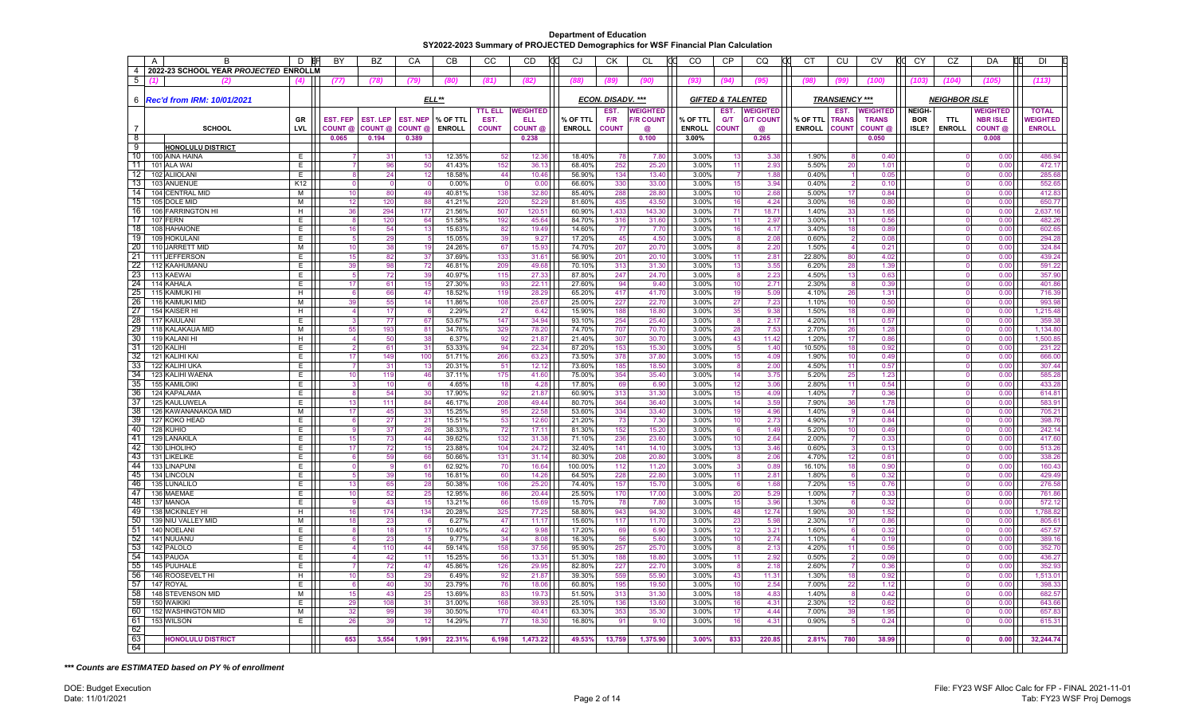| $\overline{A}$  | B                                     | D          | <b>BY</b>           | <b>BZ</b>       | CA              | <b>CB</b>        | CC             | <b>CD</b>       | CJ               | <b>CK</b>         | <b>CL</b>        | CO                           | <b>CP</b>      | CQ               | <b>CT</b>       | CU                    | <b>CV</b>          | CY            | CZ                   | DA              | <b>DI</b>          |
|-----------------|---------------------------------------|------------|---------------------|-----------------|-----------------|------------------|----------------|-----------------|------------------|-------------------|------------------|------------------------------|----------------|------------------|-----------------|-----------------------|--------------------|---------------|----------------------|-----------------|--------------------|
| $\overline{4}$  | 2022-23 SCHOOL YEAR PROJECTED ENROLLM |            |                     |                 |                 |                  |                |                 |                  |                   |                  |                              |                |                  |                 |                       |                    |               |                      |                 |                    |
| $5\overline{)}$ |                                       |            | (77)                | (78)            | (79)            | (80)             | (81)           | (82)            | (88)             | 789               | (90)             | (93)                         | (94)           | (95)             | (98)            | 7QQ                   | (100)              | (103          | (104)                | (105)           | (113)              |
|                 | 6   Rec'd from IRM: 10/01/2021        |            |                     |                 |                 | $ELL**$          |                |                 |                  | ECON. DISADV. *** |                  | <b>GIFTED &amp; TALENTED</b> |                |                  |                 | <b>TRANSIENCY ***</b> |                    |               | <b>NEIGHBOR ISLE</b> |                 |                    |
|                 |                                       |            |                     |                 |                 |                  | <b>TTL ELL</b> | <b>WEIGHTED</b> |                  | EST.              | <b>WEIGHTED</b>  |                              | EST.           | <b>WEIGHTED</b>  |                 | EST.                  | <b>WEIGHTED</b>    | <b>NEIGH-</b> |                      | <b>WEIGHTED</b> | <b>TOTAL</b>       |
|                 |                                       | GR         | <b>EST. FEP</b>     | <b>EST. LEP</b> | <b>EST. NEP</b> | % OF TTL         | EST.           | <b>ELL</b>      | % OF TTL         | F/R               | <b>F/R COUNT</b> | % OF TTL                     | <b>G/T</b>     | <b>G/T COUNT</b> | % OF TTL        | <b>TRANS</b>          | <b>TRANS</b>       | <b>BOR</b>    | TTI                  | <b>NBR ISLE</b> | <b>WEIGHTED</b>    |
| $\overline{7}$  | SCHOOL                                | <b>LVL</b> | COUNT @             | COUNT @         | COUNT @         | <b>ENROLL</b>    | <b>COUNT</b>   | COUNT @         | <b>ENROLL</b>    | <b>COUNT</b>      | @                | <b>ENROLL</b>                | <b>COUNT</b>   | @                | <b>ENROLL</b>   | <b>COUNT</b>          | COUNT <sub>@</sub> | ISLE?         | <b>ENROLL</b>        | COUNT @         | <b>ENROLL</b>      |
| 8<br>-9         |                                       |            | 0.065               | 0.194           | 0.389           |                  |                | 0.238           |                  |                   | 0.100            | 3.00%                        |                | 0.265            |                 |                       | 0.050              |               |                      | 0.008           |                    |
| 10              | HONOLULU DISTRICT<br>100 AINA HAINA   | E          |                     | 31              |                 | 12.35%           | 52             | 12.36           | 18.40%           | 78                | 7.80             | 3.00%                        | 13             | 3.38             | 1.90%           |                       | 0.40               |               |                      | 0.00            | 486.94             |
| 11              | 101 ALA WAI                           | E.         | $\overline{7}$      | 96              | 50              | 41.43%           | 152            | 36.13           | 68.40%           | 252               | 25.20            | 3.00%                        | 11             | 2.93             | 5.50%           | 20                    | 1.01               |               |                      | 0.00            | 472.17             |
| 12              | 102 ALIIOLAN                          | Ε.         | 8                   | 24              | 12              | 18.58%           | 44             | 10.46           | 56.90%           | 134               | 13.40            | 3.00%                        | $\overline{7}$ | 1.88             | 0.40%           |                       | 0.05               |               | $\Omega$             | 0.00            | 285.68             |
| 13              | 103 ANUENUE                           | K12        | $\Omega$            | $\Omega$        |                 | 0.00%            | $\Omega$       | 0.00            | 66.60%           | 330               | 33.00            | 3.00%                        | 15             | 3.94             | 0.40%           |                       | 0.10               |               |                      | 0.00            | 552.65             |
| -14<br>15       | 104 CENTRAL MID                       | М<br>М     | 10                  | 80<br>120       | 49<br>88        | 40.81%<br>41.21% | 138<br>220     | 32.80<br>52.29  | 85.40%<br>81.60% | 288<br>435        | 28.80<br>43.50   | 3.00%<br>3.00%               | 10             | 2.68<br>4.24     | 5.00%           | 17                    | 0.84<br>0.80       |               |                      | 0.00<br>0.00    | 412.83<br>650.77   |
| 16              | 105 DOLE MID<br>106 FARRINGTON HI     | H          | 12<br>36            | 294             | 177             | 21.56%           | 507            | 120.51          | 60.90%           | 1,433             | 143.30           | 3.00%                        | 16<br>71       | 18.71            | 3.00%<br>1.40%  | 16<br>33              | 1.65               |               |                      | 0.00            | 2,637.16           |
| 17              | 107 FERN                              | E          | 8                   | 120             | 64              | 51.58%           | 192            | 45.64           | 84.70%           | 316               | 31.60            | 3.00%                        | 11             | 2.97             | 3.00%           | 11                    | 0.56               |               |                      | 0.00            | 482.26             |
| 18              | 108 HAHAIONE                          | E.         | 16                  | 54              | 13              | 15.63%           | 82             | 19.49           | 14.60%           | 77                | 7.70             | 3.00%                        | 16             | 4.17             | 3.40%           | 18                    | 0.89               |               |                      | 0.00            | 602.65             |
| 19              | 109 HOKULANI                          | E.         | 5                   | 29              |                 | 15.05%           | 39             | 9.27            | 17.20%           | 45                | 4.50             | 3.00%                        | -8             | 2.08             | 0.60%           |                       | 0.08               |               | $\Omega$             | 0.00            | 294.28             |
| -20             | 110 JARRETT MID                       | м          | 10                  | 38              | 19              | 24.26%           | 67             | 15.93           | 74.70%           | 207               | 20.70            | 3.00%                        | -8             | 2.20             | 1.50%           |                       | 0.21               |               | $\Omega$             | 0.00            | 324.84             |
| 21<br>22        | 111 JEFFERSON<br>112 KAAHUMANU        | E<br>E.    | 15<br>39            | 82<br>98        | 37<br>72        | 37.69%<br>46.81% | 133<br>209     | 31.61<br>49.68  | 56.90%<br>70.10% | 201<br>313        | 20.10<br>31.30   | 3.00%<br>3.00%               | 11<br>13       | 2.81<br>3.55     | 22.80%<br>6.20% | 80<br>28              | 4.02<br>1.39       |               |                      | 0.00<br>0.00    | 439.24<br>591.22   |
| 23              | 113 KAEWAI                            | Е          | 5                   | 72              | 39              | 40.97%           | 115            | 27.33           | 87.80%           | 247               | 24.70            | 3.00%                        | 8              | 2.23             | 4.50%           | 13                    | 0.63               |               |                      | 0.00            | 357.90             |
| -24             | 114 KAHALA                            | E          | 17                  | 61              | 15              | 27.30%           | 93             | 22.11           | 27.60%           | 94                | 9.40             | 3.00%                        | 10             | 2.71             | 2.30%           |                       | 0.39               |               |                      | 0.00            | 401.86             |
| 25              | 115 KAIMUKI HI                        | H          | 6                   | 66              | 47              | 18.52%           | 119            | 28.29           | 65.20%           | 417               | 41.70            | 3.00%                        | 19             | 5.09             | 4.10%           | 26                    | 1.31               |               | $\Omega$             | 0.00            | 716.39             |
| 26              | 116 KAIMUKI MID                       | М          | 39                  | 55              | 14              | 11.86%           | 108            | 25.67           | 25.00%           | 227               | 22.70            | 3.00%                        | 27             | 7.23             | 1.10%           | 10                    | 0.50               |               | C                    | 0.00            | 993.98             |
| 27<br>28        | 154 KAISER HI                         | H.         | $\overline{4}$<br>3 | 17<br>77        |                 | 2.29%            | 27<br>147      | 6.42<br>34.94   | 15.90%           | 188<br>254        | 18.80            | 3.00%                        | 35<br>8        | 9.38             | 1.50%           | 18                    | 0.89               |               | $\Omega$             | 0.00<br>0.00    | 1,215.48<br>359.38 |
| 29              | 117 KAIULANI<br>118 KALAKAUA MID      | E<br>М     | 55                  | 193             | 67<br>81        | 53.67%<br>34.76% | 329            | 78.20           | 93.10%<br>74.70% | 707               | 25.40<br>70.70   | 3.00%<br>3.00%               | 28             | 2.17<br>7.53     | 4.20%<br>2.70%  | 11<br>26              | 0.57<br>1.28       |               | $\Omega$             | 0.00            | 1,134.80           |
| 30              | 119 KALANI HI                         | H          | $\overline{4}$      | 50              | 38              | 6.37%            | 92             | 21.87           | 21.40%           | 307               | 30.70            | 3.00%                        | 43             | 11.42            | 1.20%           | 17                    | 0.86               |               |                      | 0.00            | 1,500.85           |
| 31              | 120 KALIHI                            | E          | $\overline{2}$      | 61              | 31              | 53.33%           | 94             | 22.34           | 87.20%           | 153               | 15.30            | 3.00%                        | -5             | 1.40             | 10.50%          | 18                    | 0.92               |               |                      | 0.00            | 231.22             |
| 32              | 121 KALIHI KAI                        | E.         | 17                  | 149             | 100             | 51.71%           | 266            | 63.23           | 73.50%           | 378               | 37.80            | 3.00%                        | 15             | 4.09             | 1.90%           | 10                    | 0.49               |               | $\Omega$             | 0.00            | 666.00             |
| 33<br>34        | 122 KALIHI UKA                        | E.         |                     | 31              | 13              | 20.31%           | 51             | 12.12           | 73.60%           | 185               | 18.50            | 3.00%                        | 8              | 2.00             | 4.50%           | 11                    | 0.57               |               |                      | 0.00            | 307.44             |
| 35              | 123 KALIHI WAENA<br>155 KAMILOIKI     | E.<br>E    | 10<br>3             | 119<br>10       | 46<br>-6        | 37.11%<br>4.65%  | 175<br>18      | 41.60<br>4.28   | 75.00%<br>17.80% | 354<br>69         | 35.40<br>6.90    | 3.00%<br>3.00%               | 14<br>12       | 3.75<br>3.06     | 5.20%<br>2.80%  | 25<br>11              | 1.23<br>0.54       |               | $\Omega$<br>$\Omega$ | 0.00<br>0.00    | 585.28<br>433.28   |
| 36              | 124 KAPALAMA                          | E.         | 8                   | 54              | 30              | 17.90%           | 92             | 21.87           | 60.90%           | 313               | 31.30            | 3.00%                        | 15             | 4.09             | 1.40%           |                       | 0.36               |               |                      | 0.00            | 614.81             |
| 37              | 125 KAULUWELA                         | E          | 13                  | 111             | 84              | 46.17%           | 208            | 49.44           | 80.70%           | 364               | 36.40            | 3.00%                        | 14             | 3.59             | 7.90%           | 36                    | 1.78               |               |                      | 0.00            | 583.91             |
| 38              | 126 KAWANANAKOA MID                   | м          | 17                  | 45              | 33              | 15.25%           | 95             | 22.58           | 53.60%           | 334               | 33.40            | 3.00%                        | 19             | 4.96             | 1.40%           |                       | 0.44               |               |                      | 0.00            | 705.21             |
| 39              | 127 KOKO HEAD                         | E          | $6\overline{6}$     | 27              | 21              | 15.51%           | 53             | 12.60           | 21.20%           | 73                | 7.30             | 3.00%                        | 10             | 2.73             | 4.90%           | 17                    | 0.84               |               |                      | 0.00            | 398.76             |
| 40<br>-41       | 128 KUHIO<br>129 LANAKILA             | E.<br>E    | 9<br>15             | 37<br>73        | 26<br>44        | 38.33%<br>39.62% | 72<br>132      | 17.11<br>31.38  | 81.30%<br>71.10% | 152<br>236        | 15.20<br>23.60   | 3.00%<br>3.00%               | 6<br>10        | 1.49<br>2.64     | 5.20%<br>2.00%  | 10                    | 0.49<br>0.33       |               | C<br>$\Omega$        | 0.00<br>0.00    | 242.14<br>417.60   |
| -42             | 130 LIHOLIHO                          | E          | 17                  | $\overline{72}$ | 15              | 23.88%           | 104            | 24.72           | 32.40%           | 141               | 14.10            | 3.00%                        | 13             | 3.46             | 0.60%           |                       | 0.13               |               | $\Omega$             | 0.00            | 513.26             |
| 43              | 131 LIKELIKE                          | E.         | 6                   | 59              | 66              | 50.66%           | 131            | 31.14           | 80.30%           | 208               | 20.80            | 3.00%                        | -8             | 2.06             | 4.70%           | 12                    | 0.61               |               |                      | 0.00            | 338.26             |
| -44             | 133 LINAPUNI                          | E.         | $\mathbf 0$         | 9               | 61              | 62.92%           | 70             | 16.64           | 100.00%          | 112               | 11.20            | 3.00%                        | -3             | 0.89             | 16.10%          | 18                    | 0.90               |               | $\Omega$             | 0.00            | 160.43             |
| 45              | 134 LINCOLN                           | E          | 5                   | 39              | 16              | 16.81%           | 60             | 14.26           | 64.50%           | 228               | 22.80            | 3.00%                        | 11             | 2.81             | 1.80%           |                       | 0.32               |               |                      | 0.00            | 429.49             |
| -46<br>-47      | 135 LUNALILO<br>136 MAEMAE            | E<br>E     | 13<br>10            | 65<br>52        | 28<br>25        | 50.38%<br>12.95% | 106<br>86      | 25.20<br>20.44  | 74.40%<br>25.50% | 157<br>170        | 15.70<br>17.00   | 3.00%<br>3.00%               | 6<br>20        | 1.68<br>5.29     | 7.20%<br>1.00%  | 15                    | 0.76<br>0.33       |               |                      | 0.00<br>0.00    | 276.58<br>761.86   |
| 48              | 137 MANOA                             | E.         | -9                  | 43              | 15              | 13.21%           | 66             | 15.69           | 15.70%           | 78                | 7.80             | 3.00%                        | 15             | 3.96             | 1.30%           |                       | 0.32               |               | $\Omega$             | 0.00            | 572.12             |
| 49              | 138 MCKINLEY HI                       | H          | 16                  | 174             | 134             | 20.28%           | 325            | 77.25           | 58.80%           | 943               | 94.30            | 3.00%                        | 48             | 12.74            | 1.90%           | 30                    | 1.52               |               |                      | 0.00            | 1,788.82           |
| 50              | 139 NIU VALLEY MID                    | М          | 18                  | 23              | 6               | 6.27%            | 47             | 11.17           | 15.60%           | 117               | 11.70            | 3.00%                        | 23             | 5.98             | 2.30%           | 17                    | 0.86               |               |                      | 0.00            | 805.61             |
| 51              | 140 NOELAN                            | E.         | 8                   | 18              | 17              | 10.40%           | 42             | 9.98            | 17.20%           | 69                | 6.90             | 3.00%                        | 12             | 3.21             | 1.60%           |                       | 0.32               |               |                      | 0.00            | 457.57             |
| 52              | 141 NUUANU                            | E          | 6                   | 23              |                 | 9.77%            | 34             | 8.08            | 16.30%           | 56                | 5.60             | 3.00%                        | 10             | 2.74             | 1.10%           |                       | 0.19               |               |                      | 0.00            | 389.16             |
| 53<br>54        | 142 PALOLO<br>143 PAUOA               | E<br>E.    | 4<br>$\Delta$       | 110<br>42       | 44<br>11        | 59.14%           | 158            | 37.56<br>13.31  | 95.90%<br>51.30% | 257<br>188        | 25.70<br>18.80   | 3.00%<br>3.00%               | -8<br>11       | 2.13<br>2.92     | 4.20%<br>0.50%  | 11                    | 0.56<br>0.09       |               |                      | 0.00<br>0.00    | 352.70<br>436.27   |
| 55              | 145 PUUHALE                           | E          | 7                   | 72              | 47              | 15.25%<br>45.86% | 56<br>126      | 29.95           | 82.80%           | 227               | 22.70            | 3.00%                        | -8             | 2.18             | 2.60%           |                       | 0.36               |               | $\Omega$             | 0.00            | 352.93             |
| 56              | 146 ROOSEVELT HI                      | H          | 10                  | 53              | 29              | 6.49%            | 92             | 21.87           | 39.30%           | 559               | 55.90            | 3.00%                        | 43             | 11.31            | 1.30%           | 18                    | 0.92               |               |                      | 0.00            | 1,513.01           |
| 57              | 147 ROYAL                             | E.         | 6                   | 40              | 30              | 23.79%           | 76             | 18.06           | 60.80%           | 195               | 19.50            | 3.00%                        | 10             | 2.54             | 7.00%           | 22                    | 1.12               |               |                      | 0.00            | 398.33             |
| 58              | 148 STEVENSON MID                     | M          | 15                  | 43              | 25              | 13.69%           | 83             | 19.73           | 51.50%           | 313               | 31.30            | 3.00%                        | 18             | 4.83             | 1.40%           |                       | 0.42               |               |                      | 0.00            | 682.57             |
| 59              | 150 WAIKIKI                           | E          | 29                  | 108             | 31              | 31.00%           | 168            | 39.93           | 25.10%           | 136               | 13.60            | 3.00%                        | 16             | 4.31             | 2.30%           | 12                    | 0.62               |               | $\Omega$             | 0.00            | 643.66             |
| -60<br>61       | 152 WASHINGTON MID<br>153 WILSON      | М<br>E.    | 32<br>26            | 99<br>39        | 39<br>12        | 30.50%<br>14.29% | 170<br>77      | 40.41<br>18.30  | 63.30%<br>16.80% | 353<br>91         | 35.30<br>9.10    | 3.00%<br>3.00%               | 17<br>16       | 4.44<br>4.31     | 7.00%<br>0.90%  | 39                    | 1.95<br>0.24       |               |                      | 0.00<br>0.00    | 657.83<br>615.31   |
| 62              |                                       |            |                     |                 |                 |                  |                |                 |                  |                   |                  |                              |                |                  |                 |                       |                    |               |                      |                 |                    |
| 63              | <b>HONOLULU DISTRICT</b>              |            | 653                 | 3,554           | 1,99'           | 22.31%           | 6.198          | 1,473.22        | 49.53%           | 13,759            | 1,375.90         | 3.00%                        | 833            | 220.85           | 2.81%           | 780                   | 38.99              |               | $\Omega$             | 0.00            | 32,244.74          |
| 64              |                                       |            |                     |                 |                 |                  |                |                 |                  |                   |                  |                              |                |                  |                 |                       |                    |               |                      |                 |                    |

*\*\*\* Counts are ESTIMATED based on PY % of enrollment*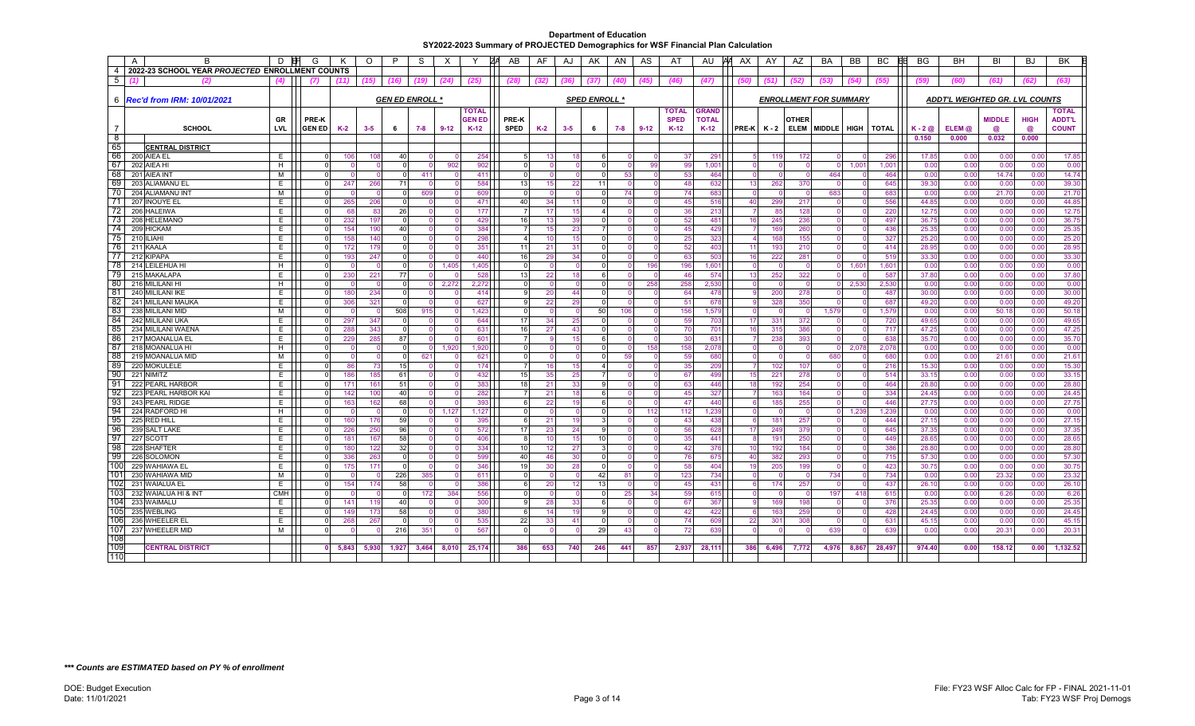|                | $\overline{A}$<br>B                             | D          | G                    | к     | $\circ$ | P              | -S                     | $\times$ | ⋎             | ZΑ<br>AB       | AF              | AJ      | AK.                  | AN         | AS     | AT           | AU           | AΑ<br>AX         | AY    | AZ.                           | <b>BA</b> | <b>BB</b>      | <b>BC</b>    | BG           | <b>BH</b>                      | BI            | <b>BJ</b>    | <b>BK</b>     |
|----------------|-------------------------------------------------|------------|----------------------|-------|---------|----------------|------------------------|----------|---------------|----------------|-----------------|---------|----------------------|------------|--------|--------------|--------------|------------------|-------|-------------------------------|-----------|----------------|--------------|--------------|--------------------------------|---------------|--------------|---------------|
| $\overline{4}$ | 2022-23 SCHOOL YEAR PROJECTED ENROLLMENT COUNTS |            |                      |       |         |                |                        |          |               |                |                 |         |                      |            |        |              |              |                  |       |                               |           |                |              |              |                                |               |              |               |
| 5              | (2)                                             | (4)        | (7)                  |       | (15)    | (16)           | (19)                   | (24)     | (25)          | (28)           | (32)            | (36)    | (37)                 | <b>40)</b> |        | (46)         | (47)         |                  |       |                               |           |                | (55)         | (59)         |                                | (61)          | (62)         | (63)          |
|                |                                                 |            |                      |       |         |                |                        |          |               |                |                 |         |                      |            |        |              |              |                  |       |                               |           |                |              |              |                                |               |              |               |
|                | 6 <b>Rec'd from IRM: 10/01/2021</b>             |            |                      |       |         |                | <b>GEN ED ENROLL *</b> |          |               |                |                 |         | <b>SPED ENROLL *</b> |            |        |              |              |                  |       | <b>ENROLLMENT FOR SUMMARY</b> |           |                |              |              | ADDT'L WEIGHTED GR. LVL COUNTS |               |              |               |
|                |                                                 |            |                      |       |         |                |                        |          | <b>TOTAL</b>  |                |                 |         |                      |            |        | <b>TOTAL</b> | <b>GRAND</b> |                  |       |                               |           |                |              |              |                                |               |              | <b>TOTAL</b>  |
|                |                                                 | GR         | PRE-K                |       |         |                |                        |          | <b>GEN ED</b> | <b>PRE-K</b>   |                 |         |                      |            |        | <b>SPED</b>  | <b>TOTAI</b> |                  |       | <b>OTHER</b>                  |           |                |              |              |                                | <b>MIDDLE</b> | <b>HIGH</b>  | <b>ADDT'L</b> |
|                | <b>SCHOOL</b>                                   | <b>LVL</b> | <b>GEN ED</b>        | K-2   | $3 - 5$ | 6              | 7-8                    | $9 - 12$ | $K-12$        | <b>SPED</b>    | $K-2$           | $3 - 5$ | 6                    | 7-8        | $9-12$ | $K-12$       | $K-12$       | $PRE-K$ $K-2$    |       | <b>ELEM</b>                   |           | MIDDLE HIGH    | <b>TOTAL</b> | $K - 2@$     | ELEM @                         | a             | $\circleda$  | <b>COUNT</b>  |
| ි 8            |                                                 |            |                      |       |         |                |                        |          |               |                |                 |         |                      |            |        |              |              |                  |       |                               |           |                |              | 0.150        | 0.000                          | 0.032         | 0.000        |               |
| 65             | <b>CENTRAL DISTRICT</b>                         |            |                      |       |         |                |                        |          |               |                |                 |         |                      |            |        |              |              |                  |       |                               |           |                |              |              |                                |               |              |               |
| 66             | 200 AIEA EL                                     | E.         | $\Omega$             | 106   | 108     | 40             |                        |          | 254           | 5 <sub>l</sub> | -131            | 18      | 6                    | n          |        | 37           | 291          | -51              | 119   | 172                           |           |                | 296          | 17.85        | 0.00                           | 0.00          | 0.00         | 17.85         |
| 67             | 202 AIEA HI                                     | H          | $\Omega$             |       |         |                |                        | 902      | 902           | $\Omega$       |                 |         |                      |            | 99     | 99           | 1,001        | $\Omega$         |       | $\Omega$                      |           | $1,00^{\circ}$ | 1,001        | 0.00         | 0.00                           | 0.00          | 0.00         | 0.00          |
| 68             | 201 AIEA IN                                     | м          |                      |       |         |                | 41'                    |          | 411           | U.             |                 |         |                      | 53         |        | 53           | 464          | $\Omega$         |       | $\Omega$                      | 464       |                | 464          | 0.00         | 0.00                           | 14.74         | 0.00         | 14.74         |
| 69             | 203 ALIAMANU EL                                 | E.         | $\Omega$             | 247   | 266     | 71             |                        |          | 584           | 13             | 15 <sub>l</sub> | 22      | 11                   | $\Omega$   |        | 48           | 632          | 13               | 262   | 370                           |           |                | 645          | 39.30        | 0.00                           | 0.00          | 0.00         | 39.30         |
| 70             | 204 ALIAMANU INT                                | м          |                      |       |         |                | 609                    |          | 609           | $\Omega$       |                 |         |                      | 74         |        | 74           | 683          |                  |       | $\Omega$                      | 683       |                | 683          | 0.00         | 0.00                           | 21.70         | 0.00         | 21.70         |
| 71             | 207 INOUYE EL                                   | Е          | $\Omega$             | 265   | 206     |                |                        |          | 471           | 40             | 34              | 11      |                      |            |        | 45           | 516          | 40               | 299   | 217                           |           |                | 556          | 44.85        | 0.00                           | 0.00          | 0.00         | 44.85         |
| -72            | 206 HALEIWA                                     | E.         | $\Omega$             | 68    | 83      | 26             |                        |          | 177           | -7             | -17             | 15      | $\overline{a}$       | $\Omega$   |        | 36           | 213          | 7                | 85    | 128                           |           |                | 220          | 12.75        | 0.00                           | 0.00          | 0.00         | 12.75         |
| 73             | 208 HELEMANO                                    | E.         | $\Omega$             | 232   | 197     |                |                        |          | 429           | 16             | 13              | 39      | $\Omega$             |            |        | 52           | 481          | 16               | 245   | 236                           |           |                | 497          | 36.75        | 0.00                           | 0.00          | 0.00         | 36.75         |
| 74             | 209 HICKAM                                      | E.         | $\Omega$             | 154   | 190     | 40             |                        |          | 384           |                | 15              | 23      | 7                    |            |        | 45           | 429          | 7                | 169   | 260                           |           |                | 436          | 25.35        | 0.00                           | 0.00          | 0.00         | 25.35         |
| 75             | 210 ILIAHI                                      | E.         | $\Omega$             | 158   | 140     |                |                        |          | 298           | Δ              | 10              | 15      | $\Omega$             | $\Omega$   |        | 25           | 323          | $\overline{4}$   | 168   | 155                           |           |                | 327          | 25.20        | 0.00                           | 0.00          | 0.00         | 25.20         |
| 76             | 211 KAALA                                       | E.         | $\Omega$             | 172   | 179     |                |                        |          | 351           | 11             | 21              | 31      | $\Omega$             |            |        | 52           | 403          | 11               | 193   | 210                           |           |                | 414          | 28.95        | 0.00                           | 0.00          | 0.00         | 28.95         |
| 77             | 212 KIPAPA                                      | Е          | $\Omega$             | 193   | 247     |                |                        |          | 440           | 16             | 29              | 34      |                      |            |        | 63           | 503          | 16               | 222   | 281                           |           |                | 519          | 33.30        | 0.00                           | 0.00          | 0.00         | 33.30         |
| 78             | 214 LEILEHUA HI                                 | H          | $\Omega$             |       |         | $\Omega$       |                        | 1.405    | 1.405         | $\Omega$       |                 |         | $\Omega$             | $\Omega$   | 196    | 196          | 1.601        | $\Omega$         |       | $\Omega$                      |           | 1,60'          | 1,601        | 0.00         | 0.00                           | 0.00          | 0.00         | 0.00          |
| 79             | 215 MAKALAPA                                    | E          | $\Omega$             | 230   | 221     | 77             |                        |          | 528           | 13             | 22              | 18      | 6                    |            |        | 46           | 574          | 13               | 252   | 322                           |           |                | 587          | 37.80        | 0.00                           | 0.00          | 0.00         | 37.80         |
| 80             | 216 MILILANI HI                                 | H          |                      |       |         |                |                        | 2,272    | 2,272         | $\Omega$       |                 |         |                      |            | 258    | 258          | 2.530        | $\Omega$         |       |                               |           | 2,530          | 2,530        | 0.00         | 0.00                           | 0.00          | 0.00         | 0.00          |
| 81             | 240 MILILANI IKE                                | E          | $\Omega$             | 180   | 234     | $\Omega$       |                        |          | 414           | a              | 20              | 44      | $\cap$               | $\Omega$   |        | 64           | 478          | 9 <sup>1</sup>   | 200   | 278                           |           |                | 487          | 30.00        | 0.00                           | 0.00          | 0.00         | 30.00         |
| -82            | 241 MILILANI MAUKA                              | E          | $\Omega$             | 306   | 321     |                |                        |          | 627           | g              | 22              | 29      | $\Omega$             | $\Omega$   |        | 51           | 678          | $9^{\circ}$      | 328   | 350                           |           |                | 687          | 49.20        | 0.00                           | 0.00          | 0.00         | 49.20         |
| 83<br>84       | 238 MILILANI MID                                | м          | $\Omega$             |       |         | 508            | 915                    |          | 1,423         | $\Omega$       |                 |         | 50                   | 106        |        | 156          | 1.579        | $\Omega$         |       | $\Omega$                      | 1.579     |                | 1,579        | 0.00         | 0.00                           | 50.18         | 0.00         | 50.18         |
|                | 242 MILILANI UKA                                | E          | $\Omega$             | 297   | 347     |                |                        |          | 644           | 17             | 34              | 25      | $\Omega$             |            |        | 59           | 703          | 17               | 331   | 372                           |           |                | 720          | 49.65        | 0.00                           | 0.00          | 0.00         | 49.65         |
| 85<br>-86      | 234 MILILANI WAENA                              | E.<br>E.   | $\Omega$             | 288   | 343     | $\Omega$<br>87 |                        |          | 631           | 16             | 27              | 43      | $6 \overline{6}$     |            |        | 70           | 701          | 16               | 315   | 386                           | $\Omega$  |                | 717          | 47.25        | 0.00                           | 0.00          | 0.00         | 47.25         |
| 87             | 217 MOANALUA EL                                 |            | $\Omega$<br>$\Omega$ | 229   | 285     |                |                        |          | 601<br>1.920  | $\Omega$       |                 | 15      |                      |            | 158    | 30           | 631          | 7<br>$\Omega$    | 238   | 393                           |           |                | 638          | 35.70        | 0.00                           | 0.00          | 0.00         | 35.70         |
| -88            | 218 MOANALUA HI<br>219 MOANALUA MID             | H<br>M     | $\Omega$             |       |         | $\Omega$       | 621                    | 1.920    | 621           | $\Omega$       |                 |         |                      | 59         |        | 158<br>59    | 2.078<br>680 | $\Omega$         |       | $\Omega$                      | 680       | 2.078          | 2.078<br>680 | 0.00<br>0.00 | 0.00<br>0.00                   | 0.00<br>21.6' | 0.00<br>0.00 | 0.00<br>21.61 |
| -89            | 220 MOKULELE                                    | E.         | $\Omega$             | 86    | 73      | 15             |                        |          | 174           |                | 0<br>16         | 15      | 4                    |            |        | 35           | 209          | $\overline{7}$   | 102   | 107                           |           |                | 216          | 15.30        | 0.00                           | 0.00          | 0.00         | 15.30         |
| 90             | 221 NIMITZ                                      | E          | $\Omega$             | 186   | 185     | 61             |                        |          | 432           | 15             | 35              | 25      |                      |            |        | 67           | 499          | 15               | 221   | 278                           |           |                | 514          | 33.15        | 0.00                           | 0.00          | 0.00         | 33.15         |
| -91            | 222 PEARL HARBOR                                | E.         | $\Omega$             | 171   | 161     | 51             |                        |          | 383           | 18             | 21              | 33      | 9                    | $\Omega$   |        | 63           | 446          | 18               | 192   | 254                           | $\Omega$  |                | 464          | 28.80        | 0.00                           | 0.00          | 0.00         | 28.80         |
| -92            | 223 PEARL HARBOR KAI                            | E          | $\Omega$             | 142   | 100     | 40             |                        |          | 282           |                | 21              | 18      | 6                    |            |        | 45           | 327          | 7                | 163   | 164                           |           |                | 334          | 24.45        | 0.00                           | 0.00          | 0.00         | 24.45         |
| -93            | 243 PEARL RIDGE                                 | E.         | $\Omega$             | 163   | 162     | 68             |                        |          | 393           | 6              | 22              | 19      | 6                    |            |        | 47           | 440          | 6                | 185   | 255                           |           |                | 446          | 27.75        | 0.00                           | 0.00          | 0.00         | 27.75         |
| -94            | 224 RADFORD HI                                  | H          | $\Omega$             |       |         | $\Omega$       |                        | 1.127    | 1.127         | $\Omega$       | $\Omega$        |         | $\Omega$             | $\Omega$   | 112    | 112          | 1.239        | $\mathbf{0}$     |       | $\Omega$                      | $\Omega$  | 1,239          | 1.239        | 0.00         | 0.00                           | 0.00          | 0.00         | 0.00          |
| 95             | 225 RED HILL                                    | E          | $\Omega$             | 160   | 176     | 59             |                        |          | 395           | 6              | 21              | 19      | 3                    |            |        | 43           | 438          | 6                | 181   | 257                           |           |                | 444          | 27.15        | 0.00                           | 0.00          | 0.00         | 27.15         |
| 96             | 239 SALT LAKE                                   | E          |                      | 226   | 250     | 96             |                        |          | 572           | 17             | 23              | 24      |                      |            |        | 56           | 628          | 17               | 249   | 379                           |           |                | 645          | 37.35        | 0.00                           | 0.00          | 0.00         | 37.35         |
| -97            | <b>227 SCOTT</b>                                | E.         | $\Omega$             | 181   | 167     | 58             |                        |          | 406           | 8              | 10              | 15      | 10 <sup>1</sup>      | $\Omega$   |        | 35           | 441          | 8                | 191   | 250                           | $\Omega$  |                | 449          | 28.65        | 0.00                           | 0.00          | 0.00         | 28.65         |
| -98            | 228 SHAFTER                                     | E.         | $\Omega$             | 180   | 122     | 32             |                        |          | 334           | 10             | 12              | 27      | 3                    | $\Omega$   |        | 42           | 376          | 10 <sup>1</sup>  | 192   | 184                           |           |                | 386          | 28.80        | 0.00                           | 0.00          | 0.00         | 28.80         |
| -99            | 226 SOLOMON                                     | E          | $\Omega$             | 336   | 263     |                |                        |          | 599           | 40             | 46              | 30      |                      |            |        | 76           | 675          | 40               | 382   | 293                           |           |                | 715          | 57.30        | 0.00                           | 0.00          | 0.00         | 57.30         |
| 100            | 229 WAHIAWA EL                                  | E.         | $\Omega$             | 175   | 171     |                |                        |          | 346           | 19             | 30              | 28      | $\Omega$             | $\Omega$   |        | 58           | 404          | 19               | 205   | 199                           | $\Omega$  |                | 423          | 30.75        | 0.00                           | 0.00          | 0.00         | 30.75         |
| 101            | 230 WAHIAWA MID                                 | м          | $\Omega$             |       |         | 226            | 385                    |          | 611           | $\Omega$       | n               |         | 42                   | 81         |        | 123          | 734          | $\mathbf{0}$     |       | - 0                           | 734       |                | 734          | 0.00         | 0.00                           | 23.32         | 0.00         | 23.32         |
| 102            | 231 WAIALUA EL                                  | E          | $\Omega$             | 154   | 174     | 58             |                        |          | 386           | 6              | 20              | 12      | 13                   |            |        | 45           | 431          | 6                | 174   | 257                           |           |                | 437          | 26.10        | 0.00                           | 0.00          | 0.00         | 26.10         |
| 103            | 232 WAIALUA HI & INT                            | <b>CMH</b> | $\Omega$             |       |         |                | 172                    | 384      | 556           | $\Omega$       |                 |         |                      | 25         | 34     | 59           | 615          | $\Omega$         |       |                               | 197       | 418            | 615          | 0.00         | 0.00                           | 6.26          | 0.00         | 6.26          |
| 104            | 233 WAIMALU                                     | E.         | $\Omega$             | 141   | 119     | 40             |                        |          | 300           | 9              | 28              | 33      |                      |            |        | 67           | 367          | -9               | 169   | 198                           |           |                | 376          | 25.35        | 0.00                           | 0.00          | 0.00         | 25.35         |
| 105            | 235 WEBLING                                     | E          |                      | 149   | 173     | 58             |                        |          | 380           | 6              | 14              | 19      | $\mathbf{Q}$         |            |        | 42           | 422          | $6 \overline{6}$ | 163   | 259                           |           |                | 428          | 24.45        | 0.00                           | 0.00          | 0.00         | 24.45         |
| 106            | 236 WHEELER EL                                  | E          | $\Omega$             | 268   | 267     |                |                        |          | 535           | 22             | 33              | 41      |                      |            |        | 74           | 609          | 22               | 301   | 308                           |           |                | 631          | 45.15        | 0.00                           | 0.00          | 0.00         | 45.15         |
| 107            | 237 WHEELER MID                                 | M          | $\Omega$             |       |         | 216            | 351                    |          | 567           | $\Omega$       |                 |         | 29                   | 43         |        | 72           | 639          | $\Omega$         |       | - 0                           | 639       |                | 639          | 0.00         | 0.00                           | 20.3'         | 0.00         | 20.31         |
| 108            |                                                 |            |                      |       |         |                |                        |          |               |                |                 |         |                      |            |        |              |              |                  |       |                               |           |                |              |              |                                |               |              |               |
| 109            | <b>CENTRAL DISTRICT</b>                         |            | $\mathbf{0}$         | 5,843 | 5,930   | 1,927          | 3,464                  | 8,010    | 25,174        | 386            | 653             | 740     | 246                  | 441        | 857    | 2,937        | 28,111       | 386              | 6,496 | 7,772                         | 4,976     | 8,867          | 28,497       | 974.40       | 0.00                           | 158.12        | 0.00         | 1,132.52      |
| 110            |                                                 |            |                      |       |         |                |                        |          |               |                |                 |         |                      |            |        |              |              |                  |       |                               |           |                |              |              |                                |               |              |               |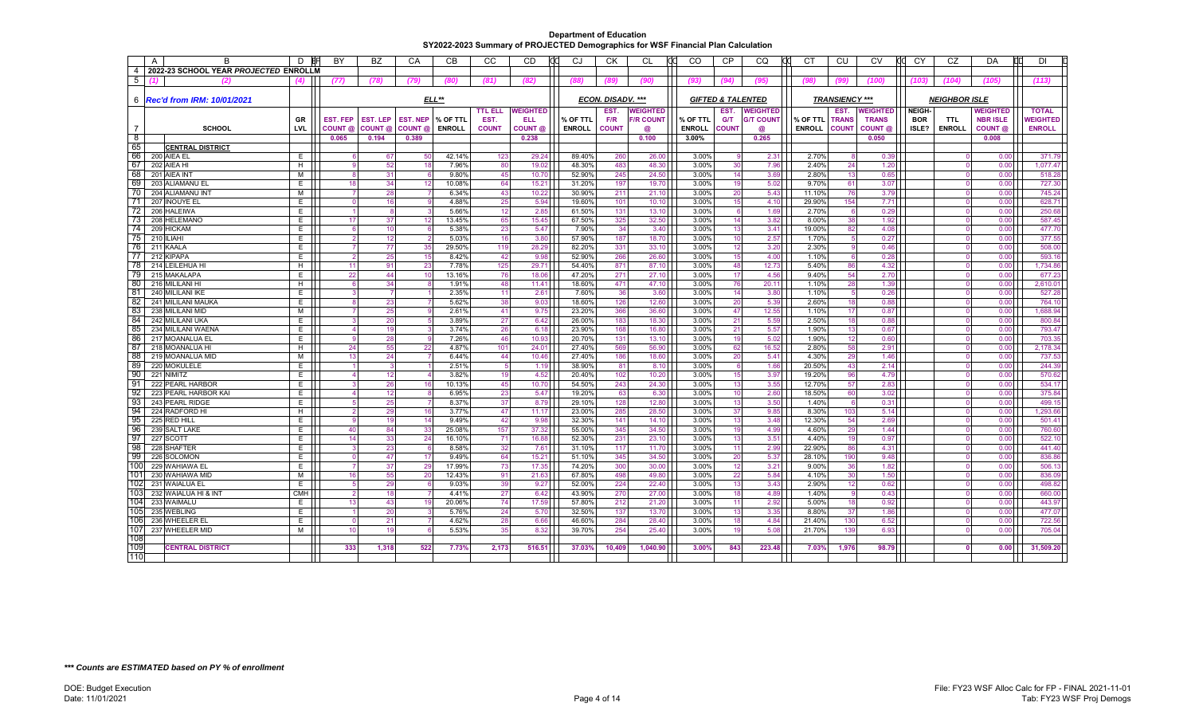|                | $\overline{A}$ | R                                     | D               | BY                   | <b>BZ</b>            | CA              | CB              | CC.            | <b>CD</b>       | CJ               | <b>CK</b>         | CL               | <b>CO</b><br>rr | <b>CP</b>                    | CO               | CT.             | CU                    | <b>CV</b><br>dd | CY           | CZ                   | DA              | <b>DI</b>        |
|----------------|----------------|---------------------------------------|-----------------|----------------------|----------------------|-----------------|-----------------|----------------|-----------------|------------------|-------------------|------------------|-----------------|------------------------------|------------------|-----------------|-----------------------|-----------------|--------------|----------------------|-----------------|------------------|
| $\overline{4}$ |                | 2022-23 SCHOOL YEAR PROJECTED ENROLLN |                 |                      |                      |                 |                 |                |                 |                  |                   |                  |                 |                              |                  |                 |                       |                 |              |                      |                 |                  |
| 5              |                | ω                                     | $\mathbf{A}$    | (77)                 | (78)                 | (79)            | (80)            | (81)           | (82)            | (88)             | (89)              | (90)             | (93)            | (94)                         | (95)             | (98)            | (99)                  | (100)           | (103)        | (104)                | (105)           | (113)            |
|                |                |                                       |                 |                      |                      |                 |                 |                |                 |                  |                   |                  |                 |                              |                  |                 |                       |                 |              |                      |                 |                  |
|                |                | 6   Rec'd from IRM: 10/01/2021        |                 |                      |                      |                 | ELL**           |                |                 |                  | ECON. DISADV. *** |                  |                 | <b>GIFTED &amp; TALENTED</b> |                  |                 | <b>TRANSIENCY ***</b> |                 |              | <b>NEIGHBOR ISLE</b> |                 |                  |
|                |                |                                       |                 |                      |                      |                 |                 | <b>TTL ELL</b> | <b>WEIGHTED</b> |                  | EST.              | <b>WEIGHTED</b>  |                 | EST.                         | <b>WEIGHTED</b>  |                 | EST.                  | WEIGHTED        | <b>NEIGH</b> |                      | <b>WEIGHTED</b> | <b>TOTAL</b>     |
|                |                |                                       | GR              | EST. FEP             | <b>EST. LEP</b>      | <b>EST. NEP</b> | % OF TTL        | EST.           | <b>ELL</b>      | % OF TTL         | F/R               | <b>F/R COUNT</b> | % OF TTL        | <b>G/T</b>                   | <b>G/T COUNT</b> | % OF TTL        | <b>TRANS</b>          | <b>TRANS</b>    | <b>BOR</b>   | <b>TTL</b>           | <b>NBR ISLE</b> | <b>NEIGHTED</b>  |
|                |                | <b>SCHOOL</b>                         | LVL             | COUNT @              | COUNT @              | COUNT @         | <b>ENROLL</b>   | <b>COUNT</b>   | COUNT @         | <b>ENROLL</b>    | <b>COUNT</b>      | @                | <b>ENROLL</b>   | <b>COUNT</b>                 | @                | <b>ENROLL</b>   | <b>COUNT</b>          | COUNT @         | ISLE?        | <b>ENROLL</b>        | COUNT @         | <b>ENROLL</b>    |
| $^8$           |                |                                       |                 | 0.065                | 0.194                | 0.389           |                 |                | 0.238           |                  |                   | 0.100            | $3.00\%$        |                              | 0.265            |                 |                       | 0.050           |              |                      | 0.008           |                  |
| 65             |                | <b>CENTRAL DISTRICT</b>               |                 |                      |                      |                 |                 |                |                 |                  |                   |                  |                 |                              |                  |                 |                       |                 |              |                      |                 |                  |
| 66             |                | 200 AIEA EL                           | E.              | ĥ                    | 67                   | 50              | 42.14%          | 123            | 29.24           | 89.40%           | 260               | 26.00            | 3.00%           | - 9                          | 2.31             | 2.70%           |                       | 0.39            |              |                      | 0.00            | 371.79           |
| 67             |                | 202 AIEA HI                           | H               | $\mathbf{9}$         | 52                   | 18              | 7.96%           | 80             | 19.02           | 48.30%           | 483               | 48.30            | 3.00%           | 30                           | 7.96             | 2.40%           | 24                    | 1.20            |              |                      | 0.00            | 1,077.47         |
| 68             |                | 201 AIEA INT                          | М               | <sub>8</sub>         | 31                   |                 | 9.80%           | 45             | 10.70           | 52.90%           | 245               | 24.50            | 3.00%           | 14                           | 3.69             | 2.80%           | 13                    | 0.65            |              |                      | 0.00            | 518.28           |
| 69             |                | 203 ALIAMANU EL                       | E               | 18                   | 34                   | 12              | 10.08%          | 64             | 15.21           | 31.20%           | 197               | 19.70            | 3.00%           | 19                           | 5.02             | 9.70%           | 61                    | 3.07            |              | $\Omega$             | 0.00            | 727.30           |
| 70             |                | 204 ALIAMANU INT                      | М               |                      | 28                   |                 | 6.34%           | 43             | 10.22           | 30.90%           | 211               | 21.10            | 3.00%           | 20                           | 5.43             | 11.10%          | 76                    | 3.79            |              |                      | 0.00            | 745.24           |
| 71             |                | 207 INOUYE EL                         | E               | $\Omega$             | 16                   |                 | 4.88%           | 25             | 5.94            | 19.60%           | 101               | 10.10            | 3.00%           | 15                           | 4.10             | 29.90%          | 154                   | 7.71            |              |                      | 0.00            | 628.71           |
| -72<br>73      |                | 206 HALEIWA                           | E               | $\vert$              | 8 <sup>1</sup><br>37 |                 | 5.66%           | 12             | 2.85            | 61.50%           | 131               | 13.10            | 3.00%           | - 6<br>14                    | 1.69             | 2.70%           | - 6                   | 0.29            |              |                      | 0.00            | 250.68           |
| 74             |                | 208 HELEMANO<br>209 HICKAM            | E.<br>E         | 17<br>$6 \mid$       | 10                   | 12              | 13.45%<br>5.38% | 65<br>23       | 15.45<br>5.47   | 67.50%<br>7.90%  | 325<br>34         | 32.50<br>3.40    | 3.00%<br>3.00%  | 13                           | 3.82<br>3.41     | 8.00%<br>19.00% | 38<br>82              | 1.92<br>4.08    |              |                      | 0.00<br>0.00    | 587.45<br>477.70 |
| 75             |                | 210 ILIAHI                            | E               | $\overline{2}$       | 12                   |                 | 5.03%           | 16             | 3.80            | 57.90%           | 187               | 18.70            | 3.00%           | 10                           | 2.57             | 1.70%           |                       | 0.27            |              | $\Omega$             | 0.00            | 377.55           |
| 76             |                | 211 KAALA                             | E               | $\overline{7}$       | 77                   | 35              | 29.50%          | 119            | 28.29           | 82.20%           | 331               | 33.10            | 3.00%           | 12                           | 3.20             | 2.30%           |                       | 0.46            |              | $\Omega$             | 0.00            | 508.00           |
| 77             |                | 212 KIPAPA                            | E               | $\overline{2}$       | 25                   | 15              | 8.42%           | 42             | 9.98            | 52.90%           | 266               | 26.60            | 3.00%           | 15                           | 4.00             | 1.10%           |                       | 0.28            |              |                      | 0.00            | 593.16           |
| -78            |                | 214 LEILEHUA HI                       | H               | 11                   | 91                   | 23              | 7.78%           | 125            | 29.71           | 54.40%           | 871               | 87.10            | 3.00%           | 48                           | 12.73            | 5.40%           | 86                    | 4.32            |              | $\Omega$             | 0.00            | 1,734.86         |
| 79             |                | 215 MAKALAPA                          | E               | 22                   | 44                   | 10              | 13.16%          | 76             | 18.06           | 47.20%           | 271               | 27.10            | 3.00%           | 17                           | 4.56             | 9.40%           | 54                    | 2.70            |              | $\Omega$             | 0.00            | 677.23           |
| 80             |                | 216 MILILANI HI                       | H               | $6 \mid$             | 34                   |                 | 1.91%           | 48             | 11.41           | 18.60%           | 471               | 47.10            | 3.00%           | 76                           | 20.11            | 1.10%           | 28                    | 1.39            |              |                      | 0.00            | 2,610.01         |
| 81             |                | 240 MILILANI IKE                      | E               | 3                    | $\overline{7}$       |                 | 2.35%           | 11             | 2.61            | 7.60%            | 36                | 3.60             | 3.00%           | 14                           | 3.80             | 1.10%           | -5                    | 0.26            |              |                      | 0.00            | 527.28           |
| 82             |                | 241 MILILANI MAUKA                    | E.              | 8                    | 23                   |                 | 5.62%           | 38             | 9.03            | 18.60%           | 126               | 12.60            | 3.00%           | 20                           | 5.39             | 2.60%           | 18                    | 0.88            |              |                      | 0.00            | 764.10           |
| 83             |                | 238 MILILANI MID                      | М               | $\overline{7}$       | 25                   |                 | 2.61%           | 41             | 9.75            | 23.20%           | 366               | 36.60            | 3.00%           | 47                           | 12.55            | 1.10%           | 17                    | 0.87            |              |                      | 0.00            | 1,688.94         |
| 84             |                | 242 MILILANI UKA                      | E               | $\overline{3}$       | 20                   |                 | 3.89%           | 27             | 6.42            | 26.00%           | 183               | 18.30            | 3.00%           | 21                           | 5.59             | 2.50%           | 18                    | 0.88            |              |                      | 0.00            | 800.84           |
| 85             |                | 234 MILILANI WAENA                    | E               | $\overline{4}$       | 19                   |                 | 3.74%           | 26             | 6.18            | 23.90%           | 168               | 16.80            | 3.00%           | 21                           | 5.57             | 1.90%           | 13                    | 0.67            |              | $\Omega$             | 0.00            | 793.47           |
| 86             |                | 217 MOANALUA EL                       | E               | 9                    | 28                   |                 | 7.26%           | 46             | 10.93           | 20.70%           | 131               | 13.10            | 3.00%           | 19                           | 5.02             | 1.90%           | 12                    | 0.60            |              |                      | 0.00            | 703.35           |
| 87             |                | 218 MOANALUA HI                       | H               | 24                   | 55                   | 22              | 4.87%           | 101            | 24.01           | 27.40%           | 569               | 56.90            | 3.00%           | 62                           | 16.52            | 2.80%           | 58                    | 2.91            |              |                      | 0.00            | 2,178.34         |
| 88             |                | 219 MOANALUA MID                      | М               | 13                   | 24                   |                 | 6.44%           | 44             | 10.46           | 27.40%           | 186               | 18.60            | 3.00%           | 20                           | 5.41             | 4.30%           | 29                    | 1.46            |              |                      | 0.00            | 737.53           |
| -89            |                | 220 MOKULELE                          | E               |                      | 3                    |                 | 2.51%           | 5 <sub>5</sub> | 1.19            | 38.90%           | 81                | 8.10             | 3.00%           | 6                            | 1.66             | 20.50%          | 43                    | 2.14            |              |                      | 0.00            | 244.39           |
| 90             |                | 221 NIMITZ                            | E               | 4                    | 12                   |                 | 3.82%           | 19             | 4.52            | 20.40%           | 102               | 10.20            | 3.00%           | 15                           | 3.97             | 19.20%          | 96                    | 4.79            |              |                      | 0.00            | 570.62           |
| -91            |                | 222 PEARL HARBOR                      | E               | 3                    | 26                   | 16              | 10.13%          | 45             | 10.70           | 54.50%           | 243               | 24.30            | 3.00%           | 13                           | 3.55             | 12.70%          | 57                    | 2.83            |              | $\Omega$             | 0.00            | 534.17           |
| -92            |                | 223 PEARL HARBOR KAI                  | E.              | 4                    | 12                   |                 | 6.95%           | 23             | 5.47            | 19.20%           | 63                | 6.30             | 3.00%           | 10                           | 2.60             | 18.50%          | 60                    | 3.02            |              |                      | 0.00            | 375.84           |
| -93            |                | 243 PEARL RIDGE                       | E               | 5                    | 25                   |                 | 8.37%           | 37             | 8.79            | 29.10%           | 128               | 12.80            | 3.00%           | 13                           | 3.50             | 1.40%           | -6                    | 0.31            |              |                      | 0.00            | 499.15           |
| 94             |                | 224 RADFORD HI                        | H               | $\overline{2}$       | 29                   | 16              | 3.77%           | 47             | 11.17           | 23.00%           | 285               | 28.50            | 3.00%           | 37                           | 9.85             | 8.30%           | 103                   | 5.14            |              | $\Omega$             | 0.00            | 1.293.66         |
| 95             |                | 225 RED HILL                          | E               | 9                    | 19                   | 14              | 9.49%           | 42             | 9.98            | 32.30%           | 141               | 14.10            | 3.00%           | 13                           | 3.48             | 12.30%          | 54                    | 2.69            |              |                      | 0.00            | 501.41           |
| -96            |                | 239 SALT LAKE                         | E               | 40                   | 84                   | 33              | 25.08%          | 157            | 37.32           | 55.00%           | 345               | 34.50            | 3.00%           | 19                           | 4.99             | 4.60%           | 29                    | 1.44            |              |                      | 0.00            | 760.60           |
| 97             |                | 227 SCOTT                             | E               | 14                   | 33                   | 24              | 16.10%          | 71             | 16.88           | 52.30%           | 231               | 23.10            | 3.00%           | 13                           | 3.51             | 4.40%           | 19                    | 0.97            |              |                      | 0.00            | 522.10           |
| -98            |                | 228 SHAFTER                           | E               | 3                    | 23                   |                 | 8.58%           | 32             | 7.61            | 31.10%           | 117               | 11.70            | 3.00%           | 11                           | 2.99             | 22.90%          | 86                    | 4.31            |              | $\Omega$             | 0.00            | 441.40           |
| -99            |                | 226 SOLOMON                           | E               | $\overline{0}$       | 47                   | 17              | 9.49%           | 64             | 15.21           | 51.10%           | 345               | 34.50            | 3.00%           | 20                           | 5.37             | 28.10%          | 190                   | 9.48            |              |                      | 0.00            | 836.86           |
| 100<br>101     |                | 229 WAHIAWA EI                        | E               | $\overline{7}$       | 37                   | 29              | 17.99%          | 73             | 17.35           | 74.20%           | 300               | 30.00            | 3.00%           | 12                           | 3.21             | 9.00%           | 36                    | 1.82            |              |                      | 0.00            | 506.13           |
|                |                | 230 WAHIAWA MID                       | M               | 16                   | 55                   | 20              | 12.43%          | 91             | 21.63           | 67.80%           | 498               | 49.80            | 3.00%           | 22                           | 5.84             | 4.10%           | 30                    | 1.50            |              | $\Omega$             | 0.00            | 836.09           |
| 102<br>10      |                | 231 WAIALUA EL                        | E               | 5                    | 29<br>18             |                 | 9.03%           | 39<br>27       | 9.27<br>6.42    | 52.00%           | 224<br>270        | 22.40<br>27.00   | 3.00%<br>3.00%  | 13<br>18                     | 3.43             | 2.90%<br>1.40%  | 12                    | 0.62            |              |                      | 0.00            | 498.82           |
| 104            |                | 232 WAIALUA HI & INT<br>233 WAIMALU   | <b>CMH</b><br>E | $\overline{2}$<br>13 | 43                   |                 | 4.41%<br>20.06% | 74             | 17.59           | 43.90%<br>57.80% | 212               |                  | 3.00%           | 11                           | 4.89<br>2.92     | 5.00%           |                       | 0.43            |              |                      | 0.00<br>0.00    | 660.00<br>443.97 |
| 105            |                | 235 WEBLING                           | E               |                      | 20                   | 19              | 5.76%           | 24             | 5.70            | 32.50%           | 137               | 21.20<br>13.70   | 3.00%           | 13                           | 3.35             | 8.80%           | 18<br>37              | 0.92<br>1.86    |              | $\Omega$             | 0.00            | 477.07           |
| 106            |                | 236 WHEELER EL                        | E               | $\overline{0}$       | 21                   |                 | 4.62%           | 28             | 6.66            | 46.60%           | 284               | 28.40            | 3.00%           | 18                           | 4.84             | 21.40%          | 130                   | 6.52            |              |                      | 0.00            | 722.56           |
| 107            |                | 237 WHEELER MID                       | М               | 10                   | 19                   |                 | 5.53%           | 35             | 8.32            | 39.70%           | 254               | 25.40            | 3.00%           | 19                           | 5.08             | 21.70%          | 139                   | 6.93            |              |                      | 0.00            | 705.04           |
| 108            |                |                                       |                 |                      |                      |                 |                 |                |                 |                  |                   |                  |                 |                              |                  |                 |                       |                 |              |                      |                 |                  |
| 109            |                | <b>CENTRAL DISTRICT</b>               |                 | 333                  | 1,318                | 522             | 7.73%           | 2,173          | 516.51          | 37.03%           | 10,409            | 1,040.90         | 3.00%           | 843                          | 223.48           | 7.03%           | 1,976                 | 98.79           |              |                      | 0.00            | 31,509.20        |
| 110            |                |                                       |                 |                      |                      |                 |                 |                |                 |                  |                   |                  |                 |                              |                  |                 |                       |                 |              |                      |                 |                  |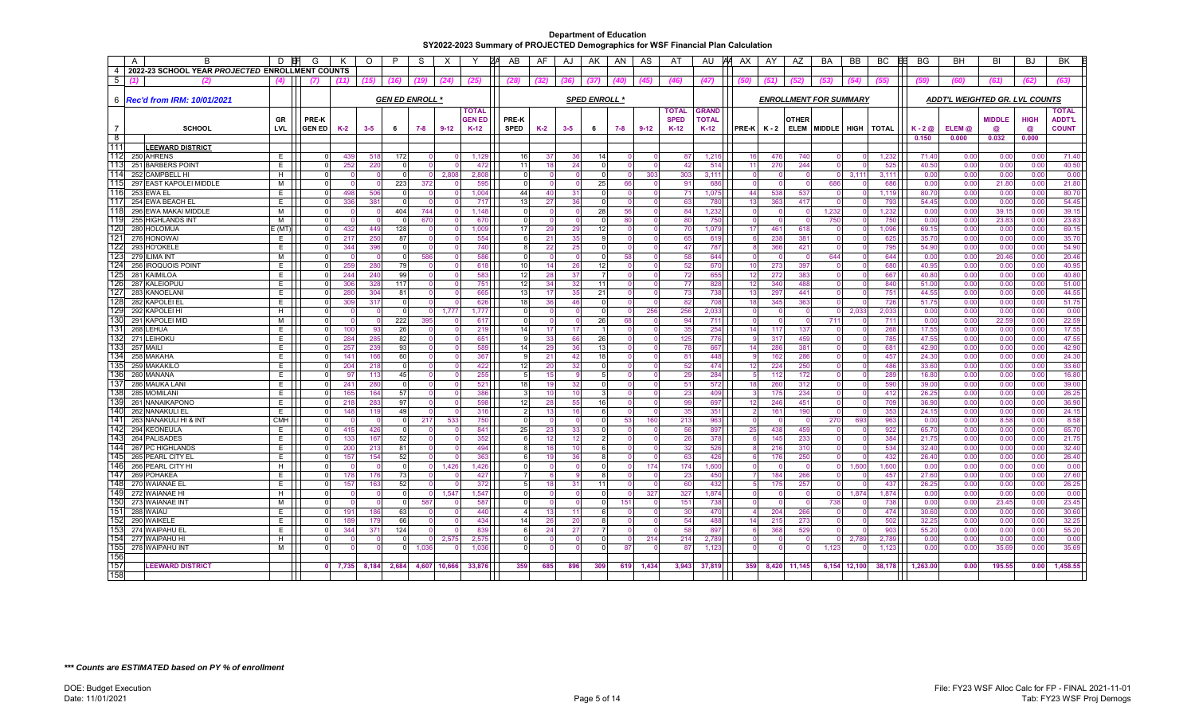|                | $\overline{A}$<br>B                             | D          | G                    |           | O       | $\mathsf{P}$ | S                      | $\times$ |                 | ZΑ<br>AB      | AF       | AJ       | AK                   | AN   | AS       | AT           | AU           | AA AX          | AY              | AZ                            | BA                       | BB           | BC<br>EE        | <b>BG</b>        | <b>BH</b>                             | BI            | <b>BJ</b>    | <b>BK</b>      |
|----------------|-------------------------------------------------|------------|----------------------|-----------|---------|--------------|------------------------|----------|-----------------|---------------|----------|----------|----------------------|------|----------|--------------|--------------|----------------|-----------------|-------------------------------|--------------------------|--------------|-----------------|------------------|---------------------------------------|---------------|--------------|----------------|
| $\overline{4}$ | 2022-23 SCHOOL YEAR PROJECTED ENROLLMENT COUNTS |            |                      |           |         |              |                        |          |                 |               |          |          |                      |      |          |              |              |                |                 |                               |                          |              |                 |                  |                                       |               |              |                |
| 5              | (2)                                             | (4)        | 71                   | (11)      | (15)    | (16)         | (19)                   | (24)     | (25)            | (28)          | (32)     | (36)     | (37)                 | (40) | (45)     | (46)         | (47)         |                | (51)            | (52)                          | (53)                     | (54)         | (55)            |                  | (60)                                  | (61)          | (62)         | (63)           |
|                |                                                 |            |                      |           |         |              |                        |          |                 |               |          |          |                      |      |          |              |              |                |                 |                               |                          |              |                 |                  |                                       |               |              |                |
| 6              | <b>Rec'd from IRM: 10/01/2021</b>               |            |                      |           |         |              | <b>GEN ED ENROLL *</b> |          |                 |               |          |          | <b>SPED ENROLL *</b> |      |          |              |              |                |                 | <b>ENROLLMENT FOR SUMMARY</b> |                          |              |                 |                  | <b>ADDT'L WEIGHTED GR. LVL COUNTS</b> |               |              |                |
|                |                                                 |            |                      |           |         |              |                        |          |                 |               |          |          |                      |      |          |              |              |                |                 |                               |                          |              |                 |                  |                                       |               |              |                |
|                |                                                 |            |                      |           |         |              |                        |          | <b>TOTAL</b>    |               |          |          |                      |      |          | <b>TOTAL</b> | <b>GRAND</b> |                |                 |                               |                          |              |                 |                  |                                       |               |              | <b>TOTAL</b>   |
|                |                                                 | GR         | <b>PRE-K</b>         |           |         |              |                        |          | <b>GEN ED</b>   | <b>PRE-K</b>  |          |          |                      |      |          | <b>SPED</b>  | <b>TOTAL</b> |                |                 | OTHER                         |                          |              |                 |                  |                                       | <b>MIDDLE</b> | <b>HIGH</b>  | <b>ADDT'L</b>  |
|                | SCHOOL                                          | LVL        | <b>GEN ED</b>        | $K-2$     | $3 - 5$ | - 6          | 7-8                    | $9 - 12$ | $K-12$          | SPED          | $K-2$    | $3 - 5$  | 6                    | 7-8  | $9 - 12$ | $K-12$       | $K-12$       | PRE-K          | K - 2           |                               | ELEM MIDDLE HIGH   TOTAL |              |                 | $K - 2$ $\omega$ | ELEM @                                | @             | $\omega$     | <b>COUNT</b>   |
| ි 8            |                                                 |            |                      |           |         |              |                        |          |                 |               |          |          |                      |      |          |              |              |                |                 |                               |                          |              |                 | 0.150            | 0.000                                 | 0.032         | 0.000        |                |
| 111            | <b>LEEWARD DISTRICT</b>                         |            |                      |           |         |              |                        |          |                 |               |          |          |                      |      |          |              |              |                |                 |                               |                          |              |                 |                  |                                       |               |              |                |
| 112            | 250 AHRENS                                      | E          | $\Omega$             | 439       | 518     | 172          |                        |          | 1,129           | 16            | -37      | 36       | 14                   |      | $\Omega$ | 87           | 1,216        | 16             | 476             | 740                           |                          |              | 1,232           | 71.40            | 0.00                                  | 0.00          | 0.00         | 71.40          |
| 113<br>114     | 251 BARBERS POINT                               | E          | $\Omega$<br>$\Omega$ | 252       | 220     |              |                        |          | 472             | 11            | 18       | 24       |                      |      |          | 42           | 514          | 11             | 270             | 244                           |                          |              | 525             | 40.50            | 0.00                                  | 0.00          | 0.00         | 40.50          |
| 115            | 252 CAMPBELL HI                                 | H          |                      |           |         |              |                        | 2,808    | 2,808           | $\Omega$      |          |          |                      |      | 303      | 303          | 3,111        |                | $\Omega$        | - 0                           |                          | 3,111        | 3,11'           | 0.00             | 0.00                                  | 0.00          | 0.00         | 0.00           |
| 116            | 297 EAST KAPOLEI MIDDLE                         | м          | $\Omega$             | 498       |         | 223          | 372                    |          | 595             |               |          |          | 25                   | 66   |          | 91           | 686          |                | $\Omega$        | $\Omega$                      | 686                      |              | 686             | 0.00             | 0.00                                  | 21.80         | 0.00         | 21.80<br>80.70 |
| 117            | 253 EWA EL                                      | E.         | $\Omega$             | 336       | 506     |              |                        |          | 1,004           | 44            | 40       | 31       |                      |      |          | 71           | 1,075        | 44             | 538             | 537                           |                          |              | 1,119           | 80.70            | 0.00<br>0.00                          | 0.00          | 0.00         | 54.45          |
| 118            | 254 EWA BEACH EL<br>296 EWA MAKAI MIDDLE        | E<br>M     | $\Omega$<br>$\Omega$ |           | 381     | 404          | 744                    |          | 717<br>1.148    | 13<br>U       | 27       | 36       | 28                   | 56   |          | 63<br>84     | 780<br>1,232 | 13<br>$\Omega$ | 363<br>$\Omega$ | 417<br>$\Omega$               | 1.232                    |              | 793<br>1,232    | 54.45<br>0.00    | 0.00                                  | 0.00<br>39.15 | 0.00<br>0.00 | 39.15          |
| 119            |                                                 | M          | $\Omega$             |           |         |              | 670                    |          |                 | $\Omega$      |          |          |                      |      |          |              |              |                | $\Omega$        |                               |                          |              |                 |                  |                                       |               |              | 23.83          |
| 120            | 255 HIGHLANDS INT                               |            | $\Omega$             | 432       | 449     | 128          |                        |          | 670<br>1,009    | 17            | 29       | 29       | 12                   | 80   |          | 80<br>70     | 750<br>1,079 | 17             | 461             | 618                           | 750                      |              | 750<br>1,096    | 0.00<br>69.15    | 0.00<br>0.00                          | 23.83<br>0.00 | 0.00<br>0.00 | 69.15          |
| 121            | 280 HOLOMUA                                     | E (MT<br>E | 0                    | 217       | 250     | 87           |                        |          | 554             | 6             |          | 35       |                      |      | -0       | 65           | 619          | -6             | 238             | 381                           |                          |              | 625             | 35.70            | 0.00                                  |               | 0.00         | 35.70          |
| 122            | 276 HONOWAI<br>293 HO'OKELE                     | E.         | 0                    | 344       | 396     |              |                        |          | 740             | 8             | 21<br>22 | 25       |                      |      |          | 47           | 787          |                | 366             | 421                           |                          |              | 795             | 54.90            | 0.00                                  | 0.00<br>0.00  | 0.00         | 54.90          |
| 123            | 279 ILIMA INT                                   | м          | $\Omega$             |           |         | $\Omega$     | 586                    |          | 586             | U             |          |          |                      | 58   |          | 58           | 644          | $\Omega$       | $\Omega$        | $\Omega$                      | 644                      |              | 644             | 0.00             | 0.00                                  | 20.46         | 0.00         | 20.46          |
| 124            | 256 IROQUOIS POINT                              | E          | 0                    | 259       | 280     | 79           |                        |          | 618             | 10            | 14       | 26       | 12                   |      |          | 52           | 670          | 10             | 273             | 397                           |                          |              | 680             | 40.95            | 0.00                                  | 0.00          | 0.00         | 40.95          |
| 125            | 281 KAIMILOA                                    | E.         | $\Omega$             | 244       | 240     | 99           |                        |          | 583             | 12            | 28       | 37       |                      |      |          | 72           | 655          | 12             | 272             | 383                           |                          |              | 667             | 40.8             | 0.00                                  | 0.00          | 0.00         | 40.80          |
| 126            | 287 KALEIOPUU                                   | E.         | $\Omega$             | 306       | 328     | 117          |                        |          | 751             | 12            | 34       | 32       | 11                   |      | ſ        | 77           | 828          | 12             | 340             | 488                           |                          |              | 840             | 51.00            | 0.00                                  | 0.00          | 0.00         | 51.00          |
| 127            | 283 KANOELANI                                   | E.         | $\Omega$             | 280       | 304     | 81           |                        |          | 665             | 13            | 17       | 35       | 21                   |      |          | 73           | 738          | 13             | 297             | 441                           |                          |              | 75'             | 44.55            | 0.00                                  | 0.00          | 0.00         | 44.55          |
| 128            | 282 KAPOLEI EL                                  | E          | 0                    | 309       | 317     |              |                        |          | 626             | 18            | 36       | 46       |                      |      | - 0      | 82           | 708          | 18             | 345             | 363                           |                          |              | 726             | 51.75            | 0.00                                  | 0.00          | 0.00         | 51.75          |
| 129            | 292 KAPOLEI HI                                  | H          | 0                    |           |         |              |                        | 1,777    | 1,777           | $\Omega$      |          |          |                      |      | 256      | 256          | 2,033        |                | $\Omega$        |                               |                          | 2,033        | 2,033           | 0.00             | 0.00                                  | 0.00          | 0.00         | 0.00           |
| 130            | 291 KAPOLEI MID                                 | м          | $\Omega$             |           |         | 222          | 395                    |          | 617             | U             |          |          | 26                   | 68   |          | 94           | 711          |                | $\Omega$        |                               | 711                      |              | 71'             | 0.00             | 0.00                                  | 22.59         | 0.00         | 22.59          |
| 131            | 268 LEHUA                                       | E.         | $\Omega$             | 100       | 93      | 26           |                        |          | 219             | 14            | 17       | 17       |                      |      |          | 35           | 254          | 14             | 117             | 137                           |                          |              | 268             | 17.55            | 0.00                                  | 0.00          | 0.00         | 17.55          |
| 132            | 271 LEIHOKU                                     | E.         | $\Omega$             | 284       | 285     | 82           |                        |          | 651             | a             | 33       | 66       | 26                   |      |          | 125          | 776          |                | 317             | 459                           |                          |              | 785             | 47.55            | 0.00                                  | 0.00          | 0.00         | 47.55          |
| 133            | 257 MAIL                                        | E          | $\Omega$             | 257       | 239     | 93           |                        |          | 589             | 14            | 29       | 36       | 13                   |      |          | 78           | 667          | 14             | 286             | 381                           |                          |              | 68 <sup>2</sup> | 42.90            | 0.00                                  | 0.00          | 0.00         | 42.90          |
| 134            | 258 MAKAHA                                      | E.         | $\Omega$             | 141       | 166     | 60           |                        |          | 367             | a             | 21       | 42       | 18                   |      |          | 81           | 448          |                | 162             | 286                           |                          |              | 457             | 24.30            | 0.00                                  | 0.00          | 0.00         | 24.30          |
| 135            | 259 MAKAKILO                                    | Е          | $\Omega$             | 204       | 218     |              |                        |          | 422             | 12            | 20       | 32       |                      |      |          | 52           | 474          | 12             | 224             | 250                           |                          |              | 486             | 33.60            | 0.00                                  | 0.00          | 0.00         | 33.60          |
| 136            | 260 MANANA                                      | E.         | $\Omega$             | 97        | 113     | 45           |                        |          | 255             | 5             | 15       |          |                      |      |          | 29           | 284          |                | 112             | 172                           |                          |              | 289             | 16.80            | 0.00                                  | 0.00          | 0.00         | 16.80          |
| 137            | 286 MAUKA LANI                                  | E.         | $\Omega$             | 241       | 280     |              |                        |          | 52 <sup>1</sup> | 18            | 19       | 32       |                      |      |          | 51           | 572          | 18             | 260             | 312                           |                          |              | 590             | 39.00            | 0.00                                  | 0.00          | 0.00         | 39.00          |
| 138            | 285 MOMILANI                                    | E.         | $\Omega$             | 165       | 164     | 57           |                        |          | 386             | 3             | 10       | 10       |                      |      | $\Omega$ | 23           | 409          |                | 175             | 234                           |                          |              | 412             | 26.25            | 0.00                                  | 0.00          | 0.00         | 26.25          |
| 139            | 261 NANAIKAPONO                                 | E          | $\Omega$             | 218       | 283     | 97           |                        |          | 598             | 12            | 28       | 55       | 16                   |      |          | 99           | 697          | 12             | 246             | 451                           |                          |              | 709             | 36.90            | 0.00                                  | 0.00          | 0.00         | 36.90          |
| 140            | 262 NANAKULI EL                                 | Е          | $\Omega$             | 148       | 119     | 49           |                        |          | 316             | $\mathcal{P}$ | 13       | 16       |                      |      |          | 35           | 351          |                | 161             | 190                           |                          |              | 353             | 24.15            | 0.00                                  | 0.00          | 0.00         | 24.15          |
| 141            | 263 NANAKULI HI & INT                           | <b>CMH</b> | $\Omega$             |           |         |              | 217                    | 533      | 750             | $\Omega$      |          |          | $\Omega$             | 53   | 160      | 213          | 963          |                | $\Omega$        | $\Omega$                      | 270                      | 693          | 963             | 0.00             | 0.00                                  | 8.58          | 0.00         | 8.58           |
| 142            | 294 KEONEULA                                    | E          | $\Omega$             | 415       | 426     |              |                        |          | 841             | 25            | 23       | 33       |                      |      |          | 56           | 897          | 25             | 438             | 459                           |                          |              | 922             | 65.70            | 0.00                                  | 0.00          | 0.00         | 65.70          |
| 143            | 264 PALISADES                                   | E          | $\Omega$             | 133       | 167     | 52           |                        |          | 352             | ĥ             | 12       | 12       |                      |      |          | 26           | 378          |                | 145             | 233                           |                          |              | 384             | 21.75            | 0.00                                  | 0.00          | 0.00         | 21.75          |
| 144            | 267 PC HIGHLANDS                                | E.         | $\Omega$             | 200       | 213     | 81           |                        |          | 494             | 8             | 16       | 10       |                      |      |          | 32           | 526          |                | 216             | 310                           |                          |              | 534             | 32.40            | 0.00                                  | 0.00          | 0.00         | 32.40          |
| 145            | 265 PEARL CITY EL                               | E          | $\Omega$             | 157       | 154     | 52           |                        |          | 363             | 6             | 19       | 36       |                      |      |          | 63           | 426          |                | 176             | 250                           |                          |              | 432             | 26.40            | 0.00                                  | 0.00          | 0.00         | 26.40          |
| 146            | 266 PEARL CITY HI                               | H          | $\Omega$             |           |         |              |                        | 1,426    | 1,426           | $\Omega$      |          |          |                      |      | 174      | 174          | ,600         |                | $\Omega$        |                               |                          | 1,600        | 1,600           | 0.00             | 0.00                                  | 0.00          | 0.00         | 0.00           |
| 147            | 269 POHAKEA                                     | Е          | $\Omega$             | 178       | 176     | 73           |                        |          | 427             |               |          |          |                      |      |          | 23           | 450          |                | 184             | 266                           |                          |              | 457             | 27.60            | 0.00                                  | 0.00          | 0.00         | 27.60          |
| 148            | 270 WAIANAE EL                                  | E.         | $\Omega$             | 157       | 163     | 52           |                        |          | 372             | 5             | 18       | 31       | 11                   |      | - 0      | 60           | 432          |                | 175             | 257                           |                          |              | 437             | 26.25            | 0.00                                  | 0.00          | 0.00         | 26.25          |
| 149            | 272 WAIANAE HI                                  | H          | $\Omega$             |           |         |              |                        | 1,547    | 1,547           | $\Omega$      |          |          |                      |      | 327      | 327          | 1,874        |                |                 |                               |                          | 1,874        | 1,874           | 0.00             | 0.00                                  | 0.00          | 0.00         | 0.00           |
| 150            | 273 WAIANAE INT                                 | м          | $\Omega$             |           | - 0     | - 0          | 587                    |          | 587             | U             |          | $\Omega$ |                      | 151  |          | 151          | 738          | $\Omega$       | $\Omega$        | $\Omega$                      | 738                      |              | 738             | 0.00             | 0.00                                  | 23.45         | 0.00         | 23.45          |
| 151            | 288 WAIAU                                       | E.         | $\Omega$             | 191       | 186     | 63           |                        |          | 440             |               | 13       | 11       | $6 \overline{6}$     |      |          | 30           | 470          |                | 204             | 266                           |                          |              | 474             | 30.60            | 0.00                                  | 0.00          | 0.00         | 30.60          |
| 152            | 290 WAIKELE                                     | E.         | $\Omega$             | 189       | 179     | 66           |                        |          | 434             | 14            | 26       | 20       |                      |      |          | 54           | 488          | 14             | 215             | 273                           |                          |              | 502             | 32.25            | 0.00                                  | 0.00          | 0.00         | 32.25          |
| 153            | 274 WAIPAHU EL                                  | Е          | 0                    | 344       | 371     | 124          |                        |          | 839             | 6             | 24       | 27       | $\overline{7}$       |      | $\Omega$ | 58           | 897          |                | 368             | 529                           |                          |              | 903             | 55.20            | 0.00                                  | 0.00          | 0.00         | 55.20          |
| 154            | 277 WAIPAHU HI                                  | H          | $\Omega$             |           |         |              |                        | 2,575    | 2,57            | 0             |          |          |                      |      | 214      | 214          | 2,789        |                |                 |                               |                          | 2,789        | 2,789           | 0.00             | 0.00                                  | 0.00          | 0.00         | 0.00           |
| 155            | 278 WAIPAHU INT                                 | M          | $\Omega$             |           |         |              | 1.036                  |          | 1.036           | $\Omega$      |          |          |                      | 87   |          | 87           | 1,123        |                | $\Omega$        | $\Omega$                      | 1.123                    |              | 1.123           | 0.00             | 0.00                                  | 35.69         | 0.00         | 35.69          |
| 156            |                                                 |            |                      |           |         |              |                        |          |                 |               |          |          |                      |      |          |              |              |                |                 |                               |                          |              |                 |                  |                                       |               |              |                |
| 157            | <b>LEEWARD DISTRICT</b>                         |            |                      | $0$ 7,735 | 8,184   | 2,684        | 4,607                  | 10,666   | 33,876          | 359           | 685      | 896      | 309                  | 619  | 1,434    | 3.943        | 37,819       | 359            |                 | 8,420 11,145                  |                          | 6,154 12,100 | 38,178          | 1,263.00         | 0.00                                  | 195.55        | 0.00         | 1,458.55       |
| 158            |                                                 |            |                      |           |         |              |                        |          |                 |               |          |          |                      |      |          |              |              |                |                 |                               |                          |              |                 |                  |                                       |               |              |                |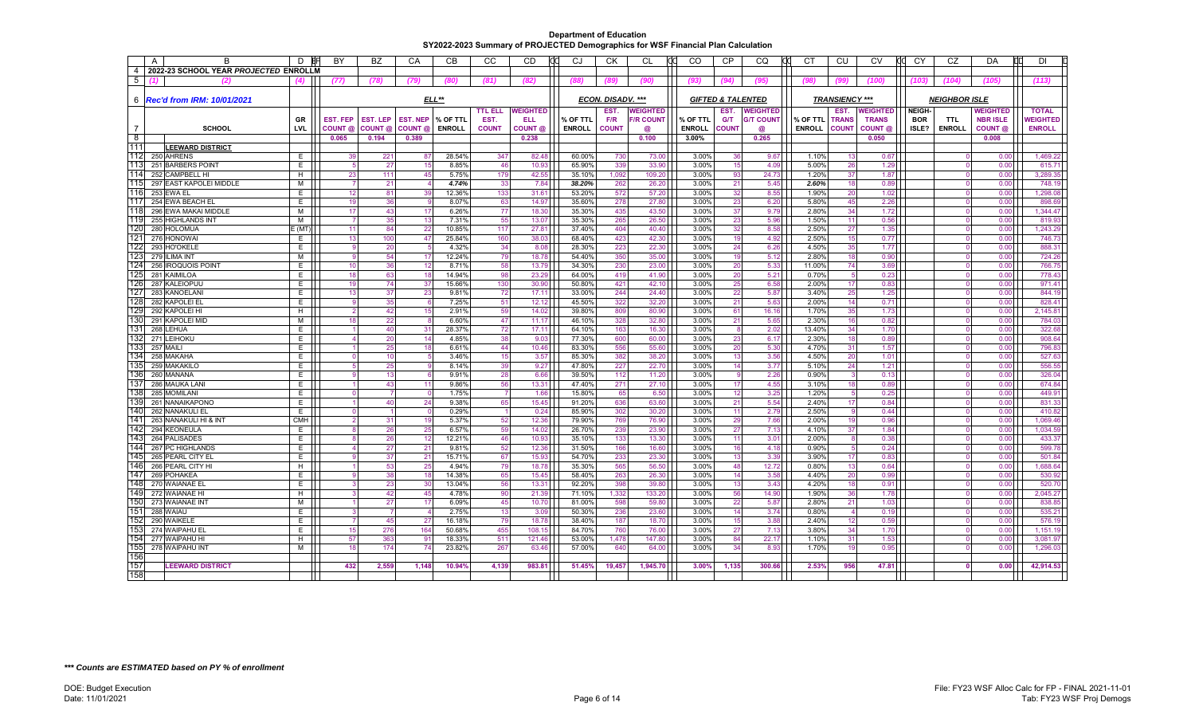|                | $\mathsf{A}$ | B                                     | D          | BY              | <b>BZ</b>       | CA              | <b>CB</b>       | CC                   | CD                 | dd<br>CJ         | <b>CK</b>                | CL               | CO             | <b>CP</b>    | CO                           | CT             | CU                    | <b>CV</b>       | CY         | CZ                   | DA              | ПГ<br><b>DI</b>    |
|----------------|--------------|---------------------------------------|------------|-----------------|-----------------|-----------------|-----------------|----------------------|--------------------|------------------|--------------------------|------------------|----------------|--------------|------------------------------|----------------|-----------------------|-----------------|------------|----------------------|-----------------|--------------------|
| $\overline{4}$ |              | 2022-23 SCHOOL YEAR PROJECTED ENROLLM |            |                 |                 |                 |                 |                      |                    |                  |                          |                  |                |              |                              |                |                       |                 |            |                      |                 |                    |
| 5              |              |                                       |            | (77)            | (78)            | (79)            | (80)            | (81)                 | (82)               | (88)             | (89                      | (90)             | (93)           | (94)         | (95)                         | (98)           | (99)                  | (100)           | (103)      | (104)                | (105)           | (113)              |
|                |              |                                       |            |                 |                 |                 |                 |                      |                    |                  |                          |                  |                |              |                              |                |                       |                 |            |                      |                 |                    |
|                |              | 6   Rec'd from IRM: 10/01/2021        |            |                 |                 |                 | ELL**           |                      |                    |                  | <b>ECON. DISADV. ***</b> |                  |                |              | <b>GIFTED &amp; TALENTED</b> |                | <b>TRANSIENCY ***</b> |                 |            | <b>NEIGHBOR ISLE</b> |                 |                    |
|                |              |                                       |            |                 |                 |                 |                 | <b>TTL ELL</b>       | <b>WEIGHTED</b>    |                  | EST.                     | <b>WEIGHTED</b>  |                | EST.         | <b>WEIGHTED</b>              |                | EST.                  | <b>WEIGHTED</b> | NEIGH-     |                      | <b>WEIGHTED</b> | <b>TOTAL</b>       |
|                |              |                                       | <b>GR</b>  | <b>EST. FEP</b> | <b>EST. LEP</b> | <b>EST. NEP</b> | % OF TTL        | EST.                 | <b>ELL</b>         | % OF TTL         | F/R                      | <b>F/R COUNT</b> | % OF TTL       | G/T          | <b>G/T COUNT</b>             | % OF TTL       | <b>TRANS</b>          | <b>TRANS</b>    | <b>BOR</b> | <b>TTL</b>           | <b>NBR ISLE</b> | <b>NEIGHTED</b>    |
|                |              | <b>SCHOOL</b>                         | LVL        | COUNT @         | COUNT @         | COUNT @         | <b>ENROLL</b>   | <b>COUNT</b>         | COUNT <sub>@</sub> | <b>ENROLL</b>    | <b>COUNT</b>             | @                | <b>ENROLL</b>  | <b>COUNT</b> | @                            | <b>ENROLL</b>  | <b>COUNT</b>          | COUNT @         | ISLE?      | <b>ENROLL</b>        | COUNT @         | <b>ENROLL</b>      |
| $^8$           |              |                                       |            | 0.065           | 0.194           | 0.389           |                 |                      | 0.238              |                  |                          | 0.100            | 3.00%          |              | 0.265                        |                |                       | 0.050           |            |                      | 0.008           |                    |
| 111            |              | <b>LEEWARD DISTRICT</b>               |            |                 |                 |                 |                 |                      |                    |                  |                          |                  |                |              |                              |                |                       |                 |            |                      |                 |                    |
| 112            |              | 250 AHRENS                            | E          | 39              | 221             | 87              | 28.54%          | 347                  | 82.48              | 60.00%           | 730                      | 73.00            | 3.00%          | 36           | 9.67                         | 1.10%          | 13                    | 0.67            |            |                      | 0.00            | 1.469.22           |
| 113<br>114     |              | 251 BARBERS POINT<br>252 CAMPBELL HI  | E.<br>Н.   | 23              | 27<br>111       | 15              | 8.85%<br>5.75%  | 46<br>179            | 10.93<br>42.55     | 65.90%<br>35.10% | 339<br>1,092             | 33.90<br>109.20  | 3.00%<br>3.00% | 15<br>93     | 4.09<br>24.73                | 5.00%<br>1.20% | 26<br>37              | 1.29<br>1.87    |            | $\Omega$             | 0.00<br>0.00    | 615.7'<br>3.289.35 |
| 11!            |              | 297 EAST KAPOLEI MIDDLE               | м          |                 | 21              | 45              | 4.74%           | 33                   | 7.84               | 38.20%           | 262                      | 26.20            | 3.00%          | 21           | 5.45                         | 2.60%          | 18                    | 0.89            |            |                      | 0.00            | 748.19             |
| 116            |              | 253 EWA EL                            | E.         | 12              | 81              | 39              | 12.36%          | 133                  | 31.61              | 53.20%           | 572                      | 57.20            | 3.00%          | 32           | 8.55                         | 1.90%          | 20                    | 1.02            |            |                      | 0.00            | 1,298.08           |
| 117            |              | 254 EWA BEACH EL                      | E.         | 19              | 36              | $\mathbf{q}$    | 8.07%           | 63                   | 14.97              | 35.60%           | 278                      | 27.80            | 3.00%          | 23           | 6.20                         | 5.80%          | 45                    | 2.26            |            | $\Omega$             | 0.00            | 898.69             |
| 118            |              | 296 EWA MAKAI MIDDLE                  | M          | 17              | 43              | 17              | 6.26%           | 77                   | 18.30              | 35.30%           | 435                      | 43.50            | 3.00%          | 37           | 9.79                         | 2.80%          | 34                    | 1.72            |            |                      | 0.00            | 1,344.47           |
| 119            |              | 255 HIGHLANDS INT                     | M          |                 | 35              | 13              | 7.31%           | 55                   | 13.07              | 35.30%           | 265                      | 26.50            | 3.00%          | 23           | 5.96                         | 1.50%          | 11                    | 0.56            |            |                      | 0.00            | 819.93             |
| 120            |              | 280 HOLOMUA                           | E(MT)      | 11              | 84              | 22              | 10.85%          | 117                  | 27.81              | 37.40%           | 404                      | 40.40            | 3.00%          | 32           | 8.58                         | 2.50%          | 27                    | 1.35            |            |                      | 0.00            | 1,243.29           |
| 121            |              | 276 HONOWAI                           | E.         | 13              | 100             | 47              | 25.84%          | 160                  | 38.03              | 68.40%           | 423                      | 42.30            | 3.00%          | 19           | 4.92                         | 2.50%          | 15                    | 0.77            |            |                      | 0.00            | 746.73             |
| 122            |              | 293 HO'OKELE                          | E.         |                 | 20              |                 | 4.32%           | 34                   | 8.08               | 28.30%           | 223                      | 22.30            | 3.00%          | 24           | 6.26                         | 4.50%          | 35                    | 1.77            |            |                      | 0.00            | 888.3              |
| 123            |              | 279 ILIMA INT                         | M          |                 | 54              | 17              | 12.24%          | 79                   | 18.78              | 54.40%           | 350                      | 35.00            | 3.00%          | 19           | 5.12                         | 2.80%          | 18                    | 0.90            |            |                      | 0.00            | 724.26             |
| 124            |              | 256 IROQUOIS POINT                    | E.         | 10              | 36              | 12              | 8.71%           | 58                   | 13.79              | 34.30%           | 230                      | 23.00            | 3.00%          | 20           | 5.33                         | 11.00%         | 74                    | 3.69            |            | $\Omega$             | 0.00            | 766.75             |
| 125<br>126     |              | 281 KAIMILOA                          | E.         | 18              | 63<br>74        | 18<br>37        | 14.94%          | 98<br>130            | 23.29<br>30.90     | 64.00%           | 419<br>421               | 41.90<br>42.10   | 3.00%          | 20           | 5.21                         | 0.70%          |                       | 0.23            |            |                      | 0.00<br>0.00    | 778.43<br>971.41   |
| 127            |              | 287 KALEIOPUU<br>283 KANOELANI        | E.<br>E    | 19<br>13        | 37              | 23              | 15.66%<br>9.81% | 72                   | 17.11              | 50.80%<br>33.00% | 244                      | 24.40            | 3.00%<br>3.00% | 25<br>22     | 6.58<br>5.87                 | 2.00%<br>3.40% | 17<br>25              | 0.83<br>1.25    |            |                      | 0.00            | 844.19             |
| 128            |              | 282 KAPOLEI EL                        | E.         |                 | 35              | 6               | 7.25%           | 51                   | 12.12              | 45.50%           | 322                      | 32.20            | 3.00%          | 21           | 5.63                         | 2.00%          | 14                    | 0.71            |            |                      | 0.00            | 828.4              |
| 129            |              | 292 KAPOLEI HI                        | Н.         |                 | 42              | 15              | 2.91%           | 59                   | 14.02              | 39.80%           | 809                      | 80.90            | 3.00%          | 61           | 16.16                        | 1.70%          | 35                    | 1.73            |            |                      | 0.00            | 2,145.81           |
| 130            |              | 291 KAPOLEI MID                       | M          | 18              | 22              | 8               | 6.60%           | 47                   | 11.17              | 46.10%           | 328                      | 32.80            | 3.00%          | 21           | 5.65                         | 2.30%          | 16                    | 0.82            |            |                      | 0.00            | 784.03             |
| 131            |              | 268 LEHUA                             | E          |                 | 40              | 31              | 28.37%          | 72                   | 17.11              | 64.10%           | 163                      | 16.30            | 3.00%          | 8            | 2.02                         | 13.40%         | 34                    | 1.70            |            | $\Omega$             | 0.00            | 322.68             |
| 132            |              | 271 LEIHOKU                           | E.         |                 | 20              | 14              | 4.85%           | 38                   | 9.03               | 77.30%           | 600                      | 60.00            | 3.00%          | 23           | 6.17                         | 2.30%          | 18                    | 0.89            |            |                      | 0.00            | 908.64             |
| 133            |              | 257 MAILI                             | E.         |                 | 25              | 18              | 6.61%           | 44                   | 10.46              | 83.30%           | 556                      | 55.60            | 3.00%          | 20           | 5.30                         | 4.70%          | 31                    | 1.57            |            |                      | 0.00            | 796.83             |
| 134            |              | 258 MAKAHA                            | E.         |                 | 10              |                 | 3.46%           | 15                   | 3.57               | 85.30%           | 382                      | 38.20            | 3.00%          | 13           | 3.56                         | 4.50%          | 20                    | 1.01            |            |                      | 0.00            | 527.63             |
| 135            |              | 259 MAKAKILO                          | E.         |                 | 25              |                 | 8.14%           | 39                   | 9.27               | 47.80%           | 227                      | 22.70            | 3.00%          | 14           | 3.77                         | 5.10%          | 24                    | 1.21            |            |                      | 0.00            | 556.55             |
| 136            |              | 260 MANANA                            | E.         |                 | 13              | 6               | 9.91%           | 28                   | 6.66               | 39.50%           | 112                      | 11.20            | 3.00%          | 9            | 2.26                         | 0.90%          |                       | 0.13            |            |                      | 0.00            | 326.04             |
| 137<br>138     |              | 286 MAUKA LAN                         | E.         |                 | 43              | 11<br>$\Omega$  | 9.86%           | 56<br>$\overline{7}$ | 13.31              | 47.40%           | 271                      | 27.10            | 3.00%          | 17           | 4.55                         | 3.10%          | 18<br>-5              | 0.89            |            |                      | 0.00            | 674.84<br>449.9    |
| 139            |              | 285 MOMILANI<br>261 NANAIKAPONO       | E.<br>E.   |                 | 40              | 24              | 1.75%<br>9.38%  | 65                   | 1.66<br>15.45      | 15.80%<br>91.20% | 65<br>636                | 6.50<br>63.60    | 3.00%<br>3.00% | 12<br>21     | 3.25<br>5.54                 | 1.20%<br>2.40% | 17                    | 0.25<br>0.84    |            |                      | 0.00<br>0.00    | 831.33             |
| 140            |              | 262 NANAKULI EL                       | E.         |                 |                 |                 | 0.29%           |                      | 0.24               | 85.90%           | 302                      | 30.20            | 3.00%          | 11           | 2.79                         | 2.50%          |                       | 0.44            |            |                      | 0.00            | 410.82             |
| 141            |              | 263 NANAKULI HI & INT                 | <b>CMH</b> |                 | 31              | 19              | 5.37%           | 52                   | 12.36              | 79.90%           | 769                      | 76.90            | 3.00%          | 29           | 7.66                         | 2.00%          | 19                    | 0.96            |            |                      | 0.00            | 1,069.46           |
| 142            |              | 294 KEONEULA                          | E.         |                 | 26              | 25              | 6.57%           | 59                   | 14.02              | 26.70%           | 239                      | 23.90            | 3.00%          | 27           | 7.13                         | 4.10%          | 37                    | 1.84            |            |                      | 0.00            | 1,034.59           |
| 143            |              | 264 PALISADES                         | E.         |                 | 26              | 12              | 12.21%          | 46                   | 10.93              | 35.10%           | 133                      | 13.30            | 3.00%          | 11           | 3.01                         | 2.00%          | -8                    | 0.38            |            |                      | 0.00            | 433.37             |
| 144            |              | 267 PC HIGHLANDS                      | E.         |                 | 27              | 21              | 9.81%           | 52                   | 12.36              | 31.50%           | 166                      | 16.60            | 3.00%          | 16           | 4.18                         | 0.90%          |                       | 0.24            |            |                      | 0.00            | 599.78             |
| 145            |              | 265 PEARL CITY EI                     | E.         |                 | 37              | 21              | 15.71%          | 67                   | 15.93              | 54.70%           | 233                      | 23.30            | 3.00%          | 13           | 3.39                         | 3.90%          | 17                    | 0.83            |            |                      | 0.00            | 501.84             |
| 146            |              | 266 PEARL CITY HI                     | Н.         |                 | 53              | 25              | 4.94%           | 79                   | 18.78              | 35.30%           | 565                      | 56.50            | 3.00%          | 48           | 12.72                        | 0.80%          | 13                    | 0.64            |            |                      | 0.00            | 1,688.64           |
| 147            |              | 269 POHAKEA                           | E.         |                 | 38              | 18              | 14.38%          | 65                   | 15.45              | 58.40%           | 263                      | 26.30            | 3.00%          | 14           | 3.58                         | 4.40%          | 20                    | 0.99            |            |                      | 0.00            | 530.92             |
| 148            |              | 270 WAIANAE EL                        | E.         |                 | 23              | 30              | 13.04%          | 56                   | 13.31              | 92.20%           | 398                      | 39.80            | 3.00%          | 13           | 3.43                         | 4.20%          | 18                    | 0.91            |            | $\Omega$             | 0.00            | 520.70             |
| 149            |              | 272 WAIANAE HI                        | Н.         |                 | 42              | 45              | 4.78%           | 90                   | 21.39              | 71.10%           | 1,332                    | 133.20           | 3.00%          | 56           | 14.90                        | 1.90%          | 36                    | 1.78            |            |                      | 0.00            | 2.045.27           |
| 150<br>151     |              | 273 WAIANAE INT                       | м          |                 | 27              | 17              | 6.09%           | 45                   | 10.70              | 81.00%           | 598                      | 59.80            | 3.00%          | 22           | 5.87                         | 2.80%          | 21                    | 1.03            |            |                      | 0.00            | 838.85             |
| 152            |              | 288 WAIAU<br>290 WAIKELE              | E.<br>E.   |                 | 45              | 27              | 2.75%<br>16.18% | 13<br>79             | 3.09<br>18.78      | 50.30%<br>38.40% | 236<br>187               | 23.60<br>18.70   | 3.00%<br>3.00% | 14<br>15     | 3.74<br>3.88                 | 0.80%<br>2.40% | 12                    | 0.19<br>0.59    |            |                      | 0.00<br>0.00    | 535.21<br>576.19   |
| 153            |              | 274 WAIPAHU EL                        | E.         | 15              | 276             | 164             | 50.68%          | 455                  | 108.15             | 84.70%           | 760                      | 76.00            | 3.00%          | 27           | 7.13                         | 3.80%          | 34                    | 1.70            |            |                      | 0.00            | 1,151.19           |
| 154            |              | 277 WAIPAHU HI                        | H.         | 57              | 363             | 91              | 18.33%          | 511                  | 121.46             | 53.00%           | 1.478                    | 147.80           | 3.00%          | 84           | 22.17                        | 1.10%          | 31                    | 1.53            |            |                      | 0.00            | 3.081.97           |
| 155            |              | 278 WAIPAHU INT                       | M          | 18              | 174             | 74              | 23.82%          | 267                  | 63.46              | 57.00%           | 640                      | 64.00            | 3.00%          | 34           | 8.93                         | 1.70%          | 19                    | 0.95            |            |                      | 0.00            | 1.296.03           |
| 156            |              |                                       |            |                 |                 |                 |                 |                      |                    |                  |                          |                  |                |              |                              |                |                       |                 |            |                      |                 |                    |
| 157            |              | <b>LEEWARD DISTRICT</b>               |            | 432             | 2.559           | 1.148           | 10.94%          | 4.139                | 983.81             | 51.45%           | 19,457                   | 1,945.70         | 3.00%          | 1,135        | 300.66                       | 2.53%          | 956                   | 47.81           |            |                      | 0.00            | 42.914.53          |
| 158            |              |                                       |            |                 |                 |                 |                 |                      |                    |                  |                          |                  |                |              |                              |                |                       |                 |            |                      |                 |                    |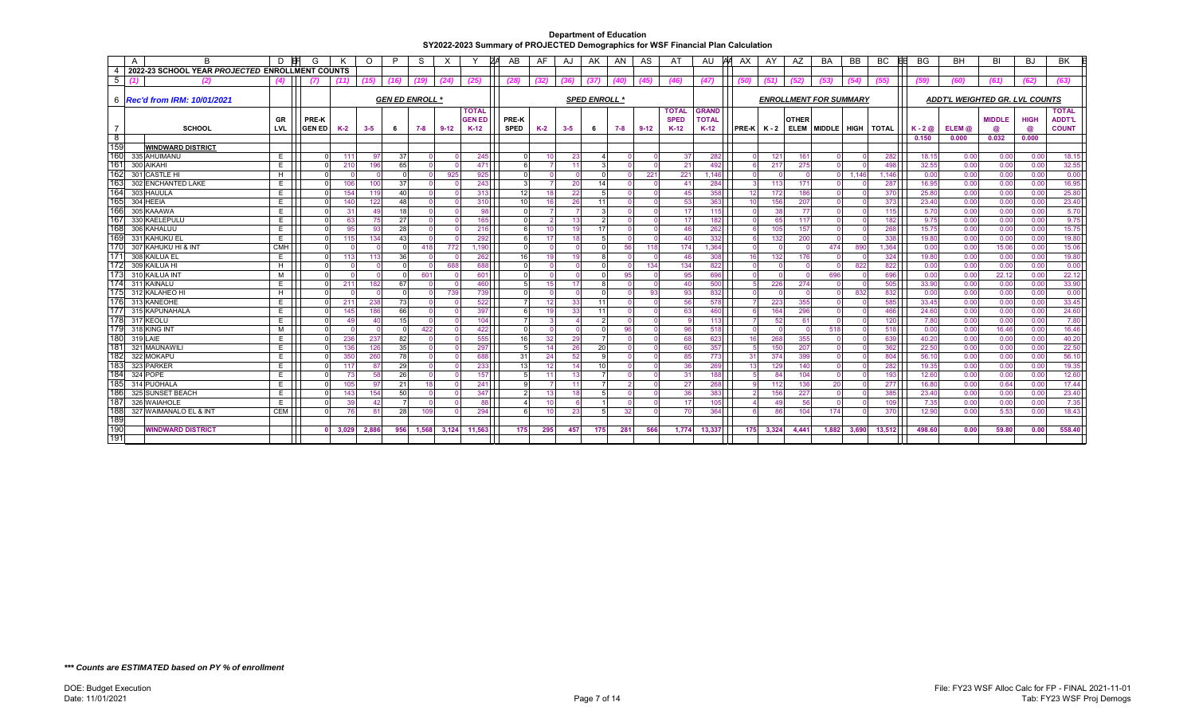|                 | A<br>B                                          | D.         | G             |            | O          | P    | S                      | X        |               | ZΑ<br>AB        | AF.   | AJ       | AK                   | AN   | AS       | AT           | AU           | AΑ<br>AX.     | AY         | AZ           | BA                            | BB    | BC                     | <b>BG</b>      | <b>BH</b>                             | BI            | BJ           | <b>BK</b>     |
|-----------------|-------------------------------------------------|------------|---------------|------------|------------|------|------------------------|----------|---------------|-----------------|-------|----------|----------------------|------|----------|--------------|--------------|---------------|------------|--------------|-------------------------------|-------|------------------------|----------------|---------------------------------------|---------------|--------------|---------------|
| -4              | 2022-23 SCHOOL YEAR PROJECTED ENROLLMENT COUNTS |            |               |            |            |      |                        |          |               |                 |       |          |                      |      |          |              |              |               |            |              |                               |       |                        |                |                                       |               |              |               |
| 5               | $\mathbf{C}$                                    | (4)        | 71            |            | 15)        | (16) | (19)                   | (24)     | (25)          | (28)            | (32)  | (36)     | (37)                 | (40) | (45)     | (46)         | (47)         |               | (51)       | (52)         | (53)                          | (54)  | (55)                   | (59)           | (60)                                  | (61)          | (62)         | (63)          |
|                 |                                                 |            |               |            |            |      |                        |          |               |                 |       |          |                      |      |          |              |              |               |            |              |                               |       |                        |                |                                       |               |              |               |
|                 | 6 <b>Rec'd from IRM: 10/01/2021</b>             |            |               |            |            |      | <b>GEN ED ENROLL *</b> |          |               |                 |       |          | <b>SPED ENROLL *</b> |      |          |              |              |               |            |              | <b>ENROLLMENT FOR SUMMARY</b> |       |                        |                | <b>ADDT'L WEIGHTED GR. LVL COUNTS</b> |               |              |               |
|                 |                                                 |            |               |            |            |      |                        |          | <b>TOTAL</b>  |                 |       |          |                      |      |          | <b>TOTAL</b> | <b>GRAND</b> |               |            |              |                               |       |                        |                |                                       |               |              | <b>TOTAL</b>  |
|                 |                                                 | GR         | <b>PRE-K</b>  |            |            |      |                        |          | <b>GEN ED</b> | <b>PRE-K</b>    |       |          |                      |      |          | <b>SPED</b>  | <b>TOTAL</b> |               |            | <b>OTHER</b> |                               |       |                        |                |                                       | <b>MIDDLE</b> | <b>HIGH</b>  | <b>ADDT'L</b> |
|                 | <b>SCHOOL</b>                                   | LVL.       | <b>GEN ED</b> | K-2        | $3 - 5$    | 6    | 7-8                    | $9 - 12$ | $K-12$        | <b>SPED</b>     | $K-2$ | $3 - 5$  | 6                    | 7-8  | $9 - 12$ | $K-12$       | $K-12$       | $PRE-K$ $K-2$ |            | <b>ELEM</b>  | MIDDLE HIGH                   |       | TOTAL                  | $K - 2@$       | $ELEM$ $@$                            |               | @            | <b>COUNT</b>  |
| - 8             |                                                 |            |               |            |            |      |                        |          |               |                 |       |          |                      |      |          |              |              |               |            |              |                               |       |                        | 0.150          | 0.000                                 | 0.032         | 0.000        |               |
| 159<br>160      | <b>WINDWARD DISTRICT</b>                        |            |               |            |            |      |                        |          |               |                 |       |          |                      |      |          |              |              |               |            |              |                               |       |                        |                |                                       |               |              |               |
| 16 <sup>7</sup> | 335 AHUIMANU                                    | E.         |               | 111        | 97         | 37   |                        |          | 245           |                 | 10    | 23       |                      |      |          | 37           | 282          |               | 121        | 161          |                               |       | 282                    | 18.15          | 0.00                                  | 0.00          | 0.00         | 18.15         |
| 162             | 300 AIKAHI                                      | E.         | $\Omega$      | 210        | 196        | 65   |                        |          | 471           |                 |       | $-11$    |                      |      |          | 21           | 492          |               | 217        | 275          |                               |       | 498                    | 32.55          | 0.00<br>0.00                          | 0.00          | 0.00         | 32.55         |
| 163             | 301 CASTLE HI                                   | H<br>E     | $\Omega$      | 106        |            | 37   |                        | 925      | 925           |                 |       |          | 14                   |      | 221      | 221<br>41    | .146<br>284  |               | $\Omega$   |              |                               | 1.146 | 1.146                  | 0.00           |                                       | 0.00          | 0.00         | 0.00<br>16.95 |
| 164             | 302 ENCHANTED LAKE<br>303 HAUULA                | Е          |               |            | 100<br>119 | 40   |                        |          | 243           | 12 <sub>l</sub> | 18    | 20       |                      |      |          | 45           | 358          |               | 113        | 171<br>186   |                               |       | 287<br>37 <sub>C</sub> | 16.95<br>25.80 | 0.00<br>0.00                          | 0.00          | 0.00<br>0.00 | 25.80         |
| 165             | 304 HEEIA                                       | E.         | $\Omega$      | 154<br>140 | 122        | 48   |                        |          | 313<br>310    | 10              | 16    | 22<br>26 | 11                   |      |          | 53           | 363          | 12<br>10      | 172<br>156 | 207          |                               |       | 373                    | 23.40          | 0.00                                  | 0.00<br>0.00  | 0.00         | 23.40         |
| 166             | 305 KAAAWA                                      | E          | $\Omega$      | 31         | 49         | 18   |                        |          | 98            |                 |       |          |                      |      |          | 17           | 115          |               | 38         | 77           |                               |       | 115                    | 5.70           | 0.00                                  | 0.00          | 0.00         | 5.70          |
| 167             | 330 KAELEPULU                                   | E.         |               | 63         | 75         | 27   |                        |          | 165           |                 |       | -13      |                      |      |          | 17           | 182          |               | 65         | 117          |                               |       | 182                    | 9.75           | 0.00                                  | 0.00          | 0.00         | 9.75          |
| 168             | 306 KAHALUU                                     | E.         |               | 95         | 93         | 28   |                        |          | 216           |                 | 10    | 19       | 17                   |      |          | 46           | 262          |               | 105        | 157          |                               |       | 268                    | 15.75          | 0.00                                  | 0.00          | 0.00         | 15.75         |
| 169             | 331 KAHUKU EL                                   | E.         | $\Omega$      | 115        | 134        | 43   |                        |          | 292           |                 | 17    | 18       |                      |      |          | 40           | 332          |               | 132        | 200          |                               |       | 338                    | 19.80          | 0.00                                  | 0.00          | 0.00         | 19.80         |
| 170             | 307 KAHUKU HI & INT                             | <b>CMH</b> |               |            |            |      | 418                    | 772      | 1,190         |                 |       |          |                      | 56   | 118      | 174          | 1,364        |               |            |              | 474                           | 890   | 1,364                  | 0.00           | 0.00                                  | 15.06         | 0.00         | 15.06         |
| 17'             | 308 KAILUA EL                                   | E.         | $\Omega$      | 113        | 113        | 36   |                        |          | 262           | 16              | 19    | 19       |                      |      |          | 46           | 308          | 16            | 132        | 176          |                               |       | 324                    | 19.80          | 0.00                                  | 0.00          | 0.00         | 19.80         |
| 172             | 309 KAILUA HI                                   | H          |               |            |            |      |                        | 688      | 688           |                 |       |          |                      |      | 134      | 134          | 822          |               |            |              |                               | 822   | 822                    | 0.00           | 0.00                                  | 0.00          | 0.00         | 0.00          |
| 173             | 310 KAILUA INT                                  | м          | $\Omega$      |            |            |      | 601                    |          | 601           |                 |       |          |                      | 95   |          | 95           | 696          |               | $\Omega$   |              | 696                           |       | 696                    | 0.00           | 0.00                                  | 22.12         | 0.00         | 22.12         |
| 174             | 311 KAINALU                                     | Е          | $\Omega$      | 211        | 182        | 67   |                        |          | 460           |                 | 15    | 17       |                      |      |          | 40           | 500          |               | 226        | 274          |                               |       | 505                    | 33.90          | 0.00                                  | 0.00          | 0.00         | 33.90         |
| 175             | 312 KALAHEO HI                                  | H          | $\Omega$      |            |            |      |                        | 739      | 739           |                 |       |          |                      |      | 93       | 93           | 832          |               | $\Omega$   |              |                               | 832   | 832                    | 0.00           | 0.00                                  | 0.00          | 0.00         | 0.00          |
| 176             | 313 KANEOHE                                     | E          |               | 211        | 238        | 73   |                        |          | 522           |                 | 12    | 33       | 11                   |      |          | 56           | 578          |               | 223        | 355          |                               |       | 585                    | 33.45          | 0.00                                  | 0.00          | 0.00         | 33.45         |
| 177             | 315 KAPUNAHALA                                  | E.         | $\Omega$      | 145        | 186        | 66   |                        |          | 397           |                 | 19    | 33       | 11                   |      |          | 63           | 460          |               | 164        | 296          |                               |       | 466                    | 24.60          | 0.00                                  | 0.00          | 0.00         | 24.60         |
| 178             | 317 KEOLU                                       | E.         | $\Omega$      | 49         | 40         | 15   |                        |          | 104           |                 |       |          |                      |      |          |              | 113          |               | 52         | 61           |                               |       | 120                    | 7.80           | 0.00                                  | 0.00          | 0.00         | 7.80          |
| 179             | 318 KING INT                                    | м          | $\Omega$      |            |            |      | 422                    |          | 422           |                 |       |          |                      | 96   |          | 96           | 518          |               | $\Omega$   | $\Omega$     | 518                           |       | 518                    | 0.00           | 0.00                                  | 16.46         | 0.00         | 16.46         |
| 180             | 319 LAIE                                        | E.         |               | 236        | 237        | 82   |                        |          | 555           | 16              | 32    | 29       |                      |      |          | 68           | 623          | 16            | 268        | 355          |                               |       | 639                    | 40.20          | 0.00                                  | 0.00          | 0.00         | 40.20         |
| 18 <sup>7</sup> | 321 MAUNAWILI                                   | E.         | $\Omega$      | 136        | 126        | 35   |                        |          | 297           |                 | 14    | 26       | 20                   |      |          | 60           | 357          |               | 150        | 207          |                               |       | 362                    | 22.50          | 0.00                                  | 0.00          | 0.00         | 22.50         |
| 182             | 322 MOKAPU                                      | E.         |               | 350        | 260        | 78   |                        |          | 688           | 31              | 24    | -52      |                      |      |          | 85           | 773          | 31            | 374        | 399          |                               |       | 804                    | 56.10          | 0.00                                  | 0.00          | 0.00         | 56.10         |
| 183             | 323 PARKER                                      | E.         |               | 117        | 87         | 29   |                        |          | 233           | 13              | 12    | -14      | 10                   |      |          | 36           | 269          | 13            | 129        | 140          |                               |       | 282                    | 19.35          | 0.00                                  | 0.00          | 0.00         | 19.35         |
| 184             | 324 POPE                                        | E.         |               | 73         | 58         | 26   |                        |          | 157           |                 | 11    | -13      |                      |      |          | 31           | 188          |               | 84         | 104          |                               |       | 193                    | 12.60          | 0.00                                  | 0.00          | 0.00         | 12.60         |
| 185             | 314 PUOHALA                                     | Е          |               | 105        | 97         | 21   |                        |          | 241           |                 |       | 11       |                      |      |          | 27           | 268          |               | 112        | 136          | 20                            |       | 277                    | 16.80          | 0.00                                  | 0.64          | 0.00         | 17.44         |
| 186             | 325 SUNSET BEACH                                | E.         |               | 143        | 154        | 50   |                        |          | 347           |                 | 13    | 18       |                      |      |          | 36           | 383          |               | 156        | 227          |                               |       | 385                    | 23.40          | 0.00                                  | 0.00          | 0.00         | 23.40         |
| 187             | 326 WAIAHOLE                                    | Е          |               | 39         | 42         |      |                        |          | 88            |                 |       |          |                      |      |          | 17           | 105          |               | 49         | 56           |                               |       | 109                    | 7.35           | 0.00                                  | 0.00          | 0.00         | 7.35          |
| 188             | 327 WAIMANALO EL & INT                          | <b>CEM</b> | $\Omega$      | 76         | 81         | 28   | 109                    |          | 294           | 6               | 10    | 23       |                      | 32   |          | 70           | 364          |               | 86         | 104          | 174                           |       | 37 <sub>0</sub>        | 12.90          | 0.00                                  | 5.53          | 0.00         | 18.43         |
| 189             |                                                 |            |               |            |            |      |                        |          |               |                 |       |          |                      |      |          |              |              |               |            |              |                               |       |                        |                |                                       |               |              |               |
| 190             | <b>WINDWARD DISTRICT</b>                        |            | $\Omega$      | 3.029      | 2,886      | 956  | 1,568                  | 3,124    | 11,563        | 175             | 295   | 457      | 175                  | 281  | 566      | 1,774        | 13,337       | 175           | 3,324      | 4.441        | 1,882                         | 3,690 | 13,512                 | 498.60         | 0.00                                  | 59.80         | 0.00         | 558.40        |
| 191             |                                                 |            |               |            |            |      |                        |          |               |                 |       |          |                      |      |          |              |              |               |            |              |                               |       |                        |                |                                       |               |              |               |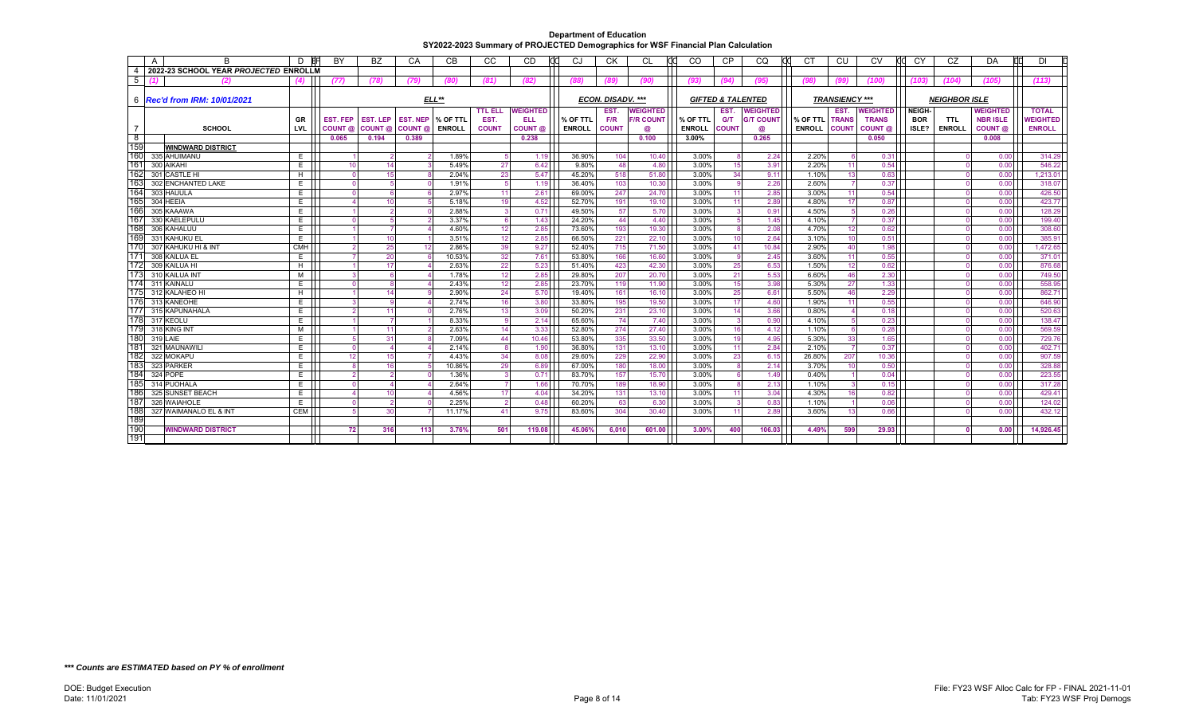|            | A | R                                     | D               | BY                   | <b>BZ</b>            | СA              | <b>CB</b>      | СC                   | <b>CD</b>       | CJ               | <b>CK</b>         | СL               | <sub>CO</sub>  | <b>CP</b>                    | CQ               | C <sub>1</sub> | CU                    | CV           | CY            | CZ                   | DA              | DI               |
|------------|---|---------------------------------------|-----------------|----------------------|----------------------|-----------------|----------------|----------------------|-----------------|------------------|-------------------|------------------|----------------|------------------------------|------------------|----------------|-----------------------|--------------|---------------|----------------------|-----------------|------------------|
|            |   | 2022-23 SCHOOL YEAR PROJECTED ENROLLM |                 |                      |                      |                 |                |                      |                 |                  |                   |                  |                |                              |                  |                |                       |              |               |                      |                 |                  |
| 5          |   | (2)                                   |                 | (77)                 | (78)                 | (79)            | (80)           | (81)                 | (82)            | (88)             | (89)              | (90)             | (93)           | (94)                         | (95)             | (98)           | (99)                  | (100)        | (103)         | (104)                | (105)           | (113)            |
|            |   |                                       |                 |                      |                      |                 |                |                      |                 |                  |                   |                  |                |                              |                  |                |                       |              |               |                      |                 |                  |
|            |   | 6 <b>Rec'd from IRM: 10/01/2021</b>   |                 |                      |                      |                 | $ELL**$        |                      |                 |                  | ECON. DISADV. *** |                  |                | <b>GIFTED &amp; TALENTED</b> |                  |                | <b>TRANSIENCY ***</b> |              |               | <b>NEIGHBOR ISLE</b> |                 |                  |
|            |   |                                       |                 |                      |                      |                 |                | <b>TTL ELL</b>       | <b>WEIGHTED</b> |                  | <b>EST</b>        | <b>WEIGHTED</b>  |                | EST.                         | <b>WEIGHTED</b>  |                | EST.                  | WEIGHTED     | <b>NEIGH-</b> |                      | <b>WEIGHTED</b> | <b>TOTAL</b>     |
|            |   |                                       | GR              | <b>EST. FEP</b>      | <b>EST. LEP</b>      | <b>EST. NEP</b> | % OF TTL       | EST.                 | <b>ELL</b>      | % OF TTL         | F/R               | <b>F/R COUNT</b> | % OF TTL       | <b>G/T</b>                   | <b>G/T COUNT</b> | % OF TTL       | <b>TRANS</b>          | <b>TRANS</b> | <b>BOR</b>    | <b>TTL</b>           | <b>NBR ISLE</b> | <b>NEIGHTED</b>  |
|            |   | <b>SCHOOL</b>                         | LVL             | COUNT @              | COUNT @              | COUNT @         | <b>ENROLL</b>  | <b>COUNT</b>         | <b>COUNT</b> @  | <b>ENROLL</b>    | <b>COUNT</b>      | a                | <b>ENROLL</b>  | <b>COUNT</b>                 | @                | <b>ENROLL</b>  | <b>COUNT</b>          | COUNT @      | ISLE?         | <b>ENROLL</b>        | COUNT @         | <b>ENROLL</b>    |
| $^8$       |   |                                       |                 | 0.065                | 0.194                | 0.389           |                |                      | 0.238           |                  |                   | 0.100            | 3.00%          |                              | 0.265            |                |                       | 0.050        |               |                      | 0.008           |                  |
| 159        |   | <b>WINDWARD DISTRICT</b>              |                 |                      |                      |                 |                |                      |                 |                  |                   |                  |                |                              |                  |                |                       |              |               |                      |                 |                  |
| 160<br>161 |   | 335 AHUIMANU                          | E               |                      | $\overline{2}$       |                 | 1.89%          | 5 <sup>1</sup>       | 1.19            | 36.90%           | 104               | 10.40            | 3.00%          | 8                            | 2.24             | 2.20%          |                       | 0.31         |               |                      | 0.00            | 314.29           |
| 162        |   | 300 AIKAHI                            | E               | 10                   | 14                   |                 | 5.49%<br>2.04% | 27                   | 6.42<br>5.47    | 9.80%            | 48                | 4.80             | 3.00%          | 15                           | 3.91             | 2.20%          | 11                    | 0.54         |               |                      | 0.00            | 546.22           |
| 163        |   | 301 CASTLE HI                         | H               | $\overline{0}$       | 15                   |                 |                | 23                   |                 | 45.20%           | 518               | 51.80            | 3.00%          | 34<br>-9                     | 9.11             | 1.10%          | 13                    | 0.63         |               |                      | 0.00            | 1,213.01         |
| 164        |   | 302 ENCHANTED LAKE<br>303 HAUULA      | E<br>E.         | $\Omega$<br>$\Omega$ | 5<br>6               |                 | 1.91%<br>2.97% | 5 <sup>1</sup><br>11 | 1.19<br>2.61    | 36.40%<br>69.00% | 103<br>247        | 10.30<br>24.70   | 3.00%<br>3.00% | 11                           | 2.26<br>2.85     | 2.60%<br>3.00% | 11                    | 0.37<br>0.54 |               |                      | 0.00<br>0.00    | 318.07<br>426.50 |
| 165        |   | 304 HEEIA                             | E               |                      | 10                   |                 | 5.18%          | 19                   | 4.52            | 52.70%           | 191               | 19.10            | 3.00%          | 11                           | 2.89             | 4.80%          | 17                    | 0.87         |               |                      | 0.00            | 423.77           |
| 166        |   | 305 KAAAWA                            | E               |                      | $\overline{2}$       |                 | 2.88%          | $\overline{3}$       | 0.71            | 49.50%           | 57                | 5.70             | 3.00%          | $\mathbf{3}$                 | 0.91             | 4.50%          | 片                     | 0.26         |               |                      | 0.00            | 128.29           |
| 167        |   | 330 KAELEPULU                         | E               | $\Omega$             | 5                    |                 | 3.37%          | -6                   | 1.43            | 24.20%           | 44                | 4.40             | 3.00%          | -5                           | 1.45             | 4.10%          |                       | 0.37         |               |                      | 0.00            | 199.40           |
| 168        |   | 306 KAHALUU                           | E.              |                      | $\overline{7}$       |                 | 4.60%          | 12                   | 2.85            | 73.60%           | 193               | 19.30            | 3.00%          | -8                           | 2.08             | 4.70%          | 12                    | 0.62         |               |                      | 0.00            | 308.60           |
| 169        |   | 331 KAHUKU EL                         | E               |                      | 10                   |                 | 3.51%          | 12                   | 2.85            | 66.50%           | 221               | 22.10            | 3.00%          | 10                           | 2.64             | 3.10%          | 10                    | 0.51         |               |                      | 0.00            | 385.91           |
| 17(        |   | 307 KAHUKU HI & INT                   | CMH             | $\overline{2}$       | 25                   |                 | 2.86%          | 39                   | 9.27            | 52.40%           | 715               | 71.50            | 3.00%          | 41                           | 10.84            | 2.90%          | 40                    | 1.98         |               |                      | 0.00            | 1,472.65         |
| 171        |   | 308 KAILUA EL                         | E               | $\overline{7}$       | 20                   |                 | 10.53%         | 32                   | 7.61            | 53.80%           | 166               | 16.60            | 3.00%          | -9                           | 2.45             | 3.60%          | 11                    | 0.55         |               |                      | 0.00            | 371.01           |
| 172        |   | 309 KAILUA HI                         | H.              |                      | 17                   |                 | 2.63%          | 22                   | 5.23            | 51.40%           | 423               | 42.30            | 3.00%          | 25                           | 6.53             | 1.50%          | 12                    | 0.62         |               |                      | 0.00            | 876.68           |
| 173        |   | 310 KAILUA INT                        | M               | $\overline{3}$       | 6                    |                 | 1.78%          | 12                   | 2.85            | 29.80%           | 207               | 20.70            | 3.00%          | 21                           | 5.53             | 6.60%          | 46                    | 2.30         |               |                      | 0.00            | 749.50           |
| 174        |   | 311 KAINALU                           | E               | $\Omega$             | 8                    |                 | 2.43%          | 12                   | 2.85            | 23.70%           | 119               | 11.90            | 3.00%          | 15                           | 3.98             | 5.30%          | 27                    | 1.33         |               |                      | 0.00            | 558.95           |
| 175        |   | 312 KALAHEO HI                        | H               |                      | 14                   |                 | 2.90%          | 24                   | 5.70            | 19.40%           | 161               | 16.10            | 3.00%          | 25                           | 6.61             | 5.50%          | 46                    | 2.29         |               |                      | 0.00            | 862.71           |
| 176        |   | 313 KANEOHE                           | E               | 3                    | 9                    |                 | 2.74%          | 16                   | 3.80            | 33.80%           | 195               | 19.50            | 3.00%          | 17                           | 4.60             | 1.90%          | 11                    | 0.55         |               |                      | 0.00            | 646.90           |
| 177        |   | 315 KAPUNAHALA                        | E               | $\overline{2}$       | 11                   |                 | 2.76%          | 13                   | 3.09            | 50.20%           | 231               | 23.10            | 3.00%          | 14                           | 3.66             | 0.80%          |                       | 0.18         |               |                      | 0.00            | 520.63           |
| 178        |   | 317 KEOLU                             | E               |                      | $\overline{7}$       |                 | 8.33%          | 9                    | 2.14            | 65.60%           | 74                | 7.40             | 3.00%          | $\overline{3}$               | 0.90             | 4.10%          |                       | 0.23         |               |                      | 0.00            | 138.47           |
| 179        |   | 318 KING INT                          | M               |                      | 11                   |                 | 2.63%          | 14                   | 3.33            | 52.80%           | 274               | 27.40            | 3.00%          | 16                           | 4.12             | 1.10%          | $\epsilon$            | 0.28         |               |                      | 0.00            | 569.59           |
| 180        |   | 319 LAIE                              | E               | 5                    | 31                   |                 | 7.09%          | 44                   | 10.46           | 53.80%           | 335               | 33.50            | 3.00%          | 19                           | 4.95             | 5.30%          | 33                    | 1.65         |               |                      | 0.00            | 729.76           |
| 181        |   | 321 MAUNAWILI                         | E               | $\Omega$             | $\Delta$             |                 | 2.14%          | 8 <sup>1</sup>       | 1.90            | 36.80%           | 131               | 13.10            | 3.00%          | 11                           | 2.84             | 2.10%          |                       | 0.37         |               |                      | 0.00            | 402.71           |
| 182        |   | 322 MOKAPU                            | E               | 12                   | 15                   |                 | 4.43%          | 34                   | 8.08            | 29.60%           | 229               | 22.90            | 3.00%          | 23                           | 6.15             | 26.80%         | 207                   | 10.36        |               |                      | 0.00            | 907.59           |
| 183        |   | 323 PARKER                            | E               | 8                    | 16                   |                 | 10.86%         | 29                   | 6.89            | 67.00%           | 180               | 18.00            | 3.00%          | -8                           | 2.14             | 3.70%          | 10                    | 0.50         |               |                      | 0.00            | 328.88           |
| 184<br>185 |   | 324 POPE                              | E               | $\overline{2}$       | $\overline{2}$       |                 | 1.36%          | 3                    | 0.71            | 83.70%           | 157               | 15.70            | 3.00%          |                              | 1.49             | 0.40%          |                       | 0.04         |               |                      | 0.00            | 223.55           |
| 186        |   | 314 PUOHALA                           | E               | $\Omega$             |                      |                 | 2.64%          |                      | 1.66            | 70.70%           | 189               | 18.90            | 3.00%          |                              | 2.13             | 1.10%          |                       | 0.15         |               |                      | 0.00            | 317.28           |
| 187        |   | 325 SUNSET BEACH<br>326 WAIAHOLE      | E               |                      | 10<br>$\overline{2}$ |                 | 4.56%<br>2.25% | 17<br>$\overline{2}$ | 4.04            | 34.20%           | 131               | 13.10            | 3.00%          | 11                           | 3.04             | 4.30%          | 16                    | 0.82         |               |                      | 0.00            | 429.41           |
| 188        |   | 327 WAIMANALO EL & INT                | E<br><b>CEM</b> | 5                    | 30                   |                 | 11.17%         | 41                   | 0.48<br>9.75    | 60.20%<br>83.60% | 63<br>304         | 6.30<br>30.40    | 3.00%<br>3.00% | 11                           | 0.83<br>2.89     | 1.10%<br>3.60% | 13                    | 0.06<br>0.66 |               |                      | 0.00<br>0.00    | 124.02<br>432.12 |
| 189        |   |                                       |                 |                      |                      |                 |                |                      |                 |                  |                   |                  |                |                              |                  |                |                       |              |               |                      |                 |                  |
| 190        |   | <b>WINDWARD DISTRICT</b>              |                 | 72                   | 316                  | 113             | 3.76%          | 501                  | 119.08          | 45.06%           | 6.010             | 601.00           | 3.00%          | 400                          | 106.03           | 4.49%          | 599                   | 29.93        |               |                      | 0.00            | 14,926.45        |
| 191        |   |                                       |                 |                      |                      |                 |                |                      |                 |                  |                   |                  |                |                              |                  |                |                       |              |               |                      |                 |                  |
|            |   |                                       |                 |                      |                      |                 |                |                      |                 |                  |                   |                  |                |                              |                  |                |                       |              |               |                      |                 |                  |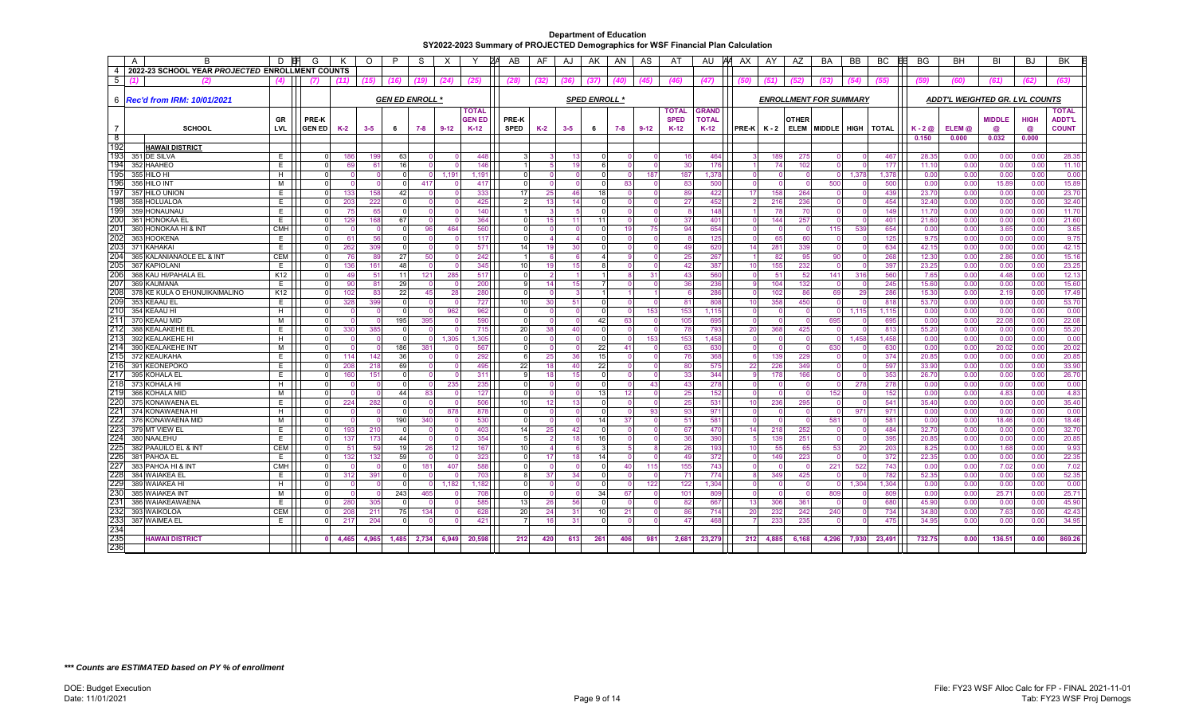| $\overline{A}$ | B                                               | D               | G                    | к          | $\circ$    | P        | -S                     | $\times$ |               | ZΑ<br>AB        | AF       | AJ         | AK                   | AN             | AS     | AT              | AU           | AΑ<br>AX                   | AY            | AZ                            | <b>BA</b> | <b>BB</b>   | BC           | <b>BG</b>      | BH                             | BI            | BJ           | BK             |
|----------------|-------------------------------------------------|-----------------|----------------------|------------|------------|----------|------------------------|----------|---------------|-----------------|----------|------------|----------------------|----------------|--------|-----------------|--------------|----------------------------|---------------|-------------------------------|-----------|-------------|--------------|----------------|--------------------------------|---------------|--------------|----------------|
| $\overline{4}$ | 2022-23 SCHOOL YEAR PROJECTED ENROLLMENT COUNTS |                 |                      |            |            |          |                        |          |               |                 |          |            |                      |                |        |                 |              |                            |               |                               |           |             |              |                |                                |               |              |                |
| 5              | (2)                                             | (4)             | (7)                  | (11)       | (15)       | (16)     | (19)                   | (24)     | (25)          | (28)            | (32)     | (36)       | (37)                 | (40)           | '45)   | (46)            | (47)         | (50)                       |               | (52)                          | (53)      | (54)        | (55)         | (59)           | (60)                           | (61)          | (62)         | (63)           |
|                |                                                 |                 |                      |            |            |          |                        |          |               |                 |          |            |                      |                |        |                 |              |                            |               |                               |           |             |              |                |                                |               |              |                |
|                | 6 <b>Rec'd from IRM: 10/01/2021</b>             |                 |                      |            |            |          | <b>GEN ED ENROLL *</b> |          |               |                 |          |            | <b>SPED ENROLL *</b> |                |        |                 |              |                            |               | <b>ENROLLMENT FOR SUMMARY</b> |           |             |              |                | ADDT'L WEIGHTED GR. LVL COUNTS |               |              |                |
|                |                                                 |                 |                      |            |            |          |                        |          | <b>TOTAL</b>  |                 |          |            |                      |                |        | <b>TOTAL</b>    | <b>GRAND</b> |                            |               |                               |           |             |              |                |                                |               |              | <b>TOTAL</b>   |
|                |                                                 | GR              | PRE-K                |            |            |          |                        |          | <b>GEN ED</b> | PRE-K           |          |            |                      |                |        | <b>SPED</b>     | <b>TOTAL</b> |                            |               | <b>OTHER</b>                  |           |             |              |                |                                | <b>MIDDLE</b> | <b>HIGH</b>  | <b>ADDT'L</b>  |
|                | <b>SCHOOL</b>                                   | <b>LVL</b>      | <b>GEN ED</b>        | $K-2$      | $3 - 5$    | 6        | 7-8                    | $9 - 12$ | $K-12$        | <b>SPED</b>     | $K-2$    | $3 - 5$    | 6                    | 7-8            | $9-12$ | $K-12$          | $K-12$       |                            | $PRE-K$ $K-2$ | <b>ELEM</b>                   |           | MIDDLE HIGH | <b>TOTAL</b> | $K - 2@$       | ELEM <sub>®</sub>              | ര             | $\circleda$  | <b>COUNT</b>   |
| $^{\circ}$     |                                                 |                 |                      |            |            |          |                        |          |               |                 |          |            |                      |                |        |                 |              |                            |               |                               |           |             |              | 0.150          | 0.000                          | 0.032         | 0.000        |                |
| 192            | HAWAII DISTRICT                                 |                 |                      |            |            |          |                        |          |               |                 |          |            |                      |                |        |                 |              |                            |               |                               |           |             |              |                |                                |               |              |                |
| 193            | 351 DE SILVA                                    | E.              |                      | 186        | 199        | 63       |                        |          | 448           |                 |          | 13         |                      |                |        | 16              | 464          | 3                          | <b>189</b>    | 275                           |           |             | 467          | 28.35          | 0.00                           | 0.00          | 0.00         | 28.35          |
| 194            | 352 HAAHEO                                      | E.              | $\Omega$             | 69         | 61         | 16       |                        |          | 146           |                 |          | 19         | 6                    |                |        | 30 <sup>°</sup> | 176          |                            | 74            | 102                           |           |             | 177          | 11.10          | 0.00                           | 0.00          | 0.00         | 11.10          |
| 195            | 355 HILO HI                                     | H               | $\Omega$             |            |            |          |                        | 1,191    | 1,191         | $\Omega$        | n        |            | $\Omega$             | $\overline{0}$ | 187    | 187             | 1,378        | $\overline{0}$             |               | $\mathbf 0$                   | $\Omega$  | 1,378       | 1,378        | 0.00           | 0.00                           | 0.00          | 0.00         | 0.00           |
| 196            | 356 HILO INT                                    | м               | $\Omega$             |            |            |          | 417                    |          | 417           | $\Omega$        |          |            | $\Omega$             | 83             |        | 83              | 500          | $\Omega$                   |               | $\Omega$                      | 500       |             | 500          | 0.00           | 0.00                           | 15.89         | 0.00         | 15.89          |
| 197            | 357 HILO UNION                                  | E               | $\Omega$             | 133        | 158        | 42       |                        |          | 333           | 17              | 25       | 46         | 18                   |                |        | 89              | 422          | 17                         | 158           | 264                           |           |             | 439          | 23.70          | 0.00                           | 0.00          | 0.00         | 23.70          |
| 198            | 358 HOLUALOA                                    | E.              | $\Omega$             | 203        | 222        |          |                        |          | 425           | $\mathcal{P}$   | 13       | 14         | $\Omega$             | $\Omega$       |        | 27              | 452          | $\overline{2}$             | 216           | 236                           |           |             | 454          | 32.40          | 0.00                           | 0.00          | 0.00         | 32.40          |
| 199            | 359 HONAUNAU                                    | Е.              | $\Omega$             | 75         | 65         |          |                        |          | 140           |                 |          |            |                      |                |        |                 | 148          |                            | 78            | 70                            |           |             | 149          | 11.70          | 0.00                           | 0.00          | 0.00         | 11.70          |
| 200            | 361 HONOKAA EL                                  | Е               | $\Omega$             | 129        | 168        | 67       |                        |          | 364           | $\Omega$        | 15       |            | 11                   |                |        | 37              | 401          | $\Omega$                   | 144           | 257                           |           |             | 401          | 21.60          | 0.00                           | 0.00          | 0.00         | 21.60          |
| 201            | 360 HONOKAA HI & INT                            | <b>CMH</b>      | $\Omega$             |            |            |          | 96                     | 464      | 560           | $\Omega$        |          |            |                      | 19             | 75     | 94              | 654          | $\Omega$                   |               | $\cap$                        | 115       | 539         | 654          | 0.00           | 0.00                           | 3.65          | 0.00         | 3.65           |
| 202            | 363 HOOKENA                                     | Е               | $\Omega$             | 61         | 56         | $\Omega$ |                        |          | 117           | $\Omega$        | 4        |            |                      |                |        |                 | 125          | $\mathbf{0}$               | 65            | 60                            | $\Omega$  |             | 125          | 9.75           | 0.00                           | 0.00          | 0.00         | 9.75           |
| 203            | 371 KAHAKAI                                     | E.              | $\Omega$             | 262        | 309        |          |                        |          | 571           | 14              | 19       | 30         | $\Omega$             |                |        | 49              | 620          | 14                         | 281           | 339                           |           |             | 634          | 42.15          | 0.00                           | 0.00          | 0.00         | 42.15          |
| 204            | 365 KALANIANAOLE EL & INT                       | <b>CEM</b>      |                      | 76         | 89         | 27       | 50                     |          | 242           |                 |          |            | 4                    |                |        | 25              | 267          |                            | 82            | 95                            | 90        |             | 268          | 12.30          | 0.00                           | 2.86          | 0.00         | 15.16          |
| 205            | 367 KAPIOLANI                                   | E               | $\Omega$             | 136        | 161        | 48       |                        |          | 345           | 10              | 19       | 15         |                      |                |        | 42              | 387          | 10 <sup>1</sup>            | 155           | 232                           |           |             | 397          | 23.25          | 0.00                           | 0.00          | 0.00         | 23.25          |
| 206            | 368 KAU HI/PAHALA EL                            | K <sub>12</sub> | $\Omega$             | 49         | 51         | 11       | 121                    | 285      | 517           | $\Omega$        |          |            |                      | 8              | 31     | 43              | 560          | $\Omega$                   | 51            | 52                            | 141       | 316         | 560          | 7.65           | 0.00                           | 4.48          | 0.00         | 12.13          |
| 207            | 369 KAUMANA                                     | E               |                      | 90         | 81         | 29       |                        |          | 200           | g               | 14       | 15         |                      |                |        | 36              | 236          | 9                          | 104           | 132                           |           |             | 245          | 15.60          | 0.00                           | 0.00          | 0.00         | 15.60          |
| 208            | 378 KE KULA O EHUNUIKAIMALINO                   | K12             |                      | 102        | 83         | 22       | 45                     | 28       | 280           | $\Omega$        |          |            |                      |                |        |                 | 286          | $\Omega$                   | 102           | 86                            | 69        | 29          | 286          | 15.30          | 0.00                           | 2.19          | 0.00         | 17.49          |
| 209            | 353 KEAAU EL                                    | E               | $\Omega$             | 328        | 399        | - 0      |                        |          | 727           | 10 <sup>1</sup> | 30       | 51         | $\Omega$             | $\Omega$       |        | 81              | 808          | 10 <sup>1</sup>            | 358           | 450                           | $\Omega$  |             | 818          | 53.70          | 0.00                           | 0.00          | 0.00         | 53.70          |
| 210            | 354 KEAAU HI                                    | H               | $\Omega$             |            |            |          |                        | 962      | 962           | $\Omega$        |          |            | <sup>0</sup>         | $\Omega$       | 153    | 153             | 1.115        | $\Omega$                   |               |                               | $\Omega$  | 1.115       | 1,115        | 0.00           | 0.00                           | 0.00          | 0.00         | 0.00           |
| 211            | 370 KEAAU MID                                   | м               | $\Omega$             |            |            | 195      | 395                    |          | 590           | $\Omega$        |          |            | 42                   | 63             |        | 105             | 695          | $\Omega$                   |               | $\Omega$                      | 695       |             | 695          | 0.00           | 0.00                           | 22.08         | 0.00         | 22.08          |
| 212            | 388 KEALAKEHE EL                                | E.              | $\Omega$             | 330        | 385        |          |                        |          | 715           | 20              | 38       | $\Delta$ 0 |                      |                |        | 78              | 793          | 20                         | 368           | 425                           |           |             | 813          | 55.20          | 0.00                           | 0.00          | 0.00         | 55.20          |
| 213            | 392 KEALAKEHE HI                                | H               | $\Omega$             |            |            | - 0      |                        | 1.305    | 1,305         | $\Omega$        | $\Omega$ |            |                      | $\Omega$       | 153    | 153             | 1.458        | $\Omega$                   |               | $\Omega$                      | $\Omega$  | 1.458       | 1.458        | 0.00           | 0.00                           | 0.00          | 0.00         | 0.00           |
| 214<br>215     | 390 KEALAKEHE INT                               | м<br>E          | $\Omega$             |            |            | 186      | 381                    |          | 567<br>292    | $\Omega$<br>6   | $\Omega$ |            | 22                   | 41             |        | 63              | 630          | $\mathbf{0}$<br>$\epsilon$ |               | $\Omega$                      | 630       |             | 630          | 0.00           | 0.00                           | 20.02         | 0.00         | 20.02          |
| 216            | 372 KEAUKAHA                                    |                 | $\Omega$             | 114<br>208 | 142<br>218 | 36<br>69 |                        |          |               |                 | 25<br>18 | 36<br>40   | 15                   |                |        | 76<br>80        | 368<br>575   |                            | 139           | 229<br>349                    | $\Omega$  |             | 374<br>597   | 20.85<br>33.90 | 0.00<br>0.00                   | 0.00<br>0.00  | 0.00         | 20.85<br>33.90 |
| 217            | 391 KEONEPOKO                                   | E.<br>E         |                      |            |            |          |                        |          | 495           | 22<br>9         |          |            | 22                   |                |        |                 |              | 22                         | 226           |                               |           |             |              |                |                                |               | 0.00         | 26.70          |
| 218            | 395 KOHALA EL<br>373 KOHALA HI                  | H               | $\Omega$<br>$\Omega$ | 160        | 151        |          |                        | 235      | 311<br>235    | $\Omega$        | 18       | 15         | $\Omega$             |                | 43     | 33<br>43        | 344<br>278   | -9<br>$\Omega$             | 178           | 166<br>$\Omega$               |           | 278         | 353<br>278   | 26.70<br>0.00  | 0.00<br>0.00                   | 0.00<br>0.00  | 0.00<br>0.00 | 0.00           |
| 219            | 366 KOHALA MID                                  | м               | $\Omega$             |            |            | 44       | 83                     |          | 127           | $\Omega$        |          |            | 13                   | 12             |        | 25              | 152          | $\Omega$                   |               | $\Omega$                      | 152       |             | 152          | 0.00           | 0.00                           | 4.83          | 0.00         | 4.83           |
| 220            | 375 KONAWAENA EL                                | E               | $\Omega$             | 224        | 282        | - 0      |                        |          | 506           | 10              | 12       | 13         | $\Omega$             | $\Omega$       |        | 25              | 531          | 10 <sup>1</sup>            | 236           | 295                           |           |             | 541          | 35.40          | 0.00                           | 0.00          | 0.00         | 35.40          |
| 22'            | 374 KONAWAENA HI                                | H               | $\Omega$             |            |            |          |                        | 878      | 878           | $\Omega$        | $\Omega$ |            | $\Omega$             | $\Omega$       | 93     | 93              | 971          | $\mathbf{0}$               |               | $\Omega$                      | $\Omega$  | 97'         | 971          | 0.00           | 0.00                           | 0.00          | 0.00         | 0.00           |
| 222            | 376 KONAWAENA MID                               | м               |                      |            |            | 190      | 340                    |          | 530           | $\Omega$        |          |            | 14                   | 37             |        | $-51$           | 581          | $\Omega$                   |               | $\Omega$                      | 581       |             | 581          | 0.00           | 0.00                           | 18.46         | 0.00         | 18.46          |
| 223            | 379 MT VIEW EL                                  | E               | $\Omega$             | 193        | 210        |          |                        |          | 403           | 14              | 25       | 42         |                      |                |        | 67              | 470          | 14                         | 218           | 252                           |           |             | 484          | 32.70          | 0.00                           | 0.00          | 0.00         | 32.70          |
| 224            | 380 NAALEHU                                     | E.              | - 0                  | 137        | 173        | 44       |                        |          | 354           | 5               |          | 18         | 16 <sup>1</sup>      | $\Omega$       |        | 36              | 390          | -5                         | 139           | 251                           | $\Omega$  |             | 395          | 20.85          | 0.00                           | 0.00          | 0.00         | 20.85          |
| 225            | 382 PAAUILO EL & INT                            | <b>CEM</b>      | $\Omega$             | 51         | 59         | 19       | 26                     | 12       | 167           | 10              |          |            | 3                    | 5              |        | 26              | 193          | 10 <sup>1</sup>            | 55            | 65                            | 53        | 20          | 203          | 8.25           | 0.00                           | 1.68          | 0.00         | 9.93           |
| 226            | 381 PAHOA EL                                    | E.              | $\Omega$             | 132        | 132        | 59       |                        |          | 323           | $\Omega$        | 17       | 18         | 14                   |                |        | 49              | 372          | $\mathbf{0}$               | 149           | 223                           |           |             | 372          | 22.35          | 0.00                           | 0.00          | 0.00         | 22.35          |
| 227            | 383 PAHOA HI & INT                              | <b>CMH</b>      | $\Omega$             |            |            |          | 181                    | 407      | 588           | $\Omega$        |          |            |                      | 40             | 115    | 155             | 743          | $\Omega$                   |               |                               | 221       | 522         | 743          | 0.00           | 0.00                           | 7.02          | 0.00         | 7.02           |
| 228            | 384 WAIAKEA EL                                  | E.              | $\Omega$             | 312        | 391        |          |                        |          | 703           | 8               | -37      | 34         | $\Omega$             |                |        | 71              | 774          | 8                          | 349           | 425                           |           |             | 782          | 52.35          | 0.00                           | 0.00          | 0.00         | 52.35          |
| 229            | 389 WAIAKEA HI                                  | H               | $\Omega$             |            |            |          |                        | 1,182    | 1,182         | $\Omega$        |          |            |                      |                | 122    | 122             | 1,304        | $\Omega$                   |               |                               |           | 1,304       | 1,304        | 0.00           | 0.00                           | 0.00          | 0.00         | 0.00           |
| 230            | 385 WAIAKEA INT                                 | M               | $\Omega$             |            |            | 243      | 465                    |          | 708           | $\Omega$        |          |            | 34                   | 67             |        | 101             | 809          | $\Omega$                   |               | $\Omega$                      | 809       |             | 809          | 0.00           | 0.00                           | 25.7'         | 0.00         | 25.71          |
| 231            | 386 WAIAKEAWAENA                                | E               | $\Omega$             | 280        | 305        |          |                        |          | 585           | 13              | 26       | 56         | $\Omega$             |                |        | 82              | 667          | 13                         | 306           | 361                           |           |             | 680          | 45.90          | 0.00                           | 0.00          | 0.00         | 45.90          |
| 232            | 393 WAIKOLOA                                    | <b>CEM</b>      | $\Omega$             | 208        | 211        | 75       | 134                    |          | 628           | 20              | 24       | 31         | 10 <sup>1</sup>      | 21             |        | 86              | 714          | 20                         | 232           | 242                           | 240       |             | 734          | 34.80          | 0.00                           | 7.63          | 0.00         | 42.43          |
| 233            | 387 WAIMEA EL                                   | E               | $\Omega$             | 217        | 204        |          |                        |          | 421           |                 | 16       | -31        | $\Omega$             |                |        | 47              | 468          |                            | 233           | 235                           |           |             | 475          | 34.95          | 0.00                           | 0.00          | 0.00         | 34.95          |
| 234            |                                                 |                 |                      |            |            |          |                        |          |               |                 |          |            |                      |                |        |                 |              |                            |               |                               |           |             |              |                |                                |               |              |                |
|                | <b>HAWAII DISTRICT</b>                          |                 | $\mathbf{0}$         | 4.465      | 4.965      | 1,485    | 2,734                  | 6.949    | 20.598        | 212             | 420      | 613        | 261                  | 406            | 981    | 2.681           | 23.279       | 212                        | 4,885         | 6.168                         | 4.296     | 7,930       | 23.491       | 732.75         | 0.00                           | 136.51        | 0.00         | 869.26         |
| 235<br>236     |                                                 |                 |                      |            |            |          |                        |          |               |                 |          |            |                      |                |        |                 |              |                            |               |                               |           |             |              |                |                                |               |              |                |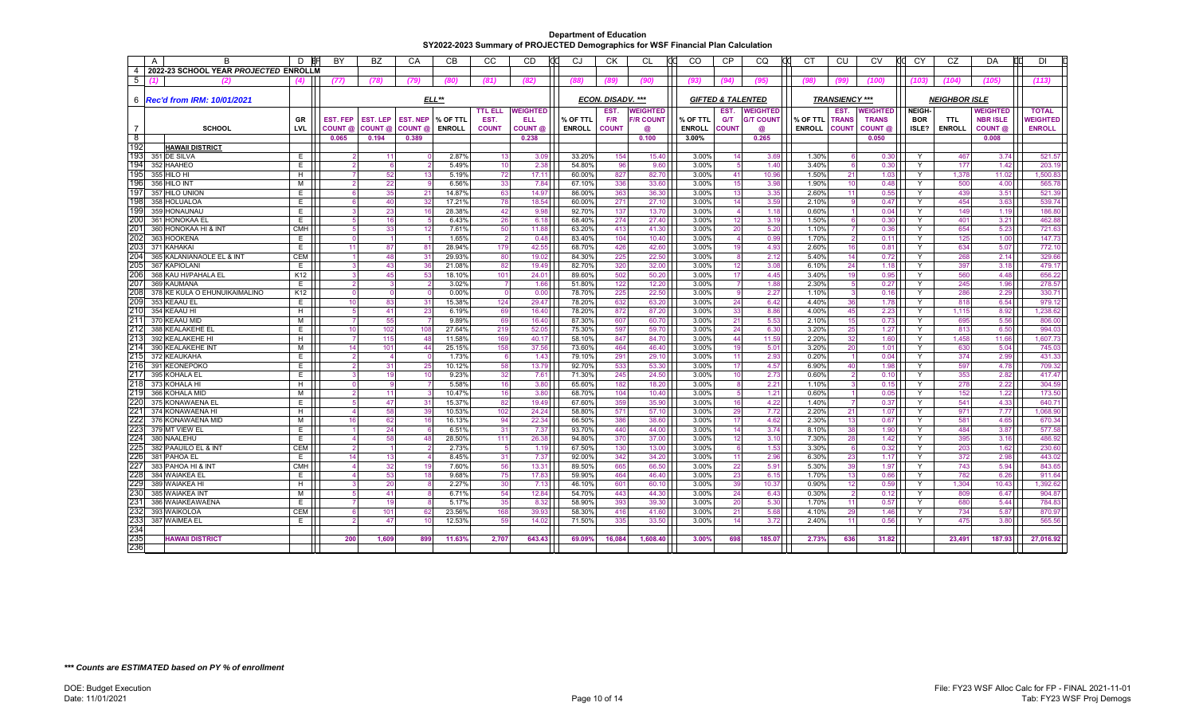|                | $\overline{A}$<br>R                   | D                    | <b>BY</b>       | <b>BZ</b>       | CA                 | <b>CB</b>        | CC                    | <b>CD</b>          | CJ               | <b>CK</b>         | <b>CL</b>        | <b>CO</b>      | CP             | <b>CQ</b>                    | rd<br><b>CT</b> | CU                    | CV              | CY            | CZ                   | DA<br>Пſ           | <b>DI</b>        |
|----------------|---------------------------------------|----------------------|-----------------|-----------------|--------------------|------------------|-----------------------|--------------------|------------------|-------------------|------------------|----------------|----------------|------------------------------|-----------------|-----------------------|-----------------|---------------|----------------------|--------------------|------------------|
| $\overline{4}$ | 2022-23 SCHOOL YEAR PROJECTED ENROLLM |                      |                 |                 |                    |                  |                       |                    |                  |                   |                  |                |                |                              |                 |                       |                 |               |                      |                    |                  |
| 5              | (2)                                   | $\left( 4\right)$    | (77)            | (78)            | (79)               | (80)             | (81)                  | (82)               | (88)             |                   | (90)             | (93)           | (94)           | (95)                         | (98)            |                       | (100)           | (103)         | (104)                | (105)              | (113)            |
|                |                                       |                      |                 |                 |                    |                  |                       |                    |                  |                   |                  |                |                |                              |                 |                       |                 |               |                      |                    |                  |
|                | 6   Rec'd from IRM: 10/01/2021        |                      |                 |                 |                    | ELL**            |                       |                    |                  | ECON. DISADV. *** |                  |                |                | <b>GIFTED &amp; TALENTED</b> |                 | <b>TRANSIENCY ***</b> |                 |               | <b>NEIGHBOR ISLE</b> |                    |                  |
|                |                                       |                      |                 |                 |                    |                  | <b>TTL ELL</b>        | <b>WEIGHTED</b>    |                  | EST.              | <b>WEIGHTED</b>  |                | EST.           | <b>WEIGHTED</b>              |                 | EST.                  | <b>NEIGHTED</b> | <b>NEIGH-</b> |                      | <b>WEIGHTED</b>    | <b>TOTAL</b>     |
|                |                                       | <b>GR</b>            | <b>EST. FEP</b> | <b>EST. LEP</b> | <b>EST. NEP</b>    | % OF TTL         | EST.                  | ELL                | % OF TTL         | F/R               | <b>F/R COUNT</b> | % OF TTL       | <b>G/T</b>     | <b>G/T COUNT</b>             | % OF TTL        | <b>TRANS</b>          | <b>TRANS</b>    | <b>BOR</b>    | <b>TTL</b>           | <b>NBR ISLE</b>    | <b>WEIGHTED</b>  |
| $\overline{7}$ | <b>SCHOOL</b>                         | LVL                  | COUNT @         | COUNT @         | COUNT <sub>®</sub> | <b>ENROLL</b>    | <b>COUNT</b>          | COUNT <sub>@</sub> | <b>ENROLL</b>    | <b>COUNT</b>      | $\omega$         | <b>ENROLL</b>  | <b>COUNT</b>   | $\omega$                     | <b>ENROLL</b>   | <b>COUNT</b>          | COUNT @         | ISLE?         | <b>ENROLL</b>        | COUNT <sub>@</sub> | <b>ENROLL</b>    |
| −8             |                                       |                      | 0.065           | 0.194           | 0.389              |                  |                       | 0.238              |                  |                   | 0.100            | 3.00%          |                | 0.265                        |                 |                       | 0.050           |               |                      | 0.008              |                  |
| 192<br>193     | <b>HAWAII DISTRICT</b>                |                      |                 |                 |                    |                  |                       |                    |                  |                   |                  |                |                |                              |                 |                       |                 |               |                      |                    |                  |
| 194            | 351 DE SILVA<br>352 HAAHEO            | E<br>E.              |                 | 11              |                    | 2.87%<br>5.49%   | 13<br>10              | 3.09<br>2.38       | 33.20%<br>54.80% | 154<br>96         | 15.40<br>9.60    | 3.00%<br>3.00% | 14<br>-5       | 3.69<br>1.40                 | 1.30%<br>3.40%  |                       | 0.30<br>0.30    | Y<br>Y        | 467<br>177           | 3.74<br>1.42       | 521.57<br>203.19 |
| 195            | 355 HILO HI                           | H                    |                 | 52              | 13                 | 5.19%            | 72                    | 17.11              | 60.00%           | 827               | 82.70            | 3.00%          | 41             | 10.96                        | 1.50%           | 21                    | 1.03            | Y             | 1,378                | 11.02              | 1,500.83         |
| 196            | 356 HILO INT                          | M                    |                 | 22              |                    | 6.56%            | 33                    | 7.84               | 67.10%           | 336               | 33.60            | 3.00%          | 15             | 3.98                         | 1.90%           | 10                    | 0.48            | Y             | 500                  | 4.00               | 565.78           |
| 197            | 357 HILO UNION                        | E.                   |                 | 35              | 21                 | 14.87%           | 63                    | 14.97              | 86.00%           | 363               | 36.30            | 3.00%          | 13             | 3.35                         | 2.60%           | 11                    | 0.55            | Y             | 439                  | 3.51               | 521.39           |
| 198            | 358 HOLUALOA                          | E                    |                 | 40              | 32                 | 17.21%           | 78                    | 18.54              | 60.00%           | 271               | 27.10            | 3.00%          | 14             | 3.59                         | 2.10%           |                       | 0.47            | Y             | 454                  | 3.63               | 539.74           |
| 199            | 359 HONAUNAU                          | E.                   |                 | 23              | 16                 | 28.38%           | 42                    | 9.98               | 92.70%           | 137               | 13.70            | 3.00%          | $\overline{4}$ | 1.18                         | 0.60%           |                       | 0.04            | Y             | 149                  | 1.19               | 186.80           |
| 200            | 361 HONOKAA EL                        | E.                   |                 | 16              |                    | 6.43%            | 26                    | 6.18               | 68.40%           | 274               | 27.40            | 3.00%          | 12             | 3.19                         | 1.50%           |                       | 0.30            | Y             | 401                  | 3.21               | 462.88           |
| 201            | 360 HONOKAA HI & INT                  | <b>CMH</b>           |                 | 33              | 12                 | 7.61%            | 50                    | 11.88              | 63.20%           | 413               | 41.30            | 3.00%          | 20             | 5.20                         | 1.10%           |                       | 0.36            | Y             | 654                  | 5.23               | 721.63           |
| 202            | 363 HOOKENA                           | E.                   |                 |                 |                    | 1.65%            | $\overline{2}$        | 0.48               | 83.40%           | 104               | 10.40            | 3.00%          | $\overline{4}$ | 0.99                         | 1.70%           |                       | 0.11            | Y             | 125                  | 1.00               | 147.73           |
| 203            | 371 KAHAKAI                           | E                    |                 | 87              | 81                 | 28.94%           | 179                   | 42.55              | 68.70%           | 426               | 42.60            | 3.00%          | 19             | 4.93                         | 2.60%           | 16                    | 0.81            | Y             | 634                  | 5.07               | 772.10           |
| 204            | 365 KALANIANAOLE EL & INT             | <b>CEM</b>           |                 | 48              | 31                 | 29.93%           | 80                    | 19.02              | 84.30%           | 225               | 22.50            | 3.00%          | 8              | 2.12                         | 5.40%           | 14                    | 0.72            | Y             | 268                  | 2.14               | 329.66           |
| 205            | 367 KAPIOLANI                         | E                    |                 | 43              | 36                 | 21.08%           | 82                    | 19.49              | 82.70%           | 320               | 32.00            | 3.00%          | 12             | 3.08                         | 6.10%           | 24                    | 1.18            | Y             | 397                  | 3.18               | 479.17           |
| 206<br>207     | 368 KAU HI/PAHALA EL<br>369 KAUMANA   | K <sub>12</sub><br>E |                 | 45              | 53                 | 18.10%<br>3.02%  | 101<br>$\overline{7}$ | 24.01<br>1.66      | 89.60%<br>51.80% | 502<br>122        | 50.20<br>12.20   | 3.00%<br>3.00% | 17             | 4.45                         | 3.40%<br>2.30%  | 19                    | 0.95<br>0.27    | Y<br>Y        | 560<br>245           | 4.48<br>1.96       | 656.22<br>278.57 |
| 208            | 378 KE KULA O EHUNUIKAIMALINO         | K12                  |                 |                 |                    | 0.00%            | $\overline{0}$        | 0.00               | 78.70%           | 225               | 22.50            | 3.00%          | 9              | 1.88<br>2.27                 | 1.10%           |                       | 0.16            | Y             | 286                  | 2.29               | 330.71           |
| 209            | 353 KEAAU EL                          | E.                   | 10              | 83              | 31                 | 15.38%           | 124                   | 29.47              | 78.20%           | 632               | 63.20            | 3.00%          | 24             | 6.42                         | 4.40%           | 36                    | 1.78            | Y             | 818                  | 6.54               | 979.12           |
| 210            | 354 KEAAU HI                          | H                    |                 | 41              | 23                 | 6.19%            | 69                    | 16.40              | 78.20%           | 872               | 87.20            | 3.00%          | 33             | 8.86                         | 4.00%           | 45                    | 2.23            | Y             | 1,115                | 8.92               | 1,238.62         |
| 211            | 370 KEAAU MID                         | M                    |                 | 55              |                    | 9.89%            | 69                    | 16.40              | 87.30%           | 607               | 60.70            | 3.00%          | 21             | 5.53                         | 2.10%           | 15                    | 0.73            | Y             | 695                  | 5.56               | 806.00           |
| 212            | 388 KEALAKEHE EI                      | E.                   | 10              | 102             | 108                | 27.64%           | 219                   | 52.05              | 75.30%           | 597               | 59.70            | 3.00%          | 24             | 6.30                         | 3.20%           | 25                    | 1.27            | Y             | 813                  | 6.50               | 994.03           |
| 213            | 392 KEALAKEHE HI                      | H                    |                 | 115             | 48                 | 11.58%           | 169                   | 40.17              | 58.10%           | 847               | 84.70            | 3.00%          | 44             | 11.59                        | 2.20%           | 32                    | 1.60            | Y             | 1,458                | 11.66              | 1,607.73         |
| 214            | 390 KEALAKEHE INT                     | M                    | 14              | 101             | 44                 | 25.15%           | 158                   | 37.56              | 73.60%           | 464               | 46.40            | 3.00%          | 19             | 5.01                         | 3.20%           | 20                    | 1.01            | Y             | 630                  | 5.04               | 745.03           |
| 215            | 372 KEAUKAHA                          | E                    |                 |                 |                    | 1.73%            | 6                     | 1.43               | 79.10%           | 291               | 29.10            | 3.00%          | 11             | 2.93                         | 0.20%           |                       | 0.04            | Y             | 374                  | 2.99               | 431.33           |
| 216            | 391 KEONEPOKO                         | E.                   |                 | 31              | 25                 | 10.12%           | 58                    | 13.79              | 92.70%           | 533               | 53.30            | 3.00%          | 17             | 4.57                         | 6.90%           | 40                    | 1.98            | Y             | 597                  | 4.78               | 709.32           |
| 217            | 395 KOHALA EL                         | E.                   |                 | 19              | 10                 | 9.23%            | 32                    | 7.61               | 71.30%           | 245               | 24.50            | 3.00%          | 10             | 2.73                         | 0.60%           |                       | 0.10            | Y             | 353                  | 2.82               | 417.47           |
| 218            | 373 KOHALA HI                         | $\overline{H}$       |                 |                 |                    | 5.58%            | 16                    | 3.80               | 65.60%           | 182               | 18.20            | 3.00%          | 8              | 2.21                         | 1.10%           |                       | 0.15            | Y             | 278                  | 2.22               | 304.59           |
| 219            | 366 KOHALA MID                        | M                    |                 | 11              |                    | 10.47%           | 16                    | 3.80               | 68.70%           | 104               | 10.40            | 3.00%          | 5              | 1.21                         | 0.60%           |                       | 0.05            | Y             | 152                  | 1.22               | 173.50           |
| 220<br>221     | 375 KONAWAENA EL                      | E.                   |                 | 47              | 31                 | 15.37%           | 82                    | 19.49              | 67.60%           | 359               | 35.90            | 3.00%          | 16             | 4.22                         | 1.40%           |                       | 0.37            | Y             | 541                  | 4.33               | 640.71           |
| $22^{\circ}$   | 374 KONAWAENA HI<br>376 KONAWAENA MID | H<br>M               |                 | 58<br>62        | 39<br>16           | 10.53%<br>16.13% | 102<br>94             | 24.24<br>22.34     | 58.80%<br>66.50% | 571<br>386        | 57.10<br>38.60   | 3.00%<br>3.00% | 29<br>17       | 7.72<br>4.62                 | 2.20%<br>2.30%  | 21<br>13              | 1.07<br>0.67    | Y<br>Y        | 971<br>581           | 7.77<br>4.65       | 068.90<br>670.34 |
| 223            | 379 MT VIEW EL                        | E                    |                 | 24              |                    | 6.51%            | 31                    | 7.37               | 93.70%           | 440               | 44.00            | 3.00%          | 14             | 3.74                         | 8.10%           | 38                    | 1.90            | Y             | 484                  | 3.87               | 577.58           |
| 224            | 380 NAALEHU                           | E.                   |                 | 58              | 48                 | 28.50%           | 111                   | 26.38              | 94.80%           | 370               | 37.00            | 3.00%          | 12             | 3.10                         | 7.30%           | 28                    | 1.42            | Y             | 395                  | 3.16               | 486.92           |
| 225            | 382 PAAUILO EL & INT                  | <b>CEM</b>           |                 |                 |                    | 2.73%            | 5                     | 1.19               | 67.50%           | 130               | 13.00            | 3.00%          | 6              | 1.53                         | 3.30%           |                       | 0.32            | Y             | 203                  | 1.62               | 230.60           |
| 226            | 381 PAHOA EL                          | E                    | 14              | 13              |                    | 8.45%            | 31                    | 7.37               | 92.00%           | 342               | 34.20            | 3.00%          | 11             | 2.96                         | 6.30%           | 23                    | 1.17            | Y             | 372                  | 2.98               | 443.02           |
| 227            | 383 PAHOA HI & INT                    | <b>CMH</b>           |                 | 32              | 19                 | 7.60%            | 56                    | 13.31              | 89.50%           | 665               | 66.50            | 3.00%          | 22             | 5.91                         | 5.30%           | 39                    | 1.97            | Y             | 743                  | 5.94               | 843.65           |
| 228            | 384 WAIAKEA EL                        | E                    |                 | 53              | 18                 | 9.68%            | 75                    | 17.83              | 59.90%           | 464               | 46.40            | 3.00%          | 23             | 6.15                         | 1.70%           | 13                    | 0.66            | Y             | 782                  | 6.26               | 911.64           |
| 229            | 389 WAIAKEA HI                        | H                    |                 | 20              |                    | 2.27%            | 30                    | 7.13               | 46.10%           | 601               | 60.10            | 3.00%          | 39             | 10.37                        | 0.90%           | 12                    | 0.59            | Y             | 1.304                | 10.43              | .392.62          |
| 230            | 385 WAIAKEA INT                       | м                    |                 | 41              |                    | 6.71%            | 54                    | 12.84              | 54.70%           | 443               | 44.30            | 3.00%          | 24             | 6.43                         | 0.30%           |                       | 0.12            | Y             | 809                  | 6.47               | 904.87           |
| 231            | 386 WAIAKEAWAENA                      | E.                   |                 | 19              |                    | 5.17%            | 35                    | 8.32               | 58.90%           | 393               | 39.30            | 3.00%          | 20             | 5.30                         | 1.70%           | 11                    | 0.57            | Y             | 680                  | 5.44               | 784.83           |
| 232            | 393 WAIKOLOA                          | <b>CEM</b>           |                 | 101             | 62                 | 23.56%           | 168                   | 39.93              | 58.30%           | 416               | 41.60            | 3.00%          | 21             | 5.68                         | 4.10%           | 29                    | 1.46            | Y             | 734                  | 5.87               | 870.97           |
| 233            | 387 WAIMEA EL                         | E                    |                 | 47              | 10 <sup>1</sup>    | 12.53%           | 59                    | 14.02              | 71.50%           | 335               | 33.50            | 3.00%          | 14             | 3.72                         | 2.40%           | 11                    | 0.56            | Y             | 475                  | 3.80               | 565.56           |
| 234            |                                       |                      |                 |                 |                    |                  |                       |                    |                  |                   |                  |                |                |                              |                 |                       |                 |               |                      |                    |                  |
| 235            | <b>HAWAII DISTRICT</b>                |                      | 200             | 1.609           | 899                | 11.63%           | 2.707                 | 643.43             | 69.09%           | 16.084            | 1.608.40         | 3.00%          | 698            | 185.07                       | 2.73%           | 636                   | 31.82           |               | 23.491               | 187.93             | 27.016.92        |
| 236            |                                       |                      |                 |                 |                    |                  |                       |                    |                  |                   |                  |                |                |                              |                 |                       |                 |               |                      |                    |                  |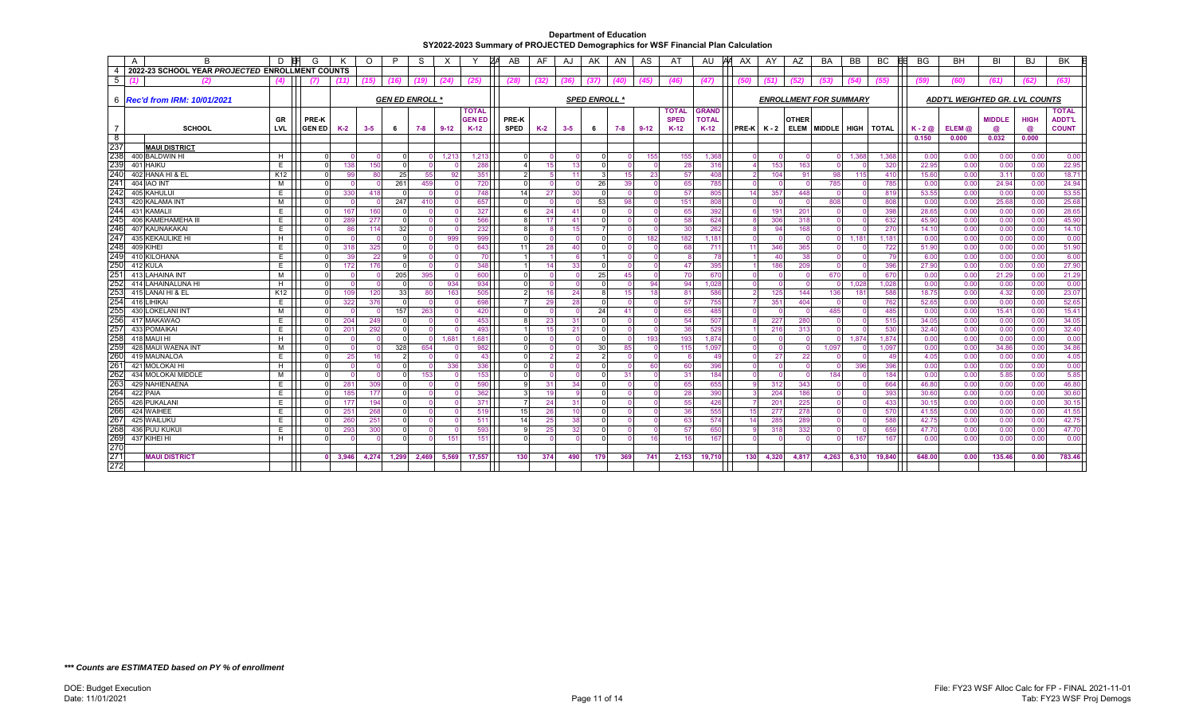|                 | A<br>В                                          | D                    |               |          | $\circ$  | P            | S                      | Х        |               | AB            | AF       | AJ       | AK.                  | AN  | AS       | A1           | AU           | AX.           | AY              | AZ              | BA                            | <b>BB</b> | BC              | BG               | <b>BH</b>                      | BI            | BJ           | <b>BK</b>      |
|-----------------|-------------------------------------------------|----------------------|---------------|----------|----------|--------------|------------------------|----------|---------------|---------------|----------|----------|----------------------|-----|----------|--------------|--------------|---------------|-----------------|-----------------|-------------------------------|-----------|-----------------|------------------|--------------------------------|---------------|--------------|----------------|
| $\overline{4}$  | 2022-23 SCHOOL YEAR PROJECTED ENROLLMENT COUNTS |                      |               |          |          |              |                        |          |               |               |          |          |                      |     |          |              |              |               |                 |                 |                               |           |                 |                  |                                |               |              |                |
| -5              | (2)                                             | (4)                  |               | (11)     | (15)     | (16)         | (19)                   | (24)     | (25)          | (28)          | (32)     |          |                      |     | (45)     | (46)         | (47)         |               | (51             |                 | (53)                          | (54)      | (55)            |                  |                                | (61)          | (62)         | (63)           |
|                 |                                                 |                      |               |          |          |              |                        |          |               |               |          |          |                      |     |          |              |              |               |                 |                 |                               |           |                 |                  |                                |               |              |                |
|                 | 6 <b>Rec'd from IRM: 10/01/2021</b>             |                      |               |          |          |              | <b>GEN ED ENROLL *</b> |          |               |               |          |          | <b>SPED ENROLL *</b> |     |          |              |              |               |                 |                 | <b>ENROLLMENT FOR SUMMARY</b> |           |                 |                  | ADDT'L WEIGHTED GR. LVL COUNTS |               |              |                |
|                 |                                                 |                      |               |          |          |              |                        |          | <b>TOTAL</b>  |               |          |          |                      |     |          | <b>TOTAL</b> | <b>GRAND</b> |               |                 |                 |                               |           |                 |                  |                                |               |              | <b>TOTAL</b>   |
|                 |                                                 | GR                   | PRE-K         |          |          |              |                        |          | <b>GEN ED</b> | PRE-K         |          |          |                      |     |          | <b>SPED</b>  | <b>TOTAL</b> |               |                 | <b>OTHER</b>    |                               |           |                 |                  |                                | <b>MIDDLE</b> | <b>HIGH</b>  | <b>ADDT'L</b>  |
|                 | <b>SCHOOL</b>                                   | <b>LVL</b>           | <b>GEN ED</b> | K-2      | $3 - 5$  | 6            | 7-8                    | $9 - 12$ | $K-12$        | <b>SPED</b>   | K-2      | $3 - 5$  | 6                    | 7-8 | 9-12     | $K-12$       | $K-12$       | $PRE-K$ $K-2$ |                 | <b>ELEM</b>     | MIDDLE HIGH TOTAL             |           |                 | $K - 2$ $\omega$ | ELEM @                         | @             | @            | <b>COUNT</b>   |
| $^8$            |                                                 |                      |               |          |          |              |                        |          |               |               |          |          |                      |     |          |              |              |               |                 |                 |                               |           |                 | 0.150            | 0.000                          | 0.032         | 0.000        |                |
| 237<br>238      | <b>MAUI DISTRICT</b>                            |                      |               |          |          |              |                        |          |               |               |          |          |                      |     |          |              |              |               |                 |                 |                               |           |                 |                  |                                |               |              |                |
| 239             | 400 BALDWIN HI                                  | н                    |               |          |          |              |                        | 1,213    | 1,213         |               |          |          |                      |     | 155      | 155          | 1,368        |               |                 |                 |                               | 1,368     | 1,368           | 0.00             | 0.00                           | 0.00          | 0.00         | 0.00           |
| 240             | 401 HAIKU                                       | E                    |               | 138      | 150      | $\Omega$     |                        |          | 288           |               | 15       | 13       |                      |     |          | 28           | 316          |               | 153             | 163             |                               |           | 320             | 22.95            | 0.00                           | 0.00          | 0.00         | 22.95          |
| 241             | 402 HANA HI & EL                                | K <sub>12</sub><br>M |               | 99       | 80       | 25           | 55                     | 92       | 351           | 2             |          | 11       |                      | -15 | 23       | 57           | 408          |               | 104<br>$\Omega$ | 91              | 98                            | 115       | 410             | 15.60            | 0.00                           | 3.11          | 0.00         | 18.71          |
| 242             | <b>404 IAO INT</b><br>405 KAHULUI               | E                    |               |          | 418      | 261          | 459                    | $\Omega$ | 720           |               |          |          | 26                   | 39  |          | 65           | 785          |               |                 |                 | 785                           |           | 785             | 0.00<br>53.55    | 0.00<br>0.00                   | 24.94         | 0.00<br>0.00 | 24.94<br>53.55 |
| 243             | 420 KALAMA INT                                  | M                    |               | 330      | $\Omega$ | 247          | 410                    | $\Omega$ | 748<br>657    | 14            | 27       | 30       | 53                   | 98  |          | 57<br>151    | 805          | 14            | 357<br>$\Omega$ | 448<br>$\Omega$ | 808                           |           | 819<br>808      |                  | 0.00                           | 0.00<br>25.68 |              | 25.68          |
| 244             | 431 KAMALII                                     | E.                   |               | 167      | 160      |              |                        |          | 327           |               | 24       | 41       |                      |     |          | 65           | 808<br>392   |               | 191             | 201             |                               |           | 398             | 0.00<br>28.65    | 0.00                           | 0.00          | 0.00<br>0.00 | 28.65          |
| 245             | 406 KAMEHAMEHA I                                | E                    |               | 289      | 277      | $\Omega$     |                        |          | 566           |               | 17       | 41       |                      |     |          | 58           | 624          |               | 306             | 318             |                               |           | 632             | 45.90            | 0.00                           | 0.00          | 0.00         | 45.90          |
| 246             | 407 KAUNAKAKAI                                  | E.                   |               | 86       | 114      | 32           |                        |          | 232           |               |          | 15       |                      |     |          | 30           | 262          |               | 94              | 168             |                               |           | 270             | 14.10            | 0.00                           | 0.00          | 0.00         | 14.10          |
| 247             | 435 KEKAULIKE HI                                | H                    |               |          | - 0      | $\Omega$     | $\cap$                 | 999      | 999           |               |          |          |                      |     | 182      | 182          | 1,181        |               | $\Omega$        | $\cap$          |                               | 1,181     | 1,181           | 0.00             | 0.00                           | 0.00          | 0.00         | 0.00           |
| 248             | 409 KIHEI                                       | E                    |               | 318      | 325      | $\Omega$     |                        |          | 643           | 11            | 28       | 40       |                      |     |          | 68           | 711          | 11            | 346             | 365             |                               |           | 722             | 51.90            | 0.00                           | 0.00          | 0.00         | 51.90          |
| 249             | 410 KILOHANA                                    | E                    |               | 39       | 22       | $\mathbf{Q}$ | $\Omega$               | $\Omega$ | 70            |               |          |          |                      |     |          |              | 78           |               | 40              | 38              |                               |           | 79              | 6.00             | 0.00                           | 0.00          | 0.00         | 6.00           |
| 250             | 412 KULA                                        | E                    |               | 172      | 176      | $\Omega$     |                        |          | 348           |               | 14       | 33       |                      |     |          | 47           | 395          |               | 186             | 209             |                               |           | 396             | 27.90            | 0.00                           | 0.00          | 0.00         | 27.90          |
| 25 <sup>2</sup> | 413 LAHAINA INT                                 | м                    | $\Omega$      | $\cap$   | $\Omega$ | 205          | 395                    | $\Omega$ | 600           | $\Omega$      |          | $\Omega$ | 25                   | 45  | $\cap$   | 70           | 670          |               | $\Omega$        | $\Omega$        | 670                           |           | 67 <sub>C</sub> | 0.00             | 0.00                           | 21.29         | 0.00         | 21.29          |
| 252             | 414 LAHAINALUNA H                               | H                    |               |          |          |              |                        | 934      | 934           |               |          |          |                      |     | 94       | 94           | 1,028        |               | $\Omega$        | $\Omega$        |                               | 1,028     | 1,028           | 0.00             | 0.00                           | 0.00          | 0.00         | 0.00           |
| 253             | 415 LANAI HI & EL                               | K <sub>12</sub>      |               | 109      | 120      | 33           | 80                     | 163      | 505           | $\mathcal{P}$ | 16       | 24       |                      | 15  | 18       | 81           | 586          |               | 125             | 144             | 136                           | 181       | 588             | 18.75            | 0.00                           | 4.32          | 0.00         | 23.07          |
| 254             | 416 LIHIKAI                                     | E                    |               | 322      | 376      |              |                        |          | 698           |               | 29       | 28       |                      |     |          | 57           | 755          |               | 351             | 404             |                               |           | 762             | 52.65            | 0.00                           | 0.00          | 0.00         | 52.65          |
| 255             | 430 LOKELANI INT                                | M                    |               |          | - 0      | 157          | 263                    | $\Omega$ | 420           |               |          |          | 24                   | 41  | $\Omega$ | 65           | 485          |               | $\Omega$        | $\Omega$        | 485                           |           | 485             | 0.00             | 0.00                           | 15.41         | 0.00         | 15.41          |
| 256             | 417 MAKAWAO                                     | E                    |               | 204      | 249      | - 0          |                        |          | 453           |               | 23       | 31       |                      |     |          | 54           | 507          |               | 227             | 280             |                               |           | 515             | 34.05            | 0.00                           | 0.00          | 0.00         | 34.05          |
| 257             | 433 POMAIKAI                                    | E                    |               | 201      | 292      | $\Omega$     |                        |          | 493           |               | 15       | 21       |                      |     |          | 36           | 529          |               | 216             | 313             |                               |           | 530             | 32.40            | 0.00                           | 0.00          | 0.00         | 32.40          |
| 258             | 418 MAUI HI                                     | н                    |               |          |          | $\Omega$     | $\Omega$               | 1,681    | 1,68          |               |          |          |                      |     | 193      | 193          | 1,874        |               | $\Omega$        |                 |                               | 1,874     | 1,874           | 0.00             | 0.00                           | 0.00          | 0.00         | 0.00           |
| 259             | 428 MAUI WAENA INT                              | M                    | $\Omega$      | $\Omega$ | $\Omega$ | 328          | 654                    |          | 982           | $\Omega$      | $\Omega$ | $\Omega$ | 30                   | 85  | - 0      | 115          | 1.097        |               | $\Omega$        | $\Omega$        | 1.097                         |           | 1.097           | 0.00             | 0.00                           | 34.86         | 0.00         | 34.86          |
| 260             | 419 MAUNALOA                                    | E                    |               | 25       | 16       | 2            |                        | $\Omega$ | -43           |               |          |          |                      |     | $\cap$   | -6           | 49           |               | 27              | 22              |                               |           | 49              | 4.05             | 0.00                           | 0.00          | 0.00         | 4.05           |
| $26^{\circ}$    | 421 MOLOKAI HI                                  | H                    |               |          | $\Omega$ | $\Omega$     |                        | 336      | 336           |               |          |          |                      |     | 60       | 60           | 396          |               | $\Omega$        |                 |                               | 396       | 396             | 0.00             | 0.00                           | 0.00          | 0.00         | 0.00           |
| 262             | 434 MOLOKAI MIDDLE                              | м                    |               |          |          |              | 153                    |          | 153           |               |          |          |                      | 31  |          | 31           | 184          |               | $\Omega$        |                 | 184                           |           | 184             | 0.00             | 0.00                           | 5.85          | 0.00         | 5.85           |
| 263             | 429 NAHIENAENA                                  | E                    |               | 281      | 309      | $\Omega$     | $\Omega$               | - 0      | 590           |               | 31       | 34       |                      |     |          | 65           | 655          |               | 312             | 343             |                               |           | 664             | 46.80            | 0.00                           | 0.00          | 0.00         | 46.80          |
| 264             | 422 PAIA                                        | E                    |               | 185      | 177      |              |                        |          | 362           |               | 19       |          |                      |     |          | 28           | 390          |               | 204             | 186             |                               |           | 393             | 30.60            | 0.00                           | 0.00          | 0.00         | 30.60          |
| 265             | 426 PUKALANI                                    | E.                   |               | 177      | 194      | $\Omega$     |                        |          | 371           |               | 24       | 31       |                      |     |          | 55           | 426          |               | 201             | 225             |                               |           | 433             | 30.15            | 0.00                           | 0.00          | 0.00         | 30.15          |
| 266             | 424 WAIHEE                                      | E.                   |               | 251      | 268      |              |                        |          | 519           | 15            | 26       | 10       |                      |     |          | 36           | 555          | 15            | 277             | 278             |                               |           | 570             | 41.55            | 0.00                           | 0.00          | 0.00         | 41.55          |
| 267             | 425 WAILUKU                                     | E.                   |               | 260      | 251      | $\Omega$     |                        |          | 511           | 14            | 25       | 38       |                      |     |          | 63           | 574          | 14            | 285             | 289             |                               |           | 588             | 42.75            | 0.00                           | 0.00          | 0.00         | 42.75          |
| 268             | 436 PUU KUKUI                                   | E                    |               | 293      | 300      | $\Omega$     |                        |          | 593           |               | 25       | 32       |                      |     | n        | 57           | 650          |               | 318             | 332             |                               |           | 659             | 47.70            | 0.00                           | 0.00          | 0.00         | 47.70          |
| 269             | 437 KIHEI HI                                    | H                    |               |          |          |              |                        | 151      | 151           |               |          |          |                      |     | 16       | 16           | 167          |               |                 |                 |                               | 167       | 167             | 0.00             | 0.00                           | 0.00          | 0.00         | 0.00           |
| 270             |                                                 |                      |               |          |          |              |                        |          |               |               |          |          |                      |     |          |              |              |               |                 |                 |                               |           |                 |                  |                                |               |              |                |
| 271             | <b>MAUI DISTRICT</b>                            |                      |               | 3.946    | 4,274    | 1,299        | 2,469                  | 5,569    | 17.557        | 130           | 374      | 490      | 179                  | 369 | 741      | 2,153        | 19,710       | 130           | 4,320           | 4,817           | 4.263                         | 6,310     | 19,840          | 648.00           | 0.00                           | 135.46        | 0.00         | 783.46         |
| 272             |                                                 |                      |               |          |          |              |                        |          |               |               |          |          |                      |     |          |              |              |               |                 |                 |                               |           |                 |                  |                                |               |              |                |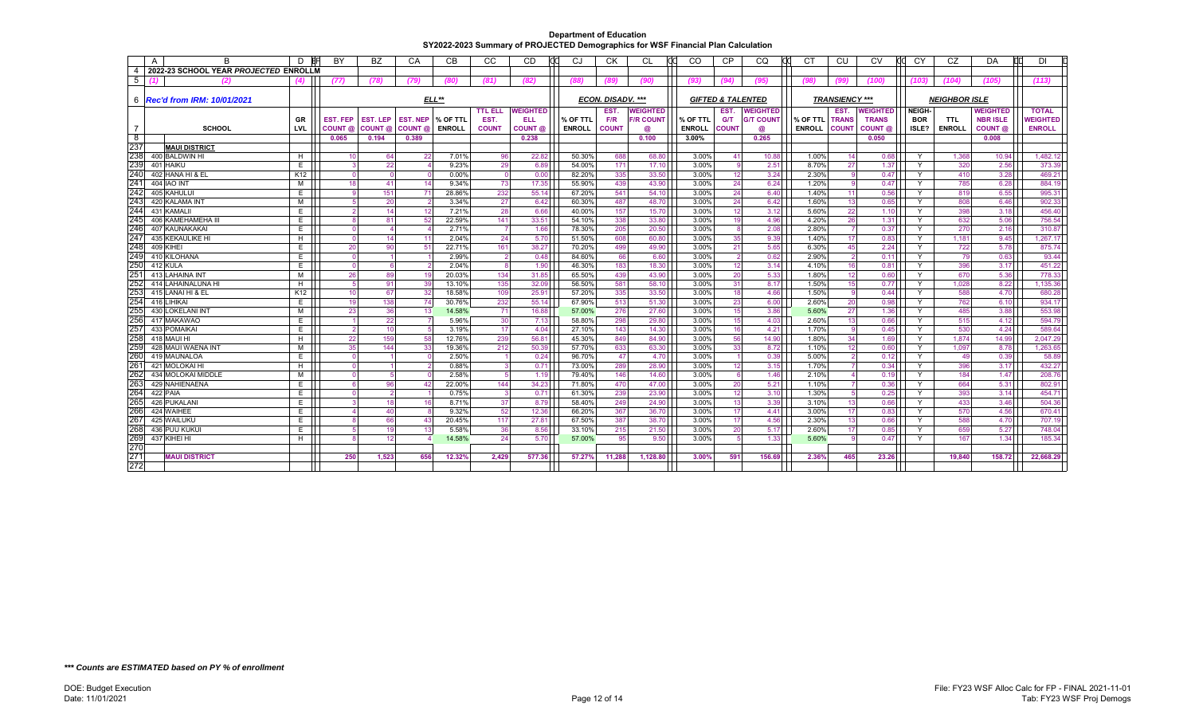|                | A | B                                      | D               | BY                   | BZ                      | CA              | CВ            | CC             | <b>CD</b>       | CJ            | <b>CK</b>         | CL               | <sub>CO</sub> | <b>CP</b>                    | CQ               | C <sub>1</sub> | CU                    | CV                 | <b>CY</b>     | CZ                   | DA              | DI              |
|----------------|---|----------------------------------------|-----------------|----------------------|-------------------------|-----------------|---------------|----------------|-----------------|---------------|-------------------|------------------|---------------|------------------------------|------------------|----------------|-----------------------|--------------------|---------------|----------------------|-----------------|-----------------|
| $\overline{4}$ |   | 2022-23 SCHOOL YEAR PROJECTED ENROLLM  |                 |                      |                         |                 |               |                |                 |               |                   |                  |               |                              |                  |                |                       |                    |               |                      |                 |                 |
| 5              |   | (2)                                    | (4)             | (77)                 | (78)                    | (79)            | (80)          | (81)           | (82)            | (88)          | 789               | (90)             | (93)          | (94)                         | (95)             | (98)           | (99)                  | (100)              | (103)         | (104)                | (105)           | (113)           |
|                |   |                                        |                 |                      |                         |                 |               |                |                 |               |                   |                  |               |                              |                  |                |                       |                    |               |                      |                 |                 |
|                |   | 6   Rec'd from IRM: 10/01/2021         |                 |                      |                         |                 | $ELL**$       |                |                 |               | ECON. DISADV. *** |                  |               | <b>GIFTED &amp; TALENTED</b> |                  |                | <b>TRANSIENCY ***</b> |                    |               | <b>NEIGHBOR ISLE</b> |                 |                 |
|                |   |                                        |                 |                      |                         |                 |               | <b>TTL ELL</b> | <b>WEIGHTED</b> |               | EST.              | <b>WEIGHTED</b>  |               | EST.                         | <b>WEIGHTED</b>  |                | EST.                  | WEIGHTED           | <b>NEIGH-</b> |                      | <b>WEIGHTED</b> | <b>TOTAL</b>    |
|                |   |                                        | <b>GR</b>       | EST. FEP             | <b>EST. LEP</b>         | <b>EST. NEP</b> | % OF TTL      | EST.           | ELL             | % OF TTL      | F/R               | <b>F/R COUNT</b> | % OF TTL      | <b>G/T</b>                   | <b>G/T COUNT</b> | % OF TTL       | <b>TRANS</b>          | <b>TRANS</b>       | <b>BOR</b>    | <b>TTL</b>           | <b>NBR ISLE</b> | <b>VEIGHTED</b> |
| 7              |   | <b>SCHOOL</b>                          | LVL             | COUNT @              | COUNT @                 | COUNT @         | <b>ENROLL</b> | <b>COUNT</b>   | COUNT @         | <b>ENROLL</b> | <b>COUNT</b>      | @                | <b>ENROLL</b> | <b>COUNT</b>                 | @                | <b>ENROLL</b>  | <b>COUNT</b>          | COUNT <sub>®</sub> | ISLE?         | <b>ENROLL</b>        | COUNT @         | <b>ENROLL</b>   |
| ි 8<br>237     |   |                                        |                 | 0.065                | 0.194                   | 0.389           |               |                | 0.238           |               |                   | 0.100            | 3.00%         |                              | 0.265            |                |                       | 0.050              |               |                      | 0.008           |                 |
| 238            |   | <b>MAUI DISTRICT</b><br>400 BALDWIN HI |                 | 10                   | 64                      | 22              | 7.01%         | 96             | 22.82           | 50.30%        | 688               | 68.80            | 3.00%         | 41                           | 10.88            | 1.00%          | 14                    | 0.68               | Y             | 1,368                | 10.94           | 1,482.12        |
| 239            |   | 401 HAIKU                              | H<br>E          | $\overline{3}$       | 22                      |                 | 9.23%         | 29             | 6.89            | 54.00%        | 171               | 17.10            | 3.00%         | -9                           | 2.51             | 8.70%          | 27                    | 1.37               | Y             | 320                  | 2.56            | 373.39          |
| 240            |   | 402 HANA HI & EL                       | K12             | $\overline{0}$       | $\Omega$                |                 | 0.00%         | $\overline{0}$ | 0.00            | 82.20%        | 335               | 33.50            | 3.00%         | 12                           | 3.24             | 2.30%          | <b>g</b>              | 0.47               | Y             | 410                  | 3.28            | 469.21          |
| 241            |   | <b>404 IAO INT</b>                     | M               | 18                   | 41                      | 14              | 9.34%         | 73             | 17.35           | 55.90%        | 439               | 43.90            | 3.00%         | 24                           | 6.24             | 1.20%          |                       | 0.47               | Y             | 785                  | 6.28            | 884.19          |
| 242            |   | 405 KAHULUI                            | E               | $\mathbf{q}$         | 151                     |                 | 28.86%        | 232            | 55.14           | 67.20%        | 541               | 54.10            | 3.00%         | 24                           | 6.40             | 1.40%          | 11                    | 0.56               | Y             | 819                  | 6.55            | 995.31          |
| 243            |   | 420 KALAMA INT                         | М               | 5 <sup>1</sup>       | 20                      |                 | 3.34%         | 27             | 6.42            | 60.30%        | 487               | 48.70            | 3.00%         | 24                           | 6.42             | 1.60%          | 13                    | 0.65               | Y             | 808                  | 6.46            | 902.33          |
| 244            |   | 431 KAMALII                            | E               | $\overline{2}$       | 14                      | 12              | 7.21%         | 28             | 6.66            | 40.00%        | 157               | 15.70            | 3.00%         | 12                           | 3.12             | 5.60%          | 22                    | 1.10               | Y             | 398                  | 3.18            | 456.40          |
| 245            |   | 406 KAMEHAMEHA III                     | E               | $\mathsf{R}$         | 81                      | 52              | 22.59%        | 141            | 33.51           | 54.10%        | 338               | 33.80            | 3.00%         | 19                           | 4.96             | 4.20%          | 26                    | 1.31               | Y             | 632                  | 5.06            | 756.54          |
| 246            |   | 407 KAUNAKAKAI                         | E.              | $\Omega$             | $\overline{\mathbf{A}}$ |                 | 2.71%         |                | 1.66            | 78.30%        | 205               | 20.50            | 3.00%         |                              | 2.08             | 2.80%          |                       | 0.37               | Y             | 270                  | 2.16            | 310.87          |
| 247            |   | 435 KEKAULIKE HI                       | Н.              | $\overline{0}$       | 14                      |                 | 2.04%         | 24             | 5.70            | 51.50%        | 608               | 60.80            | 3.00%         | 35                           | 9.39             | 1.40%          | 17                    | 0.83               | Y             | 1,181                | 9.45            | 1,267.17        |
| 248            |   | 409 KIHEI                              | E.              | 20                   | 90                      | 51              | 22.71%        | 161            | 38.27           | 70.20%        | 499               | 49.90            | 3.00%         | 21                           | 5.65             | 6.30%          | 45                    | 2.24               | Y             | 722                  | 5.78            | 875.74          |
| 249            |   | 410 KILOHANA                           | E               | $\overline{0}$       | $\overline{1}$          |                 | 2.99%         | $\overline{2}$ | 0.48            | 84.60%        | 66                | 6.60             | 3.00%         | $\overline{2}$               | 0.62             | 2.90%          | $\overline{2}$        | 0.11               | Y             | 79                   | 0.63            | 93.44           |
| 250            |   | 412 KULA                               | E               | $\overline{0}$       | 6                       |                 | 2.04%         | 8              | 1.90            | 46.30%        | 183               | 18.30            | 3.00%         | 12                           | 3.14             | 4.10%          | 16                    | 0.81               | Y             | 396                  | 3.17            | 451.22          |
| 251            |   | 413 LAHAINA INT                        | М               | 26                   | 89                      |                 | 20.03%        | 134            | 31.85           | 65.50%        | 439               | 43.90            | 3.00%         | 20                           | 5.33             | 1.80%          | 12                    | 0.60               | Y             | 670                  | 5.36            | 778.33          |
| 252            |   | 414 LAHAINALUNA HI                     | H               | 5 <sup>1</sup>       | 91                      | 39              | 13.10%        | 135            | 32.09           | 56.50%        | 581               | 58.10            | 3.00%         | 31                           | 8.17             | 1.50%          | 15                    | 0.77               | Y             | 1.028                | 8.22            | 1,135.36        |
| 253            |   | 415 LANAI HI & EL                      | K <sub>12</sub> | 10                   | 67                      | 32              | 18.58%        | 109            | 25.91           | 57.20%        | 335               | 33.50            | 3.00%         | 18                           | 4.66             | 1.50%          | - 9                   | 0.44               | Y             | 588                  | 4.70            | 680.28          |
| 254            |   | 416 LIHIKAI                            | E               | 19                   | 138                     | 74              | 30.76%        | 232            | 55.14           | 67.90%        | 513               | 51.30            | 3.00%         | 23                           | 6.00             | 2.60%          | 20                    | 0.98               | Y             | 762                  | 6.10            | 934.17          |
| 255            |   | 430 LOKELANI INT                       | M               | 23                   | 36                      | 13              | 14.58%        | 71             | 16.88           | 57.00%        | 276               | 27.60            | 3.00%         | 15                           | 3.86             | 5.60%          | 27                    | 1.36               | Y             | 485                  | 3.88            | 553.98          |
| 256            |   | 417 MAKAWAO                            | E               | $\blacktriangleleft$ | 22                      |                 | 5.96%         | 30             | 7.13            | 58.80%        | 298               | 29.80            | 3.00%         | 15                           | 4.03             | 2.60%          | 13                    | 0.66               | Y             | 515                  | 4.12            | 594.79          |
| 257            |   | 433 POMAIKAI                           | E               | $\overline{2}$       | 10 <sup>1</sup>         |                 | 3.19%         | 17             | 4.04            | 27.10%        | 143               | 14.30            | 3.00%         | 16                           | 4.21             | 1.70%          | -9                    | 0.45               | Y             | 530                  | 4.24            | 589.64          |
| 258            |   | 418 MAUI HI                            | H               | 22                   | 159                     | 58              | 12.76%        | 239            | 56.81           | 45.30%        | 849               | 84.90            | 3.00%         | 56                           | 14.90            | 1.80%          | 34                    | 1.69               | Y             | 1,874                | 14.99           | 2,047.29        |
| 259            |   | 428 MAUI WAENA INT                     | М               | 35                   | 144                     | 33              | 19.36%        | 212            | 50.39           | 57.70%        | 633               | 63.30            | 3.00%         | 33                           | 8.72             | 1.10%          | 12                    | 0.60               | Y             | 1.097                | 8.78            | 1,263.65        |
| 260            |   | 419 MAUNALOA                           | E               | $\overline{0}$       |                         |                 | 2.50%         |                | 0.24            | 96.70%        | 47                | 4.70             | 3.00%         |                              | 0.39             | 5.00%          |                       | 0.12               | Y             | 49                   | 0.39            | 58.89           |
| 261            |   | 421 MOLOKAI HI                         | H               | $\overline{0}$       |                         |                 | 0.88%         | 3              | 0.71            | 73.00%        | 289               | 28.90            | 3.00%         | 12                           | 3.15             | 1.70%          |                       | 0.34               | Y             | 396                  | 3.17            | 432.27          |
| 262            |   | 434 MOLOKAI MIDDLE                     | M               | $\overline{0}$       | 5                       |                 | 2.58%         | 5              | 1.19            | 79.40%        | 146               | 14.60            | 3.00%         | 6                            | 1.46             | 2.10%          |                       | 0.19               | Y             | 184                  | 1.47            | 208.76          |
| 263            |   | 429 NAHIENAENA                         | E               | 6                    | 96                      | 41              | 22.00%        | 144            | 34.23           | 71.80%        | 470               | 47.00            | 3.00%         | 20                           | 5.21             | 1.10%          |                       | 0.36               | Y             | 664                  | 5.31            | 802.91          |
| 264            |   | 422 PAIA                               | E               | $\overline{0}$       | $\overline{2}$          |                 | 0.75%         | $\overline{3}$ | 0.71            | 61.30%        | 239               | 23.90            | 3.00%         | 12                           | 3.10             | 1.30%          |                       | 0.25               | Y             | 393                  | 3.14            | 454.71          |
| 265            |   | 426 PUKALANI                           | E               | 3                    | 18                      |                 | 8.71%         | 37             | 8.79            | 58.40%        | 249               | 24.90            | 3.00%         | 13                           | 3.39             | 3.10%          | 13                    | 0.66               | Y             | 433                  | 3.46            | 504.36          |
| 266            |   | 424 WAIHEE                             | E               | $\Delta$             | 40                      |                 | 9.32%         | 52             | 12.36           | 66.20%        | 367               | 36.70            | 3.00%         | 17                           | 4.41             | 3.00%          | 17                    | 0.83               | Y             | 570                  | 4.56            | 670.41          |
| 267            |   | 425 WAILUKU                            | E               | <sub>8</sub>         | 66                      | 43              | 20.45%        | 117            | 27.81           | 67.50%        | 387               | 38.70            | 3.00%         | 17                           | 4.56             | 2.30%          | 13                    | 0.66               | Y             | 588                  | 4.70            | 707.19          |
| 268            |   | 436 PUU KUKU                           | E               | 5 <sup>1</sup>       | 19                      | 13              | 5.58%         | 36             | 8.56            | 33.10%        | 215               | 21.50            | 3.00%         | 20                           | 5.17             | 2.60%          | 17                    | 0.85               | Y             | 659                  | 5.27            | 748.04          |
| 269            |   | 437 KIHEI HI                           | H               |                      | 12                      |                 | 14.58%        | 24             | 5.70            | 57.00%        | 95                | 9.50             | 3.00%         |                              | 1.33             | 5.60%          | <b>g</b>              | 0.47               | Y             | 167                  | 1.34            | 185.34          |
| 270            |   |                                        |                 |                      |                         |                 |               |                |                 |               |                   |                  |               |                              |                  |                |                       |                    |               |                      |                 |                 |
| 271            |   | <b>MAUI DISTRICT</b>                   |                 | 250                  | 1,523                   | 656             | 12.32%        | 2,429          | 577.36          | 57.27%        | 11,288            | 1,128.80         | 3.00%         | 591                          | 156.69           | 2.36%          | 465                   | 23.26              |               | 19.840               | 158.72          | 22,668.29       |
| 272            |   |                                        |                 |                      |                         |                 |               |                |                 |               |                   |                  |               |                              |                  |                |                       |                    |               |                      |                 |                 |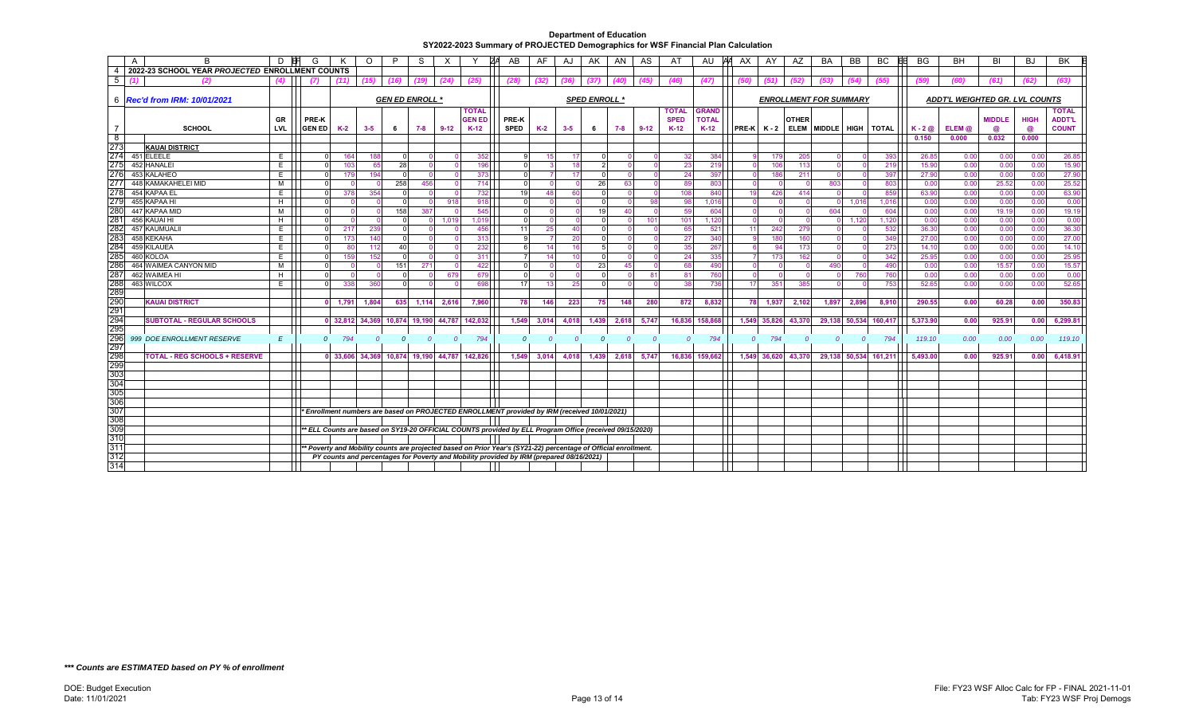|                   | A<br>B                                          | D   |                        |       | O              |               | S             |              |                                              | AB                                                                                                              | AF             | AJ             | AK           | AN             | AS             | AT           | AU                            | <b>AX</b> | AY                    | AZ                  | BA                     | <b>BB</b>      | BC                   | <b>BB</b><br><b>BG</b>         | <b>BH</b> | BI            | <b>BJ</b>   | <b>BK</b>     |  |
|-------------------|-------------------------------------------------|-----|------------------------|-------|----------------|---------------|---------------|--------------|----------------------------------------------|-----------------------------------------------------------------------------------------------------------------|----------------|----------------|--------------|----------------|----------------|--------------|-------------------------------|-----------|-----------------------|---------------------|------------------------|----------------|----------------------|--------------------------------|-----------|---------------|-------------|---------------|--|
| - 4               | 2022-23 SCHOOL YEAR PROJECTED ENROLLMENT COUNTS |     |                        |       |                |               |               |              |                                              |                                                                                                                 |                |                |              |                |                |              |                               |           |                       |                     |                        |                |                      |                                |           |               |             |               |  |
| 5                 |                                                 | (4) | (7)                    | (11)  | (15)           | (16)          | (19)          | (24)         | (25)                                         | (28)                                                                                                            | (32)           | (36)           | (37)         | (40)           | (45)           | (46)         | (47)                          | (50)      | (51)                  | (52)                | (53)                   | (54)           | (55)                 | (59)                           | (60)      | (61)          | (62)        | (63)          |  |
|                   | 6 <b>Rec'd from IRM: 10/01/2021</b>             |     | <b>GEN ED ENROLL *</b> |       |                |               |               |              |                                              | <b>SPED ENROLL *</b>                                                                                            |                |                |              |                |                |              | <b>ENROLLMENT FOR SUMMARY</b> |           |                       |                     |                        |                |                      | ADDT'L WEIGHTED GR. LVL COUNTS |           |               |             |               |  |
|                   |                                                 |     |                        |       |                |               |               |              | <b>TOTAL</b>                                 |                                                                                                                 |                |                |              |                |                | <b>TOTAL</b> | <b>GRAND</b>                  |           |                       |                     |                        |                |                      |                                |           |               |             | <b>TOTAL</b>  |  |
|                   |                                                 | GR  | PRE-K                  |       |                |               |               |              | <b>GEN ED</b>                                | PRE-K                                                                                                           |                |                |              |                |                | <b>SPED</b>  | <b>TOTAL</b>                  |           |                       | <b>OTHER</b>        |                        |                |                      |                                |           | <b>MIDDLE</b> | <b>HIGH</b> | <b>ADDT'L</b> |  |
|                   | <b>SCHOOL</b>                                   | LVL | <b>GEN ED</b>          | K-2   | $3 - 5$        | - 6           | 7-8           | $9 - 12$     | $K-12$                                       | <b>SPED</b>                                                                                                     | $K-2$          | $3 - 5$        | 6            | 7-8            | $9-12$         | $K-12$       | $K-12$                        |           | $PRE-K$ $K-2$         |                     | ELEM MIDDLE HIGH TOTAL |                |                      | $K - 2$ $\omega$               | ELEM @    | @             | $^{\circ}$  | <b>COUNT</b>  |  |
| $^{\circ}$<br>273 |                                                 |     |                        |       |                |               |               |              |                                              |                                                                                                                 |                |                |              |                |                |              |                               |           |                       |                     |                        |                |                      | 0.150                          | 0.000     | 0.032         | 0.000       |               |  |
| 274               | <b>KAUAI DISTRICT</b><br>451 ELEELE             | E.  |                        | 164   | 188            |               |               |              | 352                                          |                                                                                                                 |                |                |              |                |                | 32           | 384                           |           |                       | 179<br>205          |                        |                | 393                  | 26.85                          | 0.00      | 0.00          | 0.00        | 26.85         |  |
| 275               | 452 HANALEI                                     | E.  |                        | 103   | 65             | 28            |               |              | 196                                          |                                                                                                                 |                | 18             |              |                |                | 23           | 219                           |           | $\Omega$              | 106<br>113          |                        |                | 219                  | 15.90                          | 0.00      | 0.00          | 0.00        | 15.90         |  |
| 276               | 453 KALAHEO                                     | E   |                        | 179   | 194            |               |               |              | 373                                          |                                                                                                                 |                | -17            |              |                |                | 24           | 397                           |           |                       | 211<br>186          |                        |                | 397                  | 27.90                          | 0.00      | 0.00          | 0.00        | 27.90         |  |
| 277               | 448 KAMAKAHELEI MID                             | M   |                        |       |                | 258           | 456           |              | 714                                          |                                                                                                                 |                |                | 26           | 63             |                | 89           | 803                           |           | $\Omega$              | $\sqrt{ }$          | 803                    |                | 803                  | 0.00                           | 0.00      | 25.52         | 0.00        | 25.52         |  |
| 278               | 454 KAPAA EL                                    | E.  |                        | 378   | 354            |               |               |              | 732                                          |                                                                                                                 | $\overline{A}$ | -60            |              |                |                | 108          | 840                           |           | 19                    | 414<br>426          |                        |                | 859                  | 63.90                          | 0.00      | 0.00          | 0.00        | 63.90         |  |
| 279               | 455 KAPAA HI                                    | H   |                        |       |                |               |               | 918          | 918                                          |                                                                                                                 |                |                |              |                | 98             | 98           | 1.016                         |           |                       |                     | $\Omega$               | 1.016          | 1,016                | 0.00                           | 0.00      | 0.00          | 0.00        | 0.00          |  |
| 280               | 447 KAPAA MID                                   | M   |                        |       |                | 158           | 387           |              | 545                                          |                                                                                                                 |                |                | 19           | 40             |                | 59           | 604                           |           | $\Omega$              | $\Omega$            | 604                    |                | 604                  | 0.00                           | 0.00      | 19.19         | 0.00        | 19.19         |  |
| 28 <sup>7</sup>   | 456 KAUAI HI                                    | H   |                        |       |                |               | $\Omega$      | 1,019        | 1.019                                        |                                                                                                                 |                |                |              |                | 101            | 101          | 1.120                         |           | $\Omega$              |                     |                        | 1.120          | 1,120                | 0.00                           | 0.00      | 0.00          | 0.00        | 0.00          |  |
| 282               | 457 KAUMUALI                                    | E.  |                        | 217   | 239            |               |               |              | 456                                          | 11                                                                                                              | 25             | 40             |              |                |                | 65           | 521                           |           | 11                    | 242<br>279          |                        |                | 532                  | 36.30                          | 0.00      | 0.00          | 0.00        | 36.30         |  |
| 283               | 458 KEKAHA                                      | E.  |                        | 173   | 140            |               |               |              | 313                                          |                                                                                                                 |                | 20             |              |                |                | 27           | 340                           |           |                       | 160<br>180          |                        |                | 349                  | 27.00                          | 0.00      | 0.00          | 0.00        | 27.00         |  |
| 284               | 459 KILAUEA                                     | E.  |                        | 80    | 112            | 40            |               |              | 232                                          |                                                                                                                 | 14             | 16             |              |                |                | 35           | 267                           |           |                       | 173<br>94           |                        |                | 273                  | 14.10                          | 0.00      | 0.00          | 0.00        | 14.10         |  |
| 285               | 460 KOLOA                                       | E.  |                        | 159   | 152            | $\Omega$      | - 0           | $\Omega$     | 311                                          |                                                                                                                 | 14             | 10             |              |                |                | 24           | 335                           |           |                       | 162<br>173          | $\Omega$               |                | 342                  | 25.95                          | 0.00      | 0.00          | 0.00        | 25.95         |  |
| 286               | 464 WAIMEA CANYON MID                           | м   |                        |       |                | 151           | 271           |              | 422                                          |                                                                                                                 |                |                | 23           | 45             |                | 68           | 490                           |           |                       |                     | 490                    |                | 490                  | 0.00                           | 0.00      | 15.57         | 0.00        | 15.57         |  |
| 287               | 462 WAIMEA HI                                   | H   |                        |       |                |               |               | 679          | 679                                          |                                                                                                                 |                |                |              |                | 81             | 81           | 760                           |           |                       |                     |                        | 760            | 760                  | 0.00                           | 0.00      | 0.00          | 0.00        | 0.00          |  |
| 288<br>289        | 463 WILCOX                                      | E.  |                        | 338   | 360            | $\Omega$      |               |              | 698                                          | 17                                                                                                              | -13            | 25             |              |                |                | 38           | 736                           |           | 17                    | 351<br>385          |                        |                | 753                  | 52.65                          | 0.00      | 0.00          | 0.00        | 52.65         |  |
| 290               | <b>KAUAI DISTRICT</b>                           |     |                        | 1,791 | 1,804          | 635           | 1,114         | 2,616        | 7,960                                        | 78                                                                                                              | 146            | 223            | 75           | 148            | 280            | 872          | 8,832                         |           | 78<br>1,937           | 2,102               | 1,897                  | 2,896          | 8,910                | 290.55                         | 0.00      | 60.28         | 0.00        | 350.83        |  |
| 291               |                                                 |     |                        |       |                |               |               |              |                                              |                                                                                                                 |                |                |              |                |                |              |                               |           |                       |                     |                        |                |                      |                                |           |               |             |               |  |
| 294               | <b>SUBTOTAL - REGULAR SCHOOLS</b>               |     |                        |       |                |               |               |              | 0 32,812 34,369 10,874 19,190 44,787 142,032 | 1,549                                                                                                           | 3,014          | 4,018          | 1,439        | 2,618          | 5,747          |              | 16,836 158,868                |           |                       | 1,549 35,826 43,370 | 29,138 50,534          |                | 160,417              | 5,373.90                       | 0.00      | 925.91        | 0.00        | 6,299.81      |  |
| 295               |                                                 |     |                        |       |                |               |               |              |                                              |                                                                                                                 |                |                |              |                |                |              |                               |           |                       |                     |                        |                |                      |                                |           |               |             |               |  |
| 296               | 999 DOE ENROLLMENT RESERVE                      | E   | $\overline{0}$         | 794   | $\overline{0}$ | $\mathcal{O}$ | $\mathcal{O}$ | $\mathcal O$ | 794                                          | $\Omega$                                                                                                        | $\Omega$       | $\overline{0}$ | $\mathcal O$ | $\overline{0}$ | $\overline{0}$ | $\Omega$     | 794                           |           | 794<br>$\overline{0}$ | $\Omega$            | $\mathcal O$           | $\overline{0}$ | 794                  | 119.10                         | 0.00      | 0.00          | 0.00        | 119.10        |  |
| 297               |                                                 |     |                        |       |                |               |               |              |                                              |                                                                                                                 |                |                |              |                |                |              |                               |           |                       |                     |                        |                |                      |                                |           |               |             |               |  |
| 298               | <b>TOTAL - REG SCHOOLS + RESERVE</b>            |     |                        |       |                |               |               |              | 0 33,606 34,369 10,874 19,190 44,787 142,826 | 1,549                                                                                                           | 3,014          | 4,018          | 1,439        | 2,618          | 5,747          |              | 16,836 159,662                |           |                       | 1,549 36,620 43,370 |                        |                | 29,138 50,534 161,21 | 5,493.00                       | 0.00      | 925.91        | 0.00        | 6,418.91      |  |
| 299               |                                                 |     |                        |       |                |               |               |              |                                              |                                                                                                                 |                |                |              |                |                |              |                               |           |                       |                     |                        |                |                      |                                |           |               |             |               |  |
| 303               |                                                 |     |                        |       |                |               |               |              |                                              |                                                                                                                 |                |                |              |                |                |              |                               |           |                       |                     |                        |                |                      |                                |           |               |             |               |  |
| 304               |                                                 |     |                        |       |                |               |               |              |                                              |                                                                                                                 |                |                |              |                |                |              |                               |           |                       |                     |                        |                |                      |                                |           |               |             |               |  |
| 305               |                                                 |     |                        |       |                |               |               |              |                                              |                                                                                                                 |                |                |              |                |                |              |                               |           |                       |                     |                        |                |                      |                                |           |               |             |               |  |
| 306               |                                                 |     |                        |       |                |               |               |              |                                              |                                                                                                                 |                |                |              |                |                |              |                               |           |                       |                     |                        |                |                      |                                |           |               |             |               |  |
| 307<br>308        |                                                 |     |                        |       |                |               |               |              |                                              | Enrollment numbers are based on PROJECTED ENROLLMENT provided by IRM (received 10/01/2021) *                    |                |                |              |                |                |              |                               |           |                       |                     |                        |                |                      |                                |           |               |             |               |  |
| 309               |                                                 |     |                        |       |                |               |               |              |                                              |                                                                                                                 |                |                |              |                |                |              |                               |           |                       |                     |                        |                |                      |                                |           |               |             |               |  |
| 310               |                                                 |     |                        |       |                |               |               |              |                                              | ** ELL Counts are based on SY19-20 OFFICIAL COUNTS provided by ELL Program Office (received 09/15/2020)         |                |                |              |                |                |              |                               |           |                       |                     |                        |                |                      |                                |           |               |             |               |  |
| 311               |                                                 |     |                        |       |                |               |               |              |                                              | ** Poverty and Mobility counts are projected based on Prior Year's (SY21-22) percentage of Official enrollment. |                |                |              |                |                |              |                               |           |                       |                     |                        |                |                      |                                |           |               |             |               |  |
| 312               |                                                 |     |                        |       |                |               |               |              |                                              | PY counts and percentages for Poverty and Mobility provided by IRM (prepared 08/16/2021)                        |                |                |              |                |                |              |                               |           |                       |                     |                        |                |                      |                                |           |               |             |               |  |
| 314               |                                                 |     |                        |       |                |               |               |              |                                              |                                                                                                                 |                |                |              |                |                |              |                               |           |                       |                     |                        |                |                      |                                |           |               |             |               |  |
|                   |                                                 |     |                        |       |                |               |               |              |                                              |                                                                                                                 |                |                |              |                |                |              |                               |           |                       |                     |                        |                |                      |                                |           |               |             |               |  |